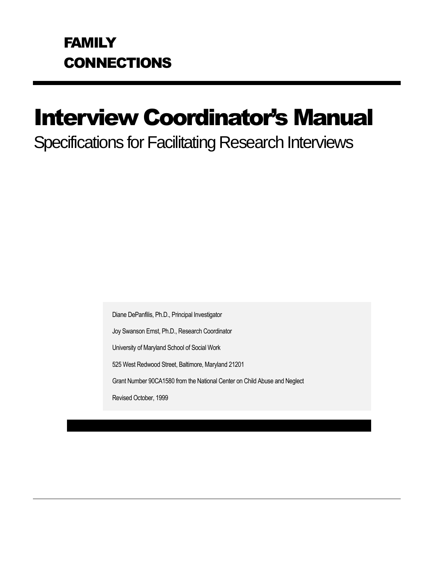# Interview Coordinator's Manual

## Specifications for Facilitating Research Interviews

Diane DePanfilis, Ph.D., Principal Investigator

Joy Swanson Ernst, Ph.D., Research Coordinator

University of Maryland School of Social Work

525 West Redwood Street, Baltimore, Maryland 21201

Grant Number 90CA1580 from the National Center on Child Abuse and Neglect

Revised October, 1999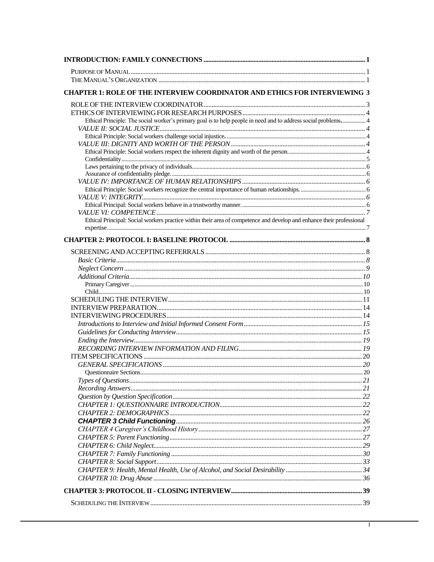| <b>CHAPTER 1: ROLE OF THE INTERVIEW COORDINATOR AND ETHICS FOR INTERVIEWING 3</b>                                     |  |
|-----------------------------------------------------------------------------------------------------------------------|--|
|                                                                                                                       |  |
|                                                                                                                       |  |
| Ethical Principle: The social worker's primary goal is to help people in need and to address social problems 4        |  |
|                                                                                                                       |  |
|                                                                                                                       |  |
|                                                                                                                       |  |
|                                                                                                                       |  |
|                                                                                                                       |  |
|                                                                                                                       |  |
|                                                                                                                       |  |
|                                                                                                                       |  |
|                                                                                                                       |  |
|                                                                                                                       |  |
|                                                                                                                       |  |
| Ethical Principal: Social workers practice within their area of competence and develop and enhance their professional |  |
|                                                                                                                       |  |
|                                                                                                                       |  |
|                                                                                                                       |  |
|                                                                                                                       |  |
|                                                                                                                       |  |
|                                                                                                                       |  |
|                                                                                                                       |  |
|                                                                                                                       |  |
|                                                                                                                       |  |
|                                                                                                                       |  |
|                                                                                                                       |  |
|                                                                                                                       |  |
|                                                                                                                       |  |
|                                                                                                                       |  |
|                                                                                                                       |  |
|                                                                                                                       |  |
|                                                                                                                       |  |
|                                                                                                                       |  |
|                                                                                                                       |  |
|                                                                                                                       |  |
|                                                                                                                       |  |
|                                                                                                                       |  |
|                                                                                                                       |  |
|                                                                                                                       |  |
|                                                                                                                       |  |
|                                                                                                                       |  |
|                                                                                                                       |  |
|                                                                                                                       |  |
|                                                                                                                       |  |
|                                                                                                                       |  |
|                                                                                                                       |  |
|                                                                                                                       |  |
|                                                                                                                       |  |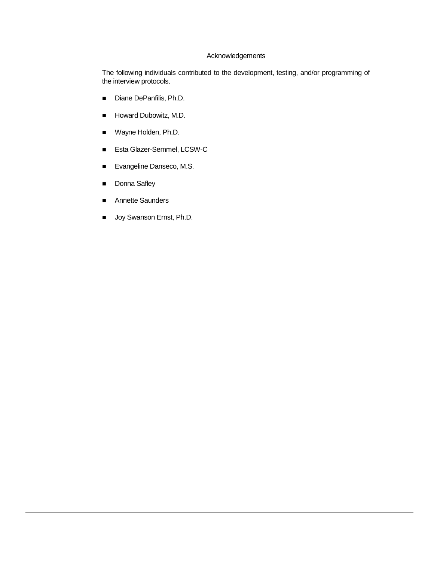#### Acknowledgements

The following individuals contributed to the development, testing, and/or programming of the interview protocols.

- Diane DePanfilis, Ph.D.
- **Howard Dubowitz, M.D.**
- Wayne Holden, Ph.D.
- Esta Glazer-Semmel, LCSW-C
- Evangeline Danseco, M.S.
- Donna Safley
- Annette Saunders
- **Joy Swanson Ernst, Ph.D.**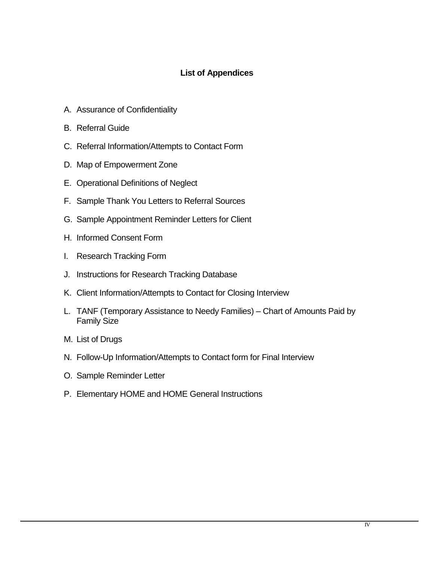## **List of Appendices**

- A. Assurance of Confidentiality
- B. Referral Guide
- C. Referral Information/Attempts to Contact Form
- D. Map of Empowerment Zone
- E. Operational Definitions of Neglect
- F. Sample Thank You Letters to Referral Sources
- G. Sample Appointment Reminder Letters for Client
- H. Informed Consent Form
- I. Research Tracking Form
- J. Instructions for Research Tracking Database
- K. Client Information/Attempts to Contact for Closing Interview
- L. TANF (Temporary Assistance to Needy Families) Chart of Amounts Paid by Family Size
- M. List of Drugs
- N. Follow-Up Information/Attempts to Contact form for Final Interview
- O. Sample Reminder Letter
- P. Elementary HOME and HOME General Instructions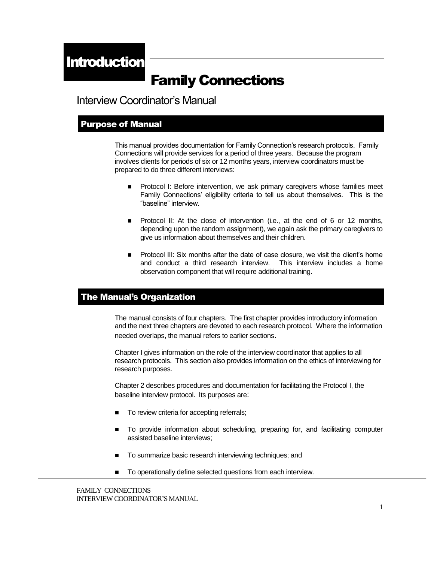## Family Connections

Interview Coordinator's Manual

#### Purpose of Manual

This manual provides documentation for Family Connection's research protocols. Family Connections will provide services for a period of three years. Because the program involves clients for periods of six or 12 months years, interview coordinators must be prepared to do three different interviews:

- Protocol I: Before intervention, we ask primary caregivers whose families meet Family Connections' eligibility criteria to tell us about themselves. This is the "baseline" interview.
- Protocol II: At the close of intervention (i.e., at the end of 6 or 12 months, depending upon the random assignment), we again ask the primary caregivers to give us information about themselves and their children.
- **Protocol III: Six months after the date of case closure, we visit the client's home** and conduct a third research interview. This interview includes a home observation component that will require additional training.

#### The Manual's Organization

The manual consists of four chapters. The first chapter provides introductory information and the next three chapters are devoted to each research protocol. Where the information needed overlaps, the manual refers to earlier sections.

Chapter I gives information on the role of the interview coordinator that applies to all research protocols. This section also provides information on the ethics of interviewing for research purposes.

Chapter 2 describes procedures and documentation for facilitating the Protocol I, the baseline interview protocol. Its purposes are:

- To review criteria for accepting referrals;
- To provide information about scheduling, preparing for, and facilitating computer assisted baseline interviews;
- To summarize basic research interviewing techniques; and
- $\blacksquare$  To operationally define selected questions from each interview.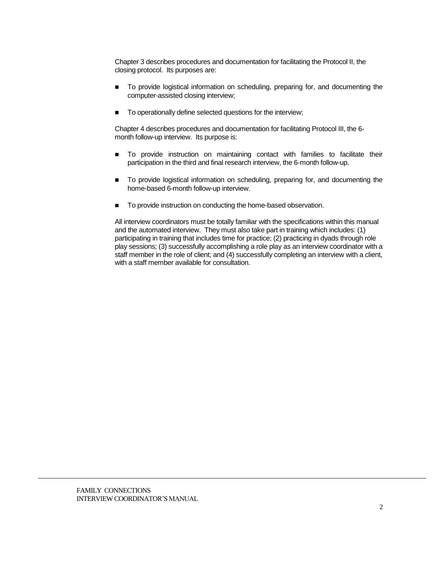Chapter 3 describes procedures and documentation for facilitating the Protocol II, the closing protocol. Its purposes are:

- To provide logistical information on scheduling, preparing for, and documenting the computer-assisted closing interview;
- To operationally define selected questions for the interview;

Chapter 4 describes procedures and documentation for facilitating Protocol III, the 6 month follow-up interview. Its purpose is:

- To provide instruction on maintaining contact with families to facilitate their participation in the third and final research interview, the 6-month follow-up.
- To provide logistical information on scheduling, preparing for, and documenting the home-based 6-month follow-up interview.
- To provide instruction on conducting the home-based observation.

All interview coordinators must be totally familiar with the specifications within this manual and the automated interview. They must also take part in training which includes: (1) participating in training that includes time for practice; (2) practicing in dyads through role play sessions; (3) successfully accomplishing a role play as an interview coordinator with a staff member in the role of client; and (4) successfully completing an interview with a client, with a staff member available for consultation.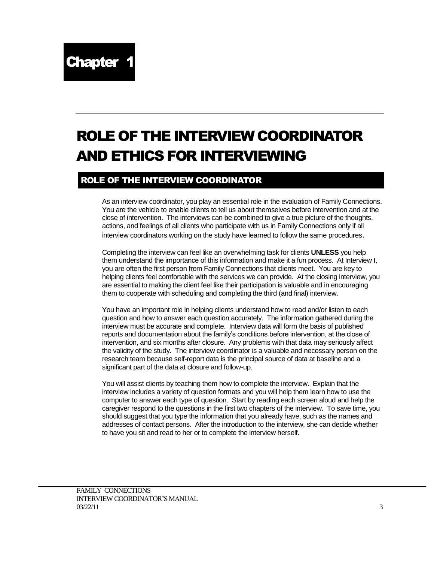## ROLE OF THE INTERVIEW COORDINATOR AND ETHICS FOR INTERVIEWING

## ROLE OF THE INTERVIEW COORDINATOR

As an interview coordinator, you play an essential role in the evaluation of Family Connections. You are the vehicle to enable clients to tell us about themselves before intervention and at the close of intervention. The interviews can be combined to give a true picture of the thoughts, actions, and feelings of all clients who participate with us in Family Connections only if all interview coordinators working on the study have learned to follow the same procedures.

Completing the interview can feel like an overwhelming task for clients **UNLESS** you help them understand the importance of this information and make it a fun process. At Interview I, you are often the first person from Family Connections that clients meet. You are key to helping clients feel comfortable with the services we can provide. At the closing interview, you are essential to making the client feel like their participation is valuable and in encouraging them to cooperate with scheduling and completing the third (and final) interview.

You have an important role in helping clients understand how to read and/or listen to each question and how to answer each question accurately. The information gathered during the interview must be accurate and complete. Interview data will form the basis of published reports and documentation about the family's conditions before intervention, at the close of intervention, and six months after closure. Any problems with that data may seriously affect the validity of the study. The interview coordinator is a valuable and necessary person on the research team because self-report data is the principal source of data at baseline and a significant part of the data at closure and follow-up.

You will assist clients by teaching them how to complete the interview. Explain that the interview includes a variety of question formats and you will help them learn how to use the computer to answer each type of question. Start by reading each screen aloud and help the caregiver respond to the questions in the first two chapters of the interview. To save time, you should suggest that you type the information that you already have, such as the names and addresses of contact persons. After the introduction to the interview, she can decide whether to have you sit and read to her or to complete the interview herself.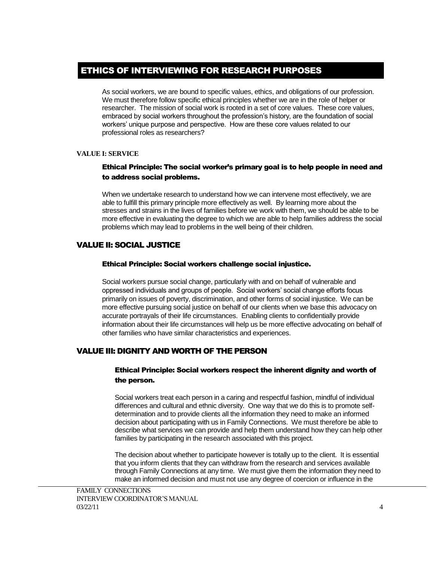## ETHICS OF INTERVIEWING FOR RESEARCH PURPOSES

As social workers, we are bound to specific values, ethics, and obligations of our profession. We must therefore follow specific ethical principles whether we are in the role of helper or researcher. The mission of social work is rooted in a set of core values. These core values, embraced by social workers throughout the profession's history, are the foundation of social workers' unique purpose and perspective. How are these core values related to our professional roles as researchers?

#### **VALUE I: SERVICE**

#### Ethical Principle: The social worker's primary goal is to help people in need and to address social problems.

When we undertake research to understand how we can intervene most effectively, we are able to fulfill this primary principle more effectively as well. By learning more about the stresses and strains in the lives of families before we work with them, we should be able to be more effective in evaluating the degree to which we are able to help families address the social problems which may lead to problems in the well being of their children.

#### VALUE II: SOCIAL JUSTICE

#### Ethical Principle: Social workers challenge social injustice.

Social workers pursue social change, particularly with and on behalf of vulnerable and oppressed individuals and groups of people. Social workers' social change efforts focus primarily on issues of poverty, discrimination, and other forms of social injustice. We can be more effective pursuing social justice on behalf of our clients when we base this advocacy on accurate portrayals of their life circumstances. Enabling clients to confidentially provide information about their life circumstances will help us be more effective advocating on behalf of other families who have similar characteristics and experiences.

#### VALUE III: DIGNITY AND WORTH OF THE PERSON

#### Ethical Principle: Social workers respect the inherent dignity and worth of the person.

Social workers treat each person in a caring and respectful fashion, mindful of individual differences and cultural and ethnic diversity. One way that we do this is to promote selfdetermination and to provide clients all the information they need to make an informed decision about participating with us in Family Connections. We must therefore be able to describe what services we can provide and help them understand how they can help other families by participating in the research associated with this project.

The decision about whether to participate however is totally up to the client. It is essential that you inform clients that they can withdraw from the research and services available through Family Connections at any time. We must give them the information they need to make an informed decision and must not use any degree of coercion or influence in the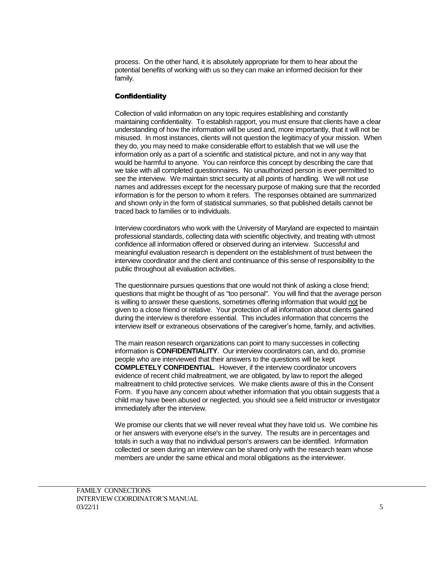process. On the other hand, it is absolutely appropriate for them to hear about the potential benefits of working with us so they can make an informed decision for their family.

#### **Confidentiality**

Collection of valid information on any topic requires establishing and constantly maintaining confidentiality. To establish rapport, you must ensure that clients have a clear understanding of how the information will be used and, more importantly, that it will not be misused. In most instances, clients will not question the legitimacy of your mission. When they do, you may need to make considerable effort to establish that we will use the information only as a part of a scientific and statistical picture, and not in any way that would be harmful to anyone. You can reinforce this concept by describing the care that we take with all completed questionnaires. No unauthorized person is ever permitted to see the interview. We maintain strict security at all points of handling. We will not use names and addresses except for the necessary purpose of making sure that the recorded information is for the person to whom it refers. The responses obtained are summarized and shown only in the form of statistical summaries, so that published details cannot be traced back to families or to individuals.

Interview coordinators who work with the University of Maryland are expected to maintain professional standards, collecting data with scientific objectivity, and treating with utmost confidence all information offered or observed during an interview. Successful and meaningful evaluation research is dependent on the establishment of trust between the interview coordinator and the client and continuance of this sense of responsibility to the public throughout all evaluation activities.

The questionnaire pursues questions that one would not think of asking a close friend; questions that might be thought of as "too personal". You will find that the average person is willing to answer these questions, sometimes offering information that would not be given to a close friend or relative. Your protection of all information about clients gained during the interview is therefore essential. This includes information that concerns the interview itself or extraneous observations of the caregiver's home, family, and activities.

The main reason research organizations can point to many successes in collecting information is **CONFIDENTIALITY**. Our interview coordinators can, and do, promise people who are interviewed that their answers to the questions will be kept **COMPLETELY CONFIDENTIAL**. However, if the interview coordinator uncovers evidence of recent child maltreatment, we are obligated, by law to report the alleged maltreatment to child protective services. We make clients aware of this in the Consent Form. If you have any concern about whether information that you obtain suggests that a child may have been abused or neglected, you should see a field instructor or investigator immediately after the interview.

We promise our clients that we will never reveal what they have told us. We combine his or her answers with everyone else's in the survey. The results are in percentages and totals in such a way that no individual person's answers can be identified. Information collected or seen during an interview can be shared only with the research team whose members are under the same ethical and moral obligations as the interviewer.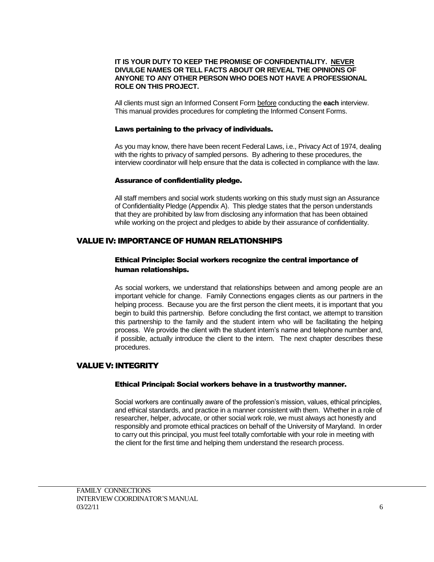#### **IT IS YOUR DUTY TO KEEP THE PROMISE OF CONFIDENTIALITY. NEVER DIVULGE NAMES OR TELL FACTS ABOUT OR REVEAL THE OPINIONS OF ANYONE TO ANY OTHER PERSON WHO DOES NOT HAVE A PROFESSIONAL ROLE ON THIS PROJECT.**

All clients must sign an Informed Consent Form before conducting the **each** interview. This manual provides procedures for completing the Informed Consent Forms.

#### Laws pertaining to the privacy of individuals.

As you may know, there have been recent Federal Laws, i.e., Privacy Act of 1974, dealing with the rights to privacy of sampled persons. By adhering to these procedures, the interview coordinator will help ensure that the data is collected in compliance with the law.

#### Assurance of confidentiality pledge.

All staff members and social work students working on this study must sign an Assurance of Confidentiality Pledge (Appendix A). This pledge states that the person understands that they are prohibited by law from disclosing any information that has been obtained while working on the project and pledges to abide by their assurance of confidentiality.

#### VALUE IV: IMPORTANCE OF HUMAN RELATIONSHIPS

#### Ethical Principle: Social workers recognize the central importance of human relationships.

As social workers, we understand that relationships between and among people are an important vehicle for change. Family Connections engages clients as our partners in the helping process. Because you are the first person the client meets, it is important that you begin to build this partnership. Before concluding the first contact, we attempt to transition this partnership to the family and the student intern who will be facilitating the helping process. We provide the client with the student intern's name and telephone number and, if possible, actually introduce the client to the intern. The next chapter describes these procedures.

#### VALUE V: INTEGRITY

#### Ethical Principal: Social workers behave in a trustworthy manner.

Social workers are continually aware of the profession's mission, values, ethical principles, and ethical standards, and practice in a manner consistent with them. Whether in a role of researcher, helper, advocate, or other social work role, we must always act honestly and responsibly and promote ethical practices on behalf of the University of Maryland. In order to carry out this principal, you must feel totally comfortable with your role in meeting with the client for the first time and helping them understand the research process.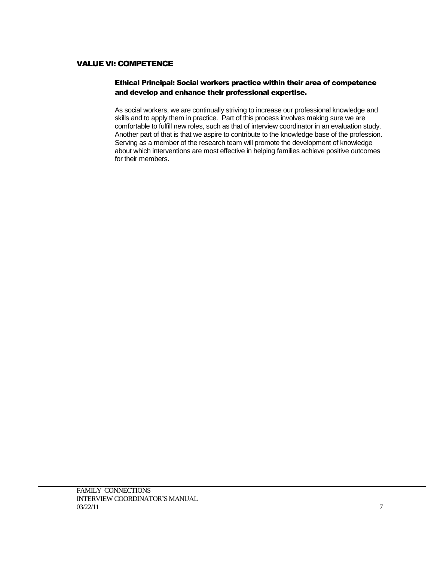### VALUE VI: COMPETENCE

#### Ethical Principal: Social workers practice within their area of competence and develop and enhance their professional expertise.

As social workers, we are continually striving to increase our professional knowledge and skills and to apply them in practice. Part of this process involves making sure we are comfortable to fulfill new roles, such as that of interview coordinator in an evaluation study. Another part of that is that we aspire to contribute to the knowledge base of the profession. Serving as a member of the research team will promote the development of knowledge about which interventions are most effective in helping families achieve positive outcomes for their members.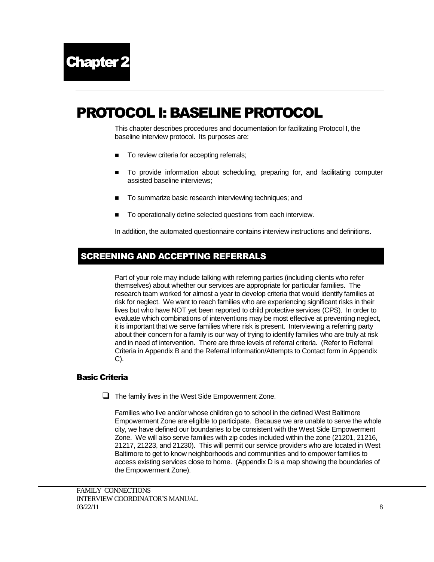## PROTOCOL I: BASELINE PROTOCOL

This chapter describes procedures and documentation for facilitating Protocol I, the baseline interview protocol. Its purposes are:

- To review criteria for accepting referrals;
- To provide information about scheduling, preparing for, and facilitating computer assisted baseline interviews;
- To summarize basic research interviewing techniques; and
- To operationally define selected questions from each interview.

In addition, the automated questionnaire contains interview instructions and definitions.

## SCREENING AND ACCEPTING REFERRALS

Part of your role may include talking with referring parties (including clients who refer themselves) about whether our services are appropriate for particular families. The research team worked for almost a year to develop criteria that would identify families at risk for neglect. We want to reach families who are experiencing significant risks in their lives but who have NOT yet been reported to child protective services (CPS). In order to evaluate which combinations of interventions may be most effective at preventing neglect, it is important that we serve families where risk is present. Interviewing a referring party about their concern for a family is our way of trying to identify families who are truly at risk and in need of intervention. There are three levels of referral criteria. (Refer to Referral Criteria in Appendix B and the Referral Information/Attempts to Contact form in Appendix C).

#### Basic Criteria

 $\Box$  The family lives in the West Side Empowerment Zone.

Families who live and/or whose children go to school in the defined West Baltimore Empowerment Zone are eligible to participate. Because we are unable to serve the whole city, we have defined our boundaries to be consistent with the West Side Empowerment Zone. We will also serve families with zip codes included within the zone (21201, 21216, 21217, 21223, and 21230). This will permit our service providers who are located in West Baltimore to get to know neighborhoods and communities and to empower families to access existing services close to home. (Appendix D is a map showing the boundaries of the Empowerment Zone).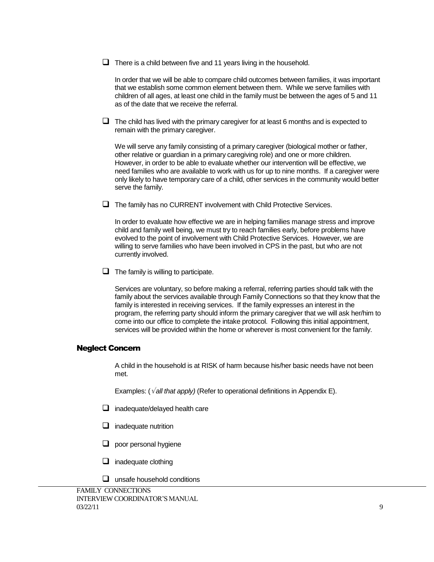$\Box$  There is a child between five and 11 years living in the household.

In order that we will be able to compare child outcomes between families, it was important that we establish some common element between them. While we serve families with children of all ages, at least one child in the family must be between the ages of 5 and 11 as of the date that we receive the referral.

 $\Box$  The child has lived with the primary caregiver for at least 6 months and is expected to remain with the primary caregiver.

We will serve any family consisting of a primary caregiver (biological mother or father, other relative or guardian in a primary caregiving role) and one or more children. However, in order to be able to evaluate whether our intervention will be effective, we need families who are available to work with us for up to nine months. If a caregiver were only likely to have temporary care of a child, other services in the community would better serve the family.

 $\Box$  The family has no CURRENT involvement with Child Protective Services.

In order to evaluate how effective we are in helping families manage stress and improve child and family well being, we must try to reach families early, before problems have evolved to the point of involvement with Child Protective Services. However, we are willing to serve families who have been involved in CPS in the past, but who are not currently involved.

 $\Box$  The family is willing to participate.

Services are voluntary, so before making a referral, referring parties should talk with the family about the services available through Family Connections so that they know that the family is interested in receiving services. If the family expresses an interest in the program, the referring party should inform the primary caregiver that we will ask her/him to come into our office to complete the intake protocol. Following this initial appointment, services will be provided within the home or wherever is most convenient for the family.

#### Neglect Concern

A child in the household is at RISK of harm because his/her basic needs have not been met.

Examples:  $(\sqrt{all}$  that apply) (Refer to operational definitions in Appendix E).

- $\Box$  inadequate/delayed health care
- $\Box$  inadequate nutrition
- $\Box$  poor personal hygiene
- $\Box$  inadequate clothing
- $\Box$  unsafe household conditions

FAMILY CONNECTIONS INTERVIEW COORDINATOR'S MANUAL  $03/22/11$  9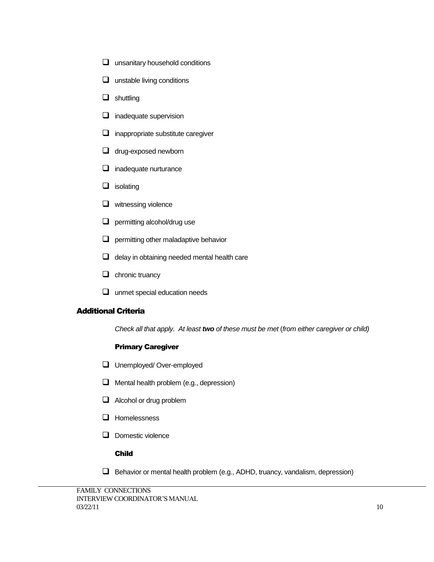- $\Box$  unsanitary household conditions
- $\Box$  unstable living conditions
- $\Box$  shuttling
- $\Box$  inadequate supervision
- $\Box$  inappropriate substitute caregiver
- $\Box$  drug-exposed newborn
- $\Box$  inadequate nurturance
- $\Box$  isolating
- $\Box$  witnessing violence
- $\Box$  permitting alcohol/drug use
- $\Box$  permitting other maladaptive behavior
- $\Box$  delay in obtaining needed mental health care
- $\Box$  chronic truancy
- **Q** unmet special education needs

#### Additional Criteria

*Check all that apply. At least two of these must be met* (*from either caregiver or child)*

#### Primary Caregiver

- **Unemployed/Over-employed**
- $\Box$  Mental health problem (e.g., depression)
- Alcohol or drug problem
- $\Box$  Homelessness
- $\Box$  Domestic violence

#### Child

 $\Box$  Behavior or mental health problem (e.g., ADHD, truancy, vandalism, depression)

```
FAMILY CONNECTIONS 
INTERVIEW COORDINATOR'S MANUAL
03/22/11 10
```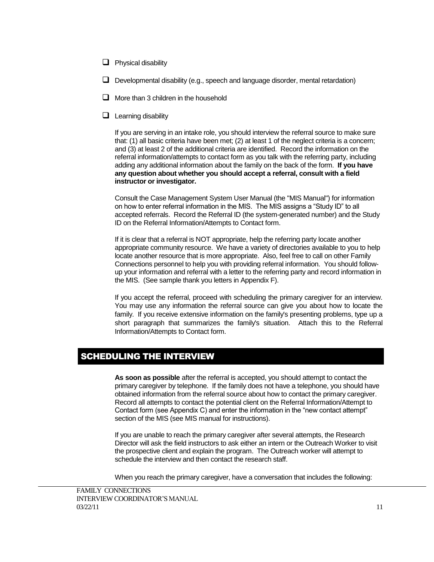- $\Box$  Physical disability
- $\Box$  Developmental disability (e.g., speech and language disorder, mental retardation)
- $\Box$  More than 3 children in the household
- $\Box$  Learning disability

If you are serving in an intake role, you should interview the referral source to make sure that: (1) all basic criteria have been met; (2) at least 1 of the neglect criteria is a concern; and (3) at least 2 of the additional criteria are identified. Record the information on the referral information/attempts to contact form as you talk with the referring party, including adding any additional information about the family on the back of the form. **If you have any question about whether you should accept a referral, consult with a field instructor or investigator.**

Consult the Case Management System User Manual (the "MIS Manual") for information on how to enter referral information in the MIS. The MIS assigns a "Study ID" to all accepted referrals. Record the Referral ID (the system-generated number) and the Study ID on the Referral Information/Attempts to Contact form.

If it is clear that a referral is NOT appropriate, help the referring party locate another appropriate community resource. We have a variety of directories available to you to help locate another resource that is more appropriate. Also, feel free to call on other Family Connections personnel to help you with providing referral information.You should followup your information and referral with a letter to the referring party and record information in the MIS. (See sample thank you letters in Appendix F).

If you accept the referral, proceed with scheduling the primary caregiver for an interview. You may use any information the referral source can give you about how to locate the family. If you receive extensive information on the family's presenting problems, type up a short paragraph that summarizes the family's situation. Attach this to the Referral Information/Attempts to Contact form.

## SCHEDULING THE INTERVIEW

**As soon as possible** after the referral is accepted, you should attempt to contact the primary caregiver by telephone. If the family does not have a telephone, you should have obtained information from the referral source about how to contact the primary caregiver. Record all attempts to contact the potential client on the Referral Information/Attempt to Contact form (see Appendix C) and enter the information in the "new contact attempt" section of the MIS (see MIS manual for instructions).

If you are unable to reach the primary caregiver after several attempts, the Research Director will ask the field instructors to ask either an intern or the Outreach Worker to visit the prospective client and explain the program. The Outreach worker will attempt to schedule the interview and then contact the research staff.

When you reach the primary caregiver, have a conversation that includes the following: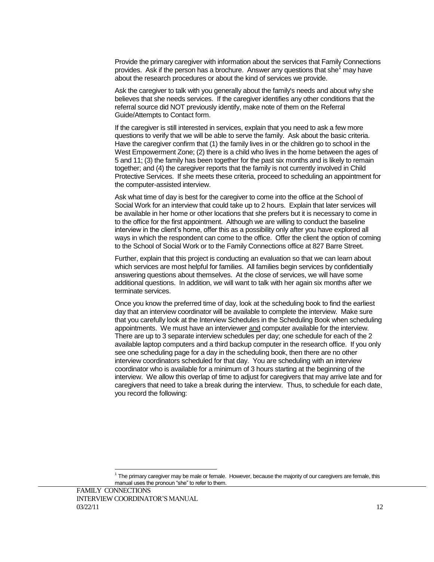Provide the primary caregiver with information about the services that Family Connections provides. Ask if the person has a brochure. Answer any questions that she<sup>1</sup> may have about the research procedures or about the kind of services we provide.

Ask the caregiver to talk with you generally about the family's needs and about why she believes that she needs services. If the caregiver identifies any other conditions that the referral source did NOT previously identify, make note of them on the Referral Guide/Attempts to Contact form.

If the caregiver is still interested in services, explain that you need to ask a few more questions to verify that we will be able to serve the family. Ask about the basic criteria. Have the caregiver confirm that (1) the family lives in or the children go to school in the West Empowerment Zone; (2) there is a child who lives in the home between the ages of 5 and 11; (3) the family has been together for the past six months and is likely to remain together; and (4) the caregiver reports that the family is not currently involved in Child Protective Services. If she meets these criteria, proceed to scheduling an appointment for the computer-assisted interview.

Ask what time of day is best for the caregiver to come into the office at the School of Social Work for an interview that could take up to 2 hours. Explain that later services will be available in her home or other locations that she prefers but it is necessary to come in to the office for the first appointment. Although we are willing to conduct the baseline interview in the client's home, offer this as a possibility only after you have explored all ways in which the respondent can come to the office. Offer the client the option of coming to the School of Social Work or to the Family Connections office at 827 Barre Street.

Further, explain that this project is conducting an evaluation so that we can learn about which services are most helpful for families. All families begin services by confidentially answering questions about themselves. At the close of services, we will have some additional questions. In addition, we will want to talk with her again six months after we terminate services.

Once you know the preferred time of day, look at the scheduling book to find the earliest day that an interview coordinator will be available to complete the interview. Make sure that you carefully look at the Interview Schedules in the Scheduling Book when scheduling appointments. We must have an interviewer and computer available for the interview. There are up to 3 separate interview schedules per day; one schedule for each of the 2 available laptop computers and a third backup computer in the research office. If you only see one scheduling page for a day in the scheduling book, then there are no other interview coordinators scheduled for that day. You are scheduling with an interview coordinator who is available for a minimum of 3 hours starting at the beginning of the interview. We allow this overlap of time to adjust for caregivers that may arrive late and for caregivers that need to take a break during the interview. Thus, to schedule for each date, you record the following:

l

 $^1$  The primary caregiver may be male or female. However, because the majority of our caregivers are female, this manual uses the pronoun "she" to refer to them.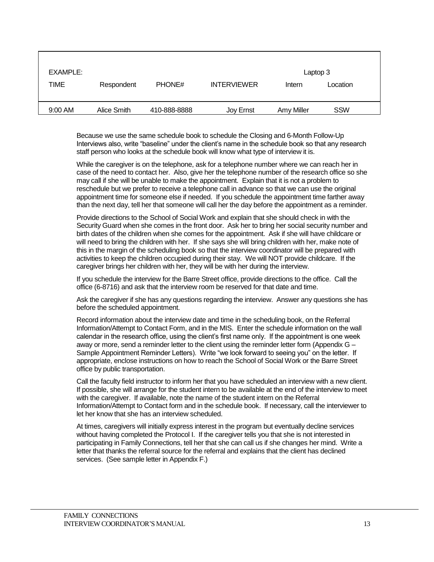| EXAMPLE:  |             |              |                    | Laptop 3   |            |  |
|-----------|-------------|--------------|--------------------|------------|------------|--|
| TIME      | Respondent  | PHONE#       | <b>INTERVIEWER</b> | Intern     | Location   |  |
|           |             |              |                    |            |            |  |
| $9:00$ AM | Alice Smith | 410-888-8888 | Joy Ernst          | Amy Miller | <b>SSW</b> |  |

Because we use the same schedule book to schedule the Closing and 6-Month Follow-Up Interviews also, write "baseline" under the client's name in the schedule book so that any research staff person who looks at the schedule book will know what type of interview it is.

While the caregiver is on the telephone, ask for a telephone number where we can reach her in case of the need to contact her. Also, give her the telephone number of the research office so she may call if she will be unable to make the appointment. Explain that it is not a problem to reschedule but we prefer to receive a telephone call in advance so that we can use the original appointment time for someone else if needed. If you schedule the appointment time farther away than the next day, tell her that someone will call her the day before the appointment as a reminder.

Provide directions to the School of Social Work and explain that she should check in with the Security Guard when she comes in the front door. Ask her to bring her social security number and birth dates of the children when she comes for the appointment. Ask if she will have childcare or will need to bring the children with her. If she says she will bring children with her, make note of this in the margin of the scheduling book so that the interview coordinator will be prepared with activities to keep the children occupied during their stay. We will NOT provide childcare. If the caregiver brings her children with her, they will be with her during the interview.

If you schedule the interview for the Barre Street office, provide directions to the office. Call the office (6-8716) and ask that the interview room be reserved for that date and time.

Ask the caregiver if she has any questions regarding the interview. Answer any questions she has before the scheduled appointment.

Record information about the interview date and time in the scheduling book, on the Referral Information/Attempt to Contact Form, and in the MIS. Enter the schedule information on the wall calendar in the research office, using the client's first name only. If the appointment is one week away or more, send a reminder letter to the client using the reminder letter form (Appendix G – Sample Appointment Reminder Letters). Write "we look forward to seeing you" on the letter. If appropriate, enclose instructions on how to reach the School of Social Work or the Barre Street office by public transportation.

Call the faculty field instructor to inform her that you have scheduled an interview with a new client. If possible, she will arrange for the student intern to be available at the end of the interview to meet with the caregiver. If available, note the name of the student intern on the Referral Information/Attempt to Contact form and in the schedule book. If necessary, call the interviewer to let her know that she has an interview scheduled.

At times, caregivers will initially express interest in the program but eventually decline services without having completed the Protocol I. If the caregiver tells you that she is not interested in participating in Family Connections, tell her that she can call us if she changes her mind. Write a letter that thanks the referral source for the referral and explains that the client has declined services. (See sample letter in Appendix F.)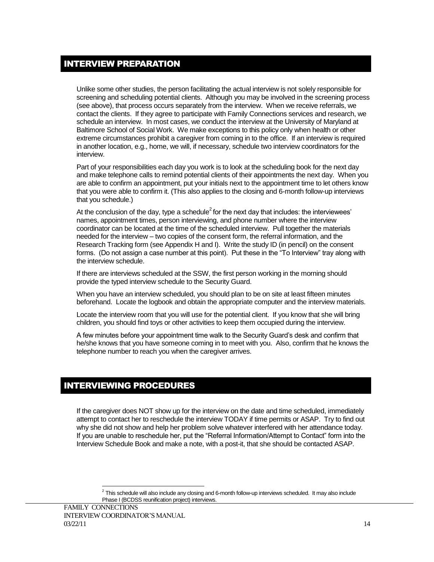## INTERVIEW PREPARATION

Unlike some other studies, the person facilitating the actual interview is not solely responsible for screening and scheduling potential clients. Although you may be involved in the screening process (see above), that process occurs separately from the interview. When we receive referrals, we contact the clients. If they agree to participate with Family Connections services and research, we schedule an interview. In most cases, we conduct the interview at the University of Maryland at Baltimore School of Social Work. We make exceptions to this policy only when health or other extreme circumstances prohibit a caregiver from coming in to the office. If an interview is required in another location, e.g., home, we will, if necessary, schedule two interview coordinators for the interview.

Part of your responsibilities each day you work is to look at the scheduling book for the next day and make telephone calls to remind potential clients of their appointments the next day. When you are able to confirm an appointment, put your initials next to the appointment time to let others know that you were able to confirm it. (This also applies to the closing and 6-month follow-up interviews that you schedule.)

At the conclusion of the day, type a schedule<sup>2</sup> for the next day that includes: the interviewees' names, appointment times, person interviewing, and phone number where the interview coordinator can be located at the time of the scheduled interview. Pull together the materials needed for the interview – two copies of the consent form, the referral information, and the Research Tracking form (see Appendix H and I). Write the study ID (in pencil) on the consent forms. (Do not assign a case number at this point). Put these in the "To Interview" tray along with the interview schedule.

If there are interviews scheduled at the SSW, the first person working in the morning should provide the typed interview schedule to the Security Guard.

When you have an interview scheduled, you should plan to be on site at least fifteen minutes beforehand. Locate the logbook and obtain the appropriate computer and the interview materials.

Locate the interview room that you will use for the potential client. If you know that she will bring children, you should find toys or other activities to keep them occupied during the interview.

A few minutes before your appointment time walk to the Security Guard's desk and confirm that he/she knows that you have someone coming in to meet with you. Also, confirm that he knows the telephone number to reach you when the caregiver arrives.

## INTERVIEWING PROCEDURES

If the caregiver does NOT show up for the interview on the date and time scheduled, immediately attempt to contact her to reschedule the interview TODAY if time permits or ASAP. Try to find out why she did not show and help her problem solve whatever interfered with her attendance today. If you are unable to reschedule her, put the "Referral Information/Attempt to Contact" form into the Interview Schedule Book and make a note, with a post-it, that she should be contacted ASAP.

l

 $^2$  This schedule will also include any closing and 6-month follow-up interviews scheduled. It may also include Phase I (BCDSS reunification project) interviews.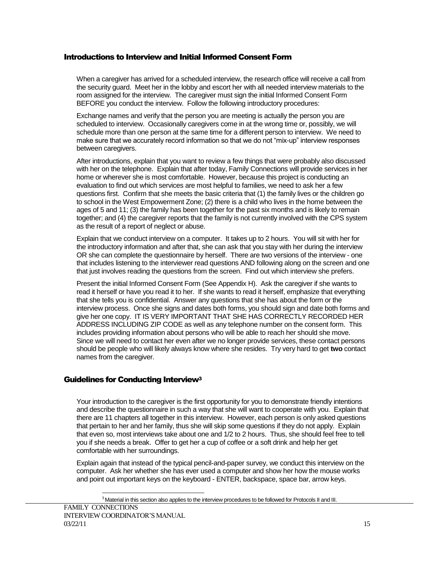#### Introductions to Interview and Initial Informed Consent Form

When a caregiver has arrived for a scheduled interview, the research office will receive a call from the security guard. Meet her in the lobby and escort her with all needed interview materials to the room assigned for the interview. The caregiver must sign the initial Informed Consent Form BEFORE you conduct the interview. Follow the following introductory procedures:

Exchange names and verify that the person you are meeting is actually the person you are scheduled to interview. Occasionally caregivers come in at the wrong time or, possibly, we will schedule more than one person at the same time for a different person to interview. We need to make sure that we accurately record information so that we do not "mix-up" interview responses between caregivers.

After introductions, explain that you want to review a few things that were probably also discussed with her on the telephone. Explain that after today, Family Connections will provide services in her home or wherever she is most comfortable. However, because this project is conducting an evaluation to find out which services are most helpful to families, we need to ask her a few questions first. Confirm that she meets the basic criteria that (1) the family lives or the children go to school in the West Empowerment Zone; (2) there is a child who lives in the home between the ages of 5 and 11; (3) the family has been together for the past six months and is likely to remain together; and (4) the caregiver reports that the family is not currently involved with the CPS system as the result of a report of neglect or abuse.

Explain that we conduct interview on a computer. It takes up to 2 hours. You will sit with her for the introductory information and after that, she can ask that you stay with her during the interview OR she can complete the questionnaire by herself. There are two versions of the interview - one that includes listening to the interviewer read questions AND following along on the screen and one that just involves reading the questions from the screen. Find out which interview she prefers.

Present the initial Informed Consent Form (See Appendix H). Ask the caregiver if she wants to read it herself or have you read it to her. If she wants to read it herself, emphasize that everything that she tells you is confidential. Answer any questions that she has about the form or the interview process. Once she signs and dates both forms, you should sign and date both forms and give her one copy. IT IS VERY IMPORTANT THAT SHE HAS CORRECTLY RECORDED HER ADDRESS INCLUDING ZIP CODE as well as any telephone number on the consent form. This includes providing information about persons who will be able to reach her should she move. Since we will need to contact her even after we no longer provide services, these contact persons should be people who will likely always know where she resides. Try very hard to get **two** contact names from the caregiver.

#### Guidelines for Conducting Interview<sup>3</sup>

Your introduction to the caregiver is the first opportunity for you to demonstrate friendly intentions and describe the questionnaire in such a way that she will want to cooperate with you. Explain that there are 11 chapters all together in this interview. However, each person is only asked questions that pertain to her and her family, thus she will skip some questions if they do not apply. Explain that even so, most interviews take about one and 1/2 to 2 hours. Thus, she should feel free to tell you if she needs a break. Offer to get her a cup of coffee or a soft drink and help her get comfortable with her surroundings.

Explain again that instead of the typical pencil-and-paper survey, we conduct this interview on the computer. Ask her whether she has ever used a computer and show her how the mouse works and point out important keys on the keyboard - ENTER, backspace, space bar, arrow keys.

l

 $3$  Material in this section also applies to the interview procedures to be followed for Protocols II and III.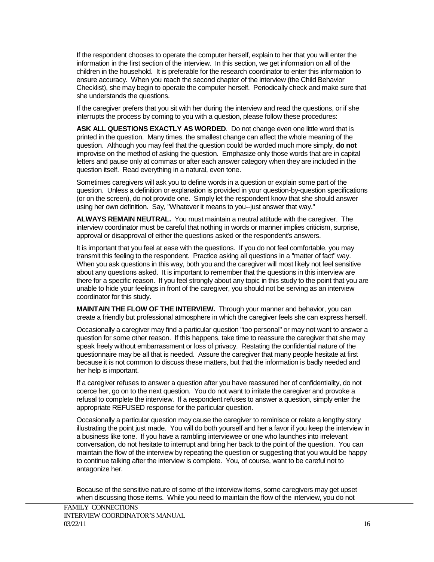If the respondent chooses to operate the computer herself, explain to her that you will enter the information in the first section of the interview. In this section, we get information on all of the children in the household. It is preferable for the research coordinator to enter this information to ensure accuracy. When you reach the second chapter of the interview (the Child Behavior Checklist), she may begin to operate the computer herself. Periodically check and make sure that she understands the questions.

If the caregiver prefers that you sit with her during the interview and read the questions, or if she interrupts the process by coming to you with a question, please follow these procedures:

**ASK ALL QUESTIONS EXACTLY AS WORDED**. Do not change even one little word that is printed in the question. Many times, the smallest change can affect the whole meaning of the question. Although you may feel that the question could be worded much more simply, **do not** improvise on the method of asking the question. Emphasize only those words that are in capital letters and pause only at commas or after each answer category when they are included in the question itself. Read everything in a natural, even tone.

Sometimes caregivers will ask you to define words in a question or explain some part of the question. Unless a definition or explanation is provided in your question-by-question specifications (or on the screen), do not provide one. Simply let the respondent know that she should answer using her own definition. Say, "Whatever it means to you--just answer that way."

**ALWAYS REMAIN NEUTRAL.** You must maintain a neutral attitude with the caregiver. The interview coordinator must be careful that nothing in words or manner implies criticism, surprise, approval or disapproval of either the questions asked or the respondent's answers.

It is important that you feel at ease with the questions. If you do not feel comfortable, you may transmit this feeling to the respondent. Practice asking all questions in a "matter of fact" way. When you ask questions in this way, both you and the caregiver will most likely not feel sensitive about any questions asked. It is important to remember that the questions in this interview are there for a specific reason. If you feel strongly about any topic in this study to the point that you are unable to hide your feelings in front of the caregiver, you should not be serving as an interview coordinator for this study.

**MAINTAIN THE FLOW OF THE INTERVIEW.** Through your manner and behavior, you can create a friendly but professional atmosphere in which the caregiver feels she can express herself.

Occasionally a caregiver may find a particular question "too personal" or may not want to answer a question for some other reason. If this happens, take time to reassure the caregiver that she may speak freely without embarrassment or loss of privacy. Restating the confidential nature of the questionnaire may be all that is needed. Assure the caregiver that many people hesitate at first because it is not common to discuss these matters, but that the information is badly needed and her help is important.

If a caregiver refuses to answer a question after you have reassured her of confidentiality, do not coerce her, go on to the next question. You do not want to irritate the caregiver and provoke a refusal to complete the interview. If a respondent refuses to answer a question, simply enter the appropriate REFUSED response for the particular question.

Occasionally a particular question may cause the caregiver to reminisce or relate a lengthy story illustrating the point just made. You will do both yourself and her a favor if you keep the interview in a business like tone. If you have a rambling interviewee or one who launches into irrelevant conversation, do not hesitate to interrupt and bring her back to the point of the question. You can maintain the flow of the interview by repeating the question or suggesting that you would be happy to continue talking after the interview is complete. You, of course, want to be careful not to antagonize her.

Because of the sensitive nature of some of the interview items, some caregivers may get upset when discussing those items. While you need to maintain the flow of the interview, you do not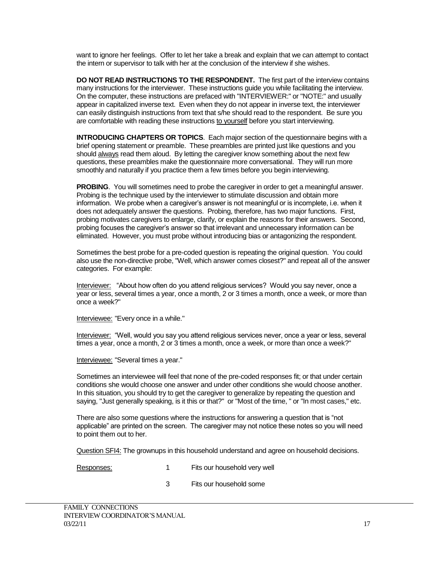want to ignore her feelings. Offer to let her take a break and explain that we can attempt to contact the intern or supervisor to talk with her at the conclusion of the interview if she wishes.

**DO NOT READ INSTRUCTIONS TO THE RESPONDENT.** The first part of the interview contains many instructions for the interviewer. These instructions guide you while facilitating the interview. On the computer, these instructions are prefaced with "INTERVIEWER:" or "NOTE:" and usually appear in capitalized inverse text. Even when they do not appear in inverse text, the interviewer can easily distinguish instructions from text that s/he should read to the respondent. Be sure you are comfortable with reading these instructions to yourself before you start interviewing.

**INTRODUCING CHAPTERS OR TOPICS**. Each major section of the questionnaire begins with a brief opening statement or preamble. These preambles are printed just like questions and you should always read them aloud. By letting the caregiver know something about the next few questions, these preambles make the questionnaire more conversational. They will run more smoothly and naturally if you practice them a few times before you begin interviewing.

**PROBING**. You will sometimes need to probe the caregiver in order to get a meaningful answer. Probing is the technique used by the interviewer to stimulate discussion and obtain more information. We probe when a caregiver's answer is not meaningful or is incomplete, i.e. when it does not adequately answer the questions. Probing, therefore, has two major functions. First, probing motivates caregivers to enlarge, clarify, or explain the reasons for their answers. Second, probing focuses the caregiver's answer so that irrelevant and unnecessary information can be eliminated. However, you must probe without introducing bias or antagonizing the respondent.

Sometimes the best probe for a pre-coded question is repeating the original question. You could also use the non-directive probe, "Well, which answer comes closest?" and repeat all of the answer categories. For example:

Interviewer: "About how often do you attend religious services? Would you say never, once a year or less, several times a year, once a month, 2 or 3 times a month, once a week, or more than once a week?"

Interviewee: "Every once in a while."

Interviewer: "Well, would you say you attend religious services never, once a year or less, several times a year, once a month, 2 or 3 times a month, once a week, or more than once a week?"

Interviewee: "Several times a year."

Sometimes an interviewee will feel that none of the pre-coded responses fit; or that under certain conditions she would choose one answer and under other conditions she would choose another. In this situation, you should try to get the caregiver to generalize by repeating the question and saying, "Just generally speaking, is it this or that?" or "Most of the time, " or "In most cases," etc.

There are also some questions where the instructions for answering a question that is "not applicable" are printed on the screen. The caregiver may not notice these notes so you will need to point them out to her.

Question SFI4: The grownups in this household understand and agree on household decisions.

- Responses: 1 Fits our household very well
	- 3 Fits our household some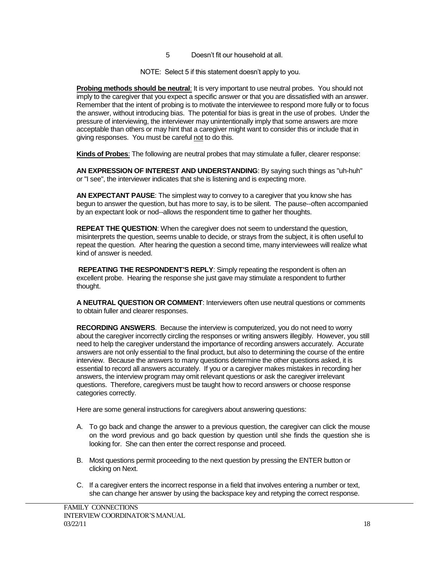- 5 Doesn't fit our household at all.
- NOTE: Select 5 if this statement doesn't apply to you.

**Probing methods should be neutral**: It is very important to use neutral probes. You should not imply to the caregiver that you expect a specific answer or that you are dissatisfied with an answer. Remember that the intent of probing is to motivate the interviewee to respond more fully or to focus the answer, without introducing bias. The potential for bias is great in the use of probes. Under the pressure of interviewing, the interviewer may unintentionally imply that some answers are more acceptable than others or may hint that a caregiver might want to consider this or include that in giving responses. You must be careful not to do this.

**Kinds of Probes**: The following are neutral probes that may stimulate a fuller, clearer response:

**AN EXPRESSION OF INTEREST AND UNDERSTANDING**: By saying such things as "uh-huh" or "I see", the interviewer indicates that she is listening and is expecting more.

**AN EXPECTANT PAUSE**: The simplest way to convey to a caregiver that you know she has begun to answer the question, but has more to say, is to be silent. The pause--often accompanied by an expectant look or nod--allows the respondent time to gather her thoughts.

**REPEAT THE QUESTION**: When the caregiver does not seem to understand the question, misinterprets the question, seems unable to decide, or strays from the subject, it is often useful to repeat the question. After hearing the question a second time, many interviewees will realize what kind of answer is needed.

**REPEATING THE RESPONDENT'S REPLY**: Simply repeating the respondent is often an excellent probe. Hearing the response she just gave may stimulate a respondent to further thought.

**A NEUTRAL QUESTION OR COMMENT**: Interviewers often use neutral questions or comments to obtain fuller and clearer responses.

**RECORDING ANSWERS**. Because the interview is computerized, you do not need to worry about the caregiver incorrectly circling the responses or writing answers illegibly. However, you still need to help the caregiver understand the importance of recording answers accurately. Accurate answers are not only essential to the final product, but also to determining the course of the entire interview. Because the answers to many questions determine the other questions asked, it is essential to record all answers accurately. If you or a caregiver makes mistakes in recording her answers, the interview program may omit relevant questions or ask the caregiver irrelevant questions. Therefore, caregivers must be taught how to record answers or choose response categories correctly.

Here are some general instructions for caregivers about answering questions:

- A. To go back and change the answer to a previous question, the caregiver can click the mouse on the word previous and go back question by question until she finds the question she is looking for. She can then enter the correct response and proceed.
- B. Most questions permit proceeding to the next question by pressing the ENTER button or clicking on Next.
- C. If a caregiver enters the incorrect response in a field that involves entering a number or text, she can change her answer by using the backspace key and retyping the correct response.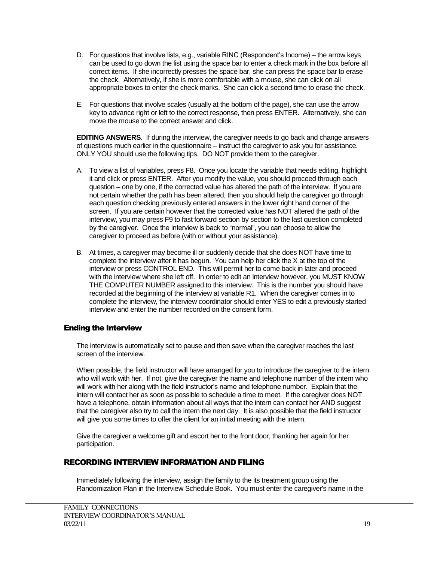- D. For questions that involve lists, e.g., variable RINC (Respondent's Income) the arrow keys can be used to go down the list using the space bar to enter a check mark in the box before all correct items. If she incorrectly presses the space bar, she can press the space bar to erase the check. Alternatively, if she is more comfortable with a mouse, she can click on all appropriate boxes to enter the check marks. She can click a second time to erase the check.
- E. For questions that involve scales (usually at the bottom of the page), she can use the arrow key to advance right or left to the correct response, then press ENTER. Alternatively, she can move the mouse to the correct answer and click.

**EDITING ANSWERS**. If during the interview, the caregiver needs to go back and change answers of questions much earlier in the questionnaire – instruct the caregiver to ask you for assistance. ONLY YOU should use the following tips. DO NOT provide them to the caregiver.

- A. To view a list of variables, press F8. Once you locate the variable that needs editing, highlight it and click or press ENTER. After you modify the value, you should proceed through each question – one by one, if the corrected value has altered the path of the interview. If you are not certain whether the path has been altered, then you should help the caregiver go through each question checking previously entered answers in the lower right hand corner of the screen. If you are certain however that the corrected value has NOT altered the path of the interview, you may press F9 to fast forward section by section to the last question completed by the caregiver. Once the interview is back to "normal", you can choose to allow the caregiver to proceed as before (with or without your assistance).
- B. At times, a caregiver may become ill or suddenly decide that she does NOT have time to complete the interview after it has begun. You can help her click the X at the top of the interview or press CONTROL END. This will permit her to come back in later and proceed with the interview where she left off. In order to edit an interview however, you MUST KNOW THE COMPUTER NUMBER assigned to this interview. This is the number you should have recorded at the beginning of the interview at variable R1. When the caregiver comes in to complete the interview, the interview coordinator should enter YES to edit a previously started interview and enter the number recorded on the consent form.

#### Ending the Interview

The interview is automatically set to pause and then save when the caregiver reaches the last screen of the interview.

When possible, the field instructor will have arranged for you to introduce the caregiver to the intern who will work with her. If not, give the caregiver the name and telephone number of the intern who will work with her along with the field instructor's name and telephone number. Explain that the intern will contact her as soon as possible to schedule a time to meet. If the caregiver does NOT have a telephone, obtain information about all ways that the intern can contact her AND suggest that the caregiver also try to call the intern the next day. It is also possible that the field instructor will give you some times to offer the client for an initial meeting with the intern.

Give the caregiver a welcome gift and escort her to the front door, thanking her again for her participation.

#### RECORDING INTERVIEW INFORMATION AND FILING

Immediately following the interview, assign the family to the its treatment group using the Randomization Plan in the Interview Schedule Book. You must enter the caregiver's name in the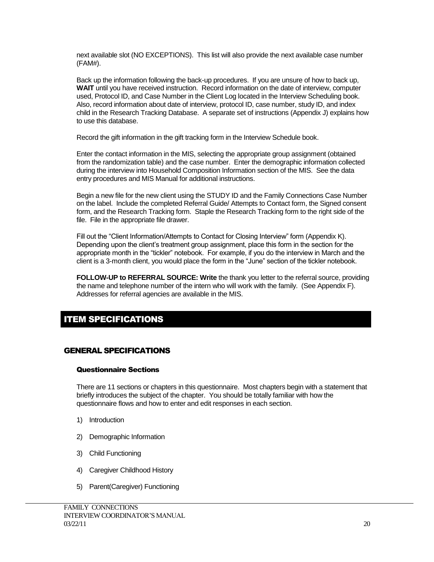next available slot (NO EXCEPTIONS). This list will also provide the next available case number (FAM#).

Back up the information following the back-up procedures. If you are unsure of how to back up, **WAIT** until you have received instruction. Record information on the date of interview, computer used, Protocol ID, and Case Number in the Client Log located in the Interview Scheduling book. Also, record information about date of interview, protocol ID, case number, study ID, and index child in the Research Tracking Database. A separate set of instructions (Appendix J) explains how to use this database.

Record the gift information in the gift tracking form in the Interview Schedule book.

Enter the contact information in the MIS, selecting the appropriate group assignment (obtained from the randomization table) and the case number. Enter the demographic information collected during the interview into Household Composition Information section of the MIS. See the data entry procedures and MIS Manual for additional instructions.

Begin a new file for the new client using the STUDY ID and the Family Connections Case Number on the label. Include the completed Referral Guide/ Attempts to Contact form, the Signed consent form, and the Research Tracking form. Staple the Research Tracking form to the right side of the file. File in the appropriate file drawer.

Fill out the "Client Information/Attempts to Contact for Closing Interview" form (Appendix K). Depending upon the client's treatment group assignment, place this form in the section for the appropriate month in the "tickler" notebook. For example, if you do the interview in March and the client is a 3-month client, you would place the form in the "June" section of the tickler notebook.

**FOLLOW-UP to REFERRAL SOURCE: Write** the thank you letter to the referral source, providing the name and telephone number of the intern who will work with the family. (See Appendix F). Addresses for referral agencies are available in the MIS.

## ITEM SPECIFICATIONS

## GENERAL SPECIFICATIONS

#### Questionnaire Sections

There are 11 sections or chapters in this questionnaire. Most chapters begin with a statement that briefly introduces the subject of the chapter. You should be totally familiar with how the questionnaire flows and how to enter and edit responses in each section.

- 1) Introduction
- 2) Demographic Information
- 3) Child Functioning
- 4) Caregiver Childhood History
- 5) Parent(Caregiver) Functioning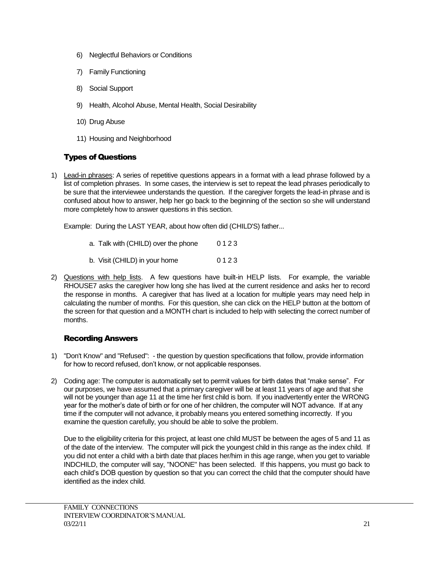- 6) Neglectful Behaviors or Conditions
- 7) Family Functioning
- 8) Social Support
- 9) Health, Alcohol Abuse, Mental Health, Social Desirability
- 10) Drug Abuse
- 11) Housing and Neighborhood

## Types of Questions

1) Lead-in phrases: A series of repetitive questions appears in a format with a lead phrase followed by a list of completion phrases. In some cases, the interview is set to repeat the lead phrases periodically to be sure that the interviewee understands the question. If the caregiver forgets the lead-in phrase and is confused about how to answer, help her go back to the beginning of the section so she will understand more completely how to answer questions in this section.

Example: During the LAST YEAR, about how often did (CHILD'S) father...

- a. Talk with (CHILD) over the phone 0 1 2 3
- b. Visit (CHILD) in your home 0 1 2 3
- 2) Questions with help lists. A few questions have built-in HELP lists. For example, the variable RHOUSE7 asks the caregiver how long she has lived at the current residence and asks her to record the response in months. A caregiver that has lived at a location for multiple years may need help in calculating the number of months. For this question, she can click on the HELP button at the bottom of the screen for that question and a MONTH chart is included to help with selecting the correct number of months.

#### Recording Answers

- 1) "Don't Know" and "Refused": the question by question specifications that follow, provide information for how to record refused, don't know, or not applicable responses.
- 2) Coding age: The computer is automatically set to permit values for birth dates that "make sense". For our purposes, we have assumed that a primary caregiver will be at least 11 years of age and that she will not be younger than age 11 at the time her first child is born. If you inadvertently enter the WRONG year for the mother's date of birth or for one of her children, the computer will NOT advance. If at any time if the computer will not advance, it probably means you entered something incorrectly. If you examine the question carefully, you should be able to solve the problem.

Due to the eligibility criteria for this project, at least one child MUST be between the ages of 5 and 11 as of the date of the interview. The computer will pick the youngest child in this range as the index child. If you did not enter a child with a birth date that places her/him in this age range, when you get to variable INDCHILD, the computer will say, "NOONE" has been selected. If this happens, you must go back to each child's DOB question by question so that you can correct the child that the computer should have identified as the index child.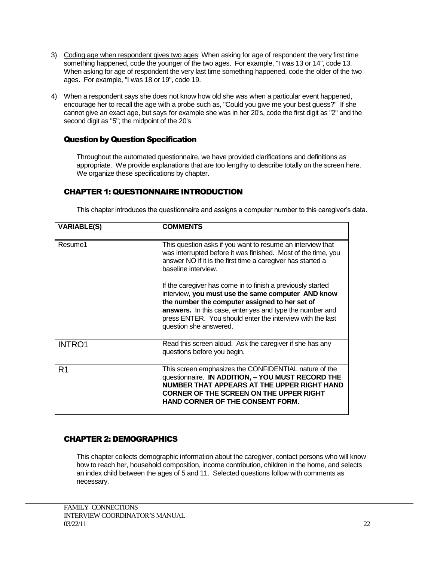- 3) Coding age when respondent gives two ages: When asking for age of respondent the very first time something happened, code the younger of the two ages. For example, "I was 13 or 14", code 13. When asking for age of respondent the very last time something happened, code the older of the two ages. For example, "I was 18 or 19", code 19.
- 4) When a respondent says she does not know how old she was when a particular event happened, encourage her to recall the age with a probe such as, "Could you give me your best guess?" If she cannot give an exact age, but says for example she was in her 20's, code the first digit as "2" and the second digit as "5"; the midpoint of the 20's.

#### Question by Question Specification

Throughout the automated questionnaire, we have provided clarifications and definitions as appropriate. We provide explanations that are too lengthy to describe totally on the screen here. We organize these specifications by chapter.

#### CHAPTER 1: QUESTIONNAIRE INTRODUCTION

This chapter introduces the questionnaire and assigns a computer number to this caregiver's data.

| <b>VARIABLE(S)</b> | <b>COMMENTS</b>                                                                                                                                                                                                                                                                                                        |
|--------------------|------------------------------------------------------------------------------------------------------------------------------------------------------------------------------------------------------------------------------------------------------------------------------------------------------------------------|
| Resume1            | This question asks if you want to resume an interview that<br>was interrupted before it was finished. Most of the time, you<br>answer NO if it is the first time a caregiver has started a<br>baseline interview.                                                                                                      |
|                    | If the caregiver has come in to finish a previously started<br>interview, you must use the same computer AND know<br>the number the computer assigned to her set of<br>answers. In this case, enter yes and type the number and<br>press ENTER. You should enter the interview with the last<br>question she answered. |
| <b>INTRO1</b>      | Read this screen aloud. Ask the caregiver if she has any<br>questions before you begin.                                                                                                                                                                                                                                |
| R <sub>1</sub>     | This screen emphasizes the CONFIDENTIAL nature of the<br>questionnaire. IN ADDITION, - YOU MUST RECORD THE<br>NUMBER THAT APPEARS AT THE UPPER RIGHT HAND<br><b>CORNER OF THE SCREEN ON THE UPPER RIGHT</b><br><b>HAND CORNER OF THE CONSENT FORM.</b>                                                                 |

#### CHAPTER 2: DEMOGRAPHICS

This chapter collects demographic information about the caregiver, contact persons who will know how to reach her, household composition, income contribution, children in the home, and selects an index child between the ages of 5 and 11. Selected questions follow with comments as necessary.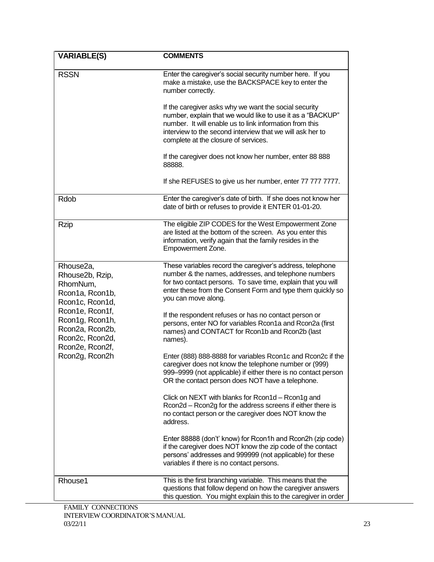| <b>VARIABLE(S)</b>                                                                          | <b>COMMENTS</b>                                                                                                                                                                                                                                                                     |
|---------------------------------------------------------------------------------------------|-------------------------------------------------------------------------------------------------------------------------------------------------------------------------------------------------------------------------------------------------------------------------------------|
| <b>RSSN</b>                                                                                 | Enter the caregiver's social security number here. If you<br>make a mistake, use the BACKSPACE key to enter the<br>number correctly.                                                                                                                                                |
|                                                                                             | If the caregiver asks why we want the social security<br>number, explain that we would like to use it as a "BACKUP"<br>number. It will enable us to link information from this<br>interview to the second interview that we will ask her to<br>complete at the closure of services. |
|                                                                                             | If the caregiver does not know her number, enter 88 888<br>88888.                                                                                                                                                                                                                   |
|                                                                                             | If she REFUSES to give us her number, enter 77 777 7777.                                                                                                                                                                                                                            |
| Rdob                                                                                        | Enter the caregiver's date of birth. If she does not know her<br>date of birth or refuses to provide it ENTER 01-01-20.                                                                                                                                                             |
| <b>Rzip</b>                                                                                 | The eligible ZIP CODES for the West Empowerment Zone<br>are listed at the bottom of the screen. As you enter this<br>information, verify again that the family resides in the<br>Empowerment Zone.                                                                                  |
| Rhouse2a,<br>Rhouse2b, Rzip,<br>RhomNum,<br>Rcon1a, Rcon1b,<br>Rcon1c, Rcon1d,              | These variables record the caregiver's address, telephone<br>number & the names, addresses, and telephone numbers<br>for two contact persons. To save time, explain that you will<br>enter these from the Consent Form and type them quickly so<br>you can move along.              |
| Rcon1e, Rcon1f,<br>Rcon1g, Rcon1h,<br>Rcon2a, Rcon2b,<br>Rcon2c, Rcon2d,<br>Rcon2e, Rcon2f, | If the respondent refuses or has no contact person or<br>persons, enter NO for variables Rcon1a and Rcon2a (first<br>names) and CONTACT for Rcon1b and Rcon2b (last<br>names).                                                                                                      |
| Rcon2g, Rcon2h                                                                              | Enter (888) 888-8888 for variables Rcon1c and Rcon2c if the<br>caregiver does not know the telephone number or (999)<br>999-9999 (not applicable) if either there is no contact person<br>OR the contact person does NOT have a telephone.                                          |
|                                                                                             | Click on NEXT with blanks for Rcon1d - Rcon1g and<br>Rcon2d - Rcon2g for the address screens if either there is<br>no contact person or the caregiver does NOT know the<br>address.                                                                                                 |
|                                                                                             | Enter 88888 (don't' know) for Rcon1h and Rcon2h (zip code)<br>if the caregiver does NOT know the zip code of the contact<br>persons' addresses and 999999 (not applicable) for these<br>variables if there is no contact persons.                                                   |
| Rhouse1                                                                                     | This is the first branching variable. This means that the<br>questions that follow depend on how the caregiver answers<br>this question. You might explain this to the caregiver in order                                                                                           |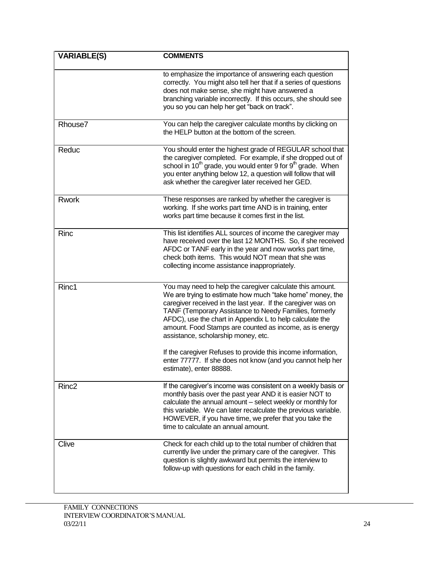| <b>VARIABLE(S)</b> | <b>COMMENTS</b>                                                                                                                                                                                                                                                                                                                                                                                                |
|--------------------|----------------------------------------------------------------------------------------------------------------------------------------------------------------------------------------------------------------------------------------------------------------------------------------------------------------------------------------------------------------------------------------------------------------|
|                    | to emphasize the importance of answering each question<br>correctly. You might also tell her that if a series of questions<br>does not make sense, she might have answered a<br>branching variable incorrectly. If this occurs, she should see<br>you so you can help her get "back on track".                                                                                                                 |
| Rhouse7            | You can help the caregiver calculate months by clicking on<br>the HELP button at the bottom of the screen.                                                                                                                                                                                                                                                                                                     |
| Reduc              | You should enter the highest grade of REGULAR school that<br>the caregiver completed. For example, if she dropped out of<br>school in 10 <sup>th</sup> grade, you would enter 9 for 9 <sup>th</sup> grade. When<br>you enter anything below 12, a question will follow that will<br>ask whether the caregiver later received her GED.                                                                          |
| <b>Rwork</b>       | These responses are ranked by whether the caregiver is<br>working. If she works part time AND is in training, enter<br>works part time because it comes first in the list.                                                                                                                                                                                                                                     |
| Rinc               | This list identifies ALL sources of income the caregiver may<br>have received over the last 12 MONTHS. So, if she received<br>AFDC or TANF early in the year and now works part time,<br>check both items. This would NOT mean that she was<br>collecting income assistance inappropriately.                                                                                                                   |
| Rinc1              | You may need to help the caregiver calculate this amount.<br>We are trying to estimate how much "take home" money, the<br>caregiver received in the last year. If the caregiver was on<br>TANF (Temporary Assistance to Needy Families, formerly<br>AFDC), use the chart in Appendix L to help calculate the<br>amount. Food Stamps are counted as income, as is energy<br>assistance, scholarship money, etc. |
|                    | If the caregiver Refuses to provide this income information,<br>enter 77777. If she does not know (and you cannot help her<br>estimate), enter 88888.                                                                                                                                                                                                                                                          |
| Rinc <sub>2</sub>  | If the caregiver's income was consistent on a weekly basis or<br>monthly basis over the past year AND it is easier NOT to<br>calculate the annual amount - select weekly or monthly for<br>this variable. We can later recalculate the previous variable.<br>HOWEVER, if you have time, we prefer that you take the<br>time to calculate an annual amount.                                                     |
| Clive              | Check for each child up to the total number of children that<br>currently live under the primary care of the caregiver. This<br>question is slightly awkward but permits the interview to<br>follow-up with questions for each child in the family.                                                                                                                                                            |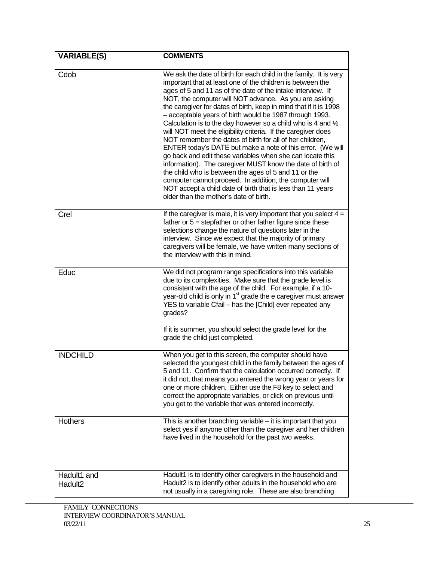| <b>VARIABLE(S)</b>                 | <b>COMMENTS</b>                                                                                                                                                                                                                                                                                                                                                                                                                                                                                                                                                                                                                                                                                                                                                                                                                                                                                                                                                                                                      |
|------------------------------------|----------------------------------------------------------------------------------------------------------------------------------------------------------------------------------------------------------------------------------------------------------------------------------------------------------------------------------------------------------------------------------------------------------------------------------------------------------------------------------------------------------------------------------------------------------------------------------------------------------------------------------------------------------------------------------------------------------------------------------------------------------------------------------------------------------------------------------------------------------------------------------------------------------------------------------------------------------------------------------------------------------------------|
| Cdob                               | We ask the date of birth for each child in the family. It is very<br>important that at least one of the children is between the<br>ages of 5 and 11 as of the date of the intake interview. If<br>NOT, the computer will NOT advance. As you are asking<br>the caregiver for dates of birth, keep in mind that if it is 1998<br>- acceptable years of birth would be 1987 through 1993.<br>Calculation is to the day however so a child who is 4 and $\frac{1}{2}$<br>will NOT meet the eligibility criteria. If the caregiver does<br>NOT remember the dates of birth for all of her children,<br>ENTER today's DATE but make a note of this error. (We will<br>go back and edit these variables when she can locate this<br>information). The caregiver MUST know the date of birth of<br>the child who is between the ages of 5 and 11 or the<br>computer cannot proceed. In addition, the computer will<br>NOT accept a child date of birth that is less than 11 years<br>older than the mother's date of birth. |
| Crel                               | If the caregiver is male, it is very important that you select $4 =$<br>father or $5 =$ stepfather or other father figure since these<br>selections change the nature of questions later in the<br>interview. Since we expect that the majority of primary<br>caregivers will be female, we have written many sections of<br>the interview with this in mind.                                                                                                                                                                                                                                                                                                                                                                                                                                                                                                                                                                                                                                                        |
| Educ                               | We did not program range specifications into this variable<br>due to its complexities. Make sure that the grade level is<br>consistent with the age of the child. For example, if a 10-<br>year-old child is only in $1st$ grade the e caregiver must answer<br>YES to variable Cfail - has the [Child] ever repeated any<br>grades?<br>If it is summer, you should select the grade level for the<br>grade the child just completed.                                                                                                                                                                                                                                                                                                                                                                                                                                                                                                                                                                                |
| <b>INDCHILD</b>                    | When you get to this screen, the computer should have<br>selected the youngest child in the family between the ages of<br>5 and 11. Confirm that the calculation occurred correctly. If<br>it did not, that means you entered the wrong year or years for<br>one or more children. Either use the F8 key to select and<br>correct the appropriate variables, or click on previous until<br>you get to the variable that was entered incorrectly.                                                                                                                                                                                                                                                                                                                                                                                                                                                                                                                                                                     |
| <b>Hothers</b>                     | This is another branching variable $-$ it is important that you<br>select yes if anyone other than the caregiver and her children<br>have lived in the household for the past two weeks.                                                                                                                                                                                                                                                                                                                                                                                                                                                                                                                                                                                                                                                                                                                                                                                                                             |
| Hadult1 and<br>Hadult <sub>2</sub> | Hadult1 is to identify other caregivers in the household and<br>Hadult2 is to identify other adults in the household who are<br>not usually in a caregiving role. These are also branching                                                                                                                                                                                                                                                                                                                                                                                                                                                                                                                                                                                                                                                                                                                                                                                                                           |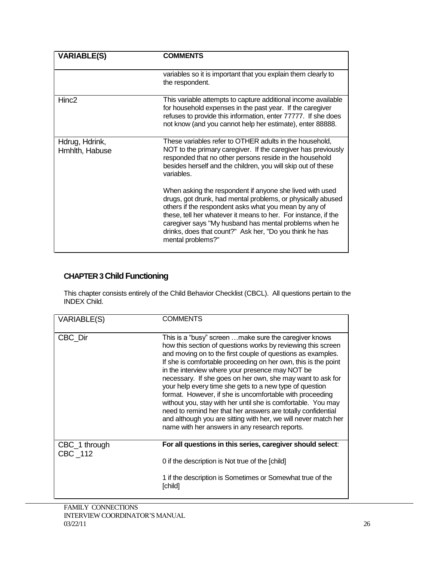| <b>VARIABLE(S)</b>               | <b>COMMENTS</b>                                                                                                                                                                                                                                                                                                                                                                              |
|----------------------------------|----------------------------------------------------------------------------------------------------------------------------------------------------------------------------------------------------------------------------------------------------------------------------------------------------------------------------------------------------------------------------------------------|
|                                  | variables so it is important that you explain them clearly to<br>the respondent.                                                                                                                                                                                                                                                                                                             |
| Hinc <sub>2</sub>                | This variable attempts to capture additional income available<br>for household expenses in the past year. If the caregiver<br>refuses to provide this information, enter 77777. If she does<br>not know (and you cannot help her estimate), enter 88888.                                                                                                                                     |
| Hdrug, Hdrink,<br>Hmhlth, Habuse | These variables refer to OTHER adults in the household,<br>NOT to the primary caregiver. If the caregiver has previously<br>responded that no other persons reside in the household<br>besides herself and the children, you will skip out of these<br>variables.                                                                                                                            |
|                                  | When asking the respondent if anyone she lived with used<br>drugs, got drunk, had mental problems, or physically abused<br>others if the respondent asks what you mean by any of<br>these, tell her whatever it means to her. For instance, if the<br>caregiver says "My husband has mental problems when he<br>drinks, does that count?" Ask her, "Do you think he has<br>mental problems?" |

## **CHAPTER 3 Child Functioning**

This chapter consists entirely of the Child Behavior Checklist (CBCL). All questions pertain to the INDEX Child.

| <b>VARIABLE(S)</b>       | <b>COMMENTS</b>                                                                                                                                                                                                                                                                                                                                                                                                                                                                                                                                                                                                                                                                                                                                    |
|--------------------------|----------------------------------------------------------------------------------------------------------------------------------------------------------------------------------------------------------------------------------------------------------------------------------------------------------------------------------------------------------------------------------------------------------------------------------------------------------------------------------------------------------------------------------------------------------------------------------------------------------------------------------------------------------------------------------------------------------------------------------------------------|
| CBC Dir                  | This is a "busy" screen make sure the caregiver knows<br>how this section of questions works by reviewing this screen<br>and moving on to the first couple of questions as examples.<br>If she is comfortable proceeding on her own, this is the point<br>in the interview where your presence may NOT be<br>necessary. If she goes on her own, she may want to ask for<br>your help every time she gets to a new type of question<br>format. However, if she is uncomfortable with proceeding<br>without you, stay with her until she is comfortable. You may<br>need to remind her that her answers are totally confidential<br>and although you are sitting with her, we will never match her<br>name with her answers in any research reports. |
| CBC_1 through<br>CBC 112 | For all questions in this series, caregiver should select:                                                                                                                                                                                                                                                                                                                                                                                                                                                                                                                                                                                                                                                                                         |
|                          | 0 if the description is Not true of the [child]                                                                                                                                                                                                                                                                                                                                                                                                                                                                                                                                                                                                                                                                                                    |
|                          | 1 if the description is Sometimes or Somewhat true of the<br>[child]                                                                                                                                                                                                                                                                                                                                                                                                                                                                                                                                                                                                                                                                               |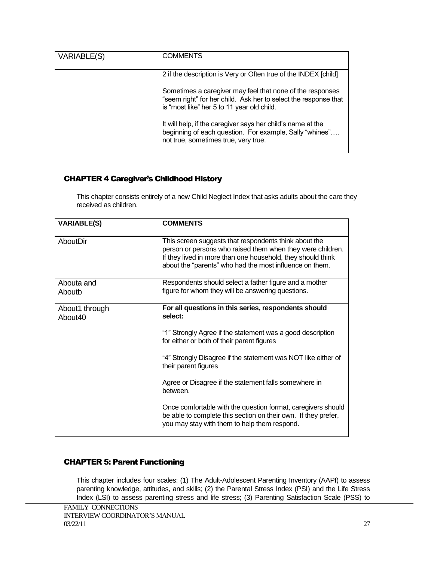| VARIABLE(S) | COMMENTS                                                                                                                                                                   |
|-------------|----------------------------------------------------------------------------------------------------------------------------------------------------------------------------|
|             | 2 if the description is Very or Often true of the INDEX [child]                                                                                                            |
|             | Sometimes a caregiver may feel that none of the responses<br>"seem right" for her child. Ask her to select the response that<br>is "most like" her 5 to 11 year old child. |
|             | It will help, if the caregiver says her child's name at the<br>beginning of each question. For example, Sally "whines"<br>not true, sometimes true, very true.             |

### CHAPTER 4 Caregiver's Childhood History

This chapter consists entirely of a new Child Neglect Index that asks adults about the care they received as children.

| <b>VARIABLE(S)</b>                    | <b>COMMENTS</b>                                                                                                                                                                                                                               |
|---------------------------------------|-----------------------------------------------------------------------------------------------------------------------------------------------------------------------------------------------------------------------------------------------|
| AboutDir                              | This screen suggests that respondents think about the<br>person or persons who raised them when they were children.<br>If they lived in more than one household, they should think<br>about the "parents" who had the most influence on them. |
| Abouta and<br>Aboutb                  | Respondents should select a father figure and a mother<br>figure for whom they will be answering questions.                                                                                                                                   |
| About1 through<br>About <sub>40</sub> | For all questions in this series, respondents should<br>select:                                                                                                                                                                               |
|                                       | "1" Strongly Agree if the statement was a good description<br>for either or both of their parent figures                                                                                                                                      |
|                                       | "4" Strongly Disagree if the statement was NOT like either of<br>their parent figures                                                                                                                                                         |
|                                       | Agree or Disagree if the statement falls somewhere in<br>between.                                                                                                                                                                             |
|                                       | Once comfortable with the question format, caregivers should<br>be able to complete this section on their own. If they prefer,<br>you may stay with them to help them respond.                                                                |

## CHAPTER 5: Parent Functioning

This chapter includes four scales: (1) The Adult-Adolescent Parenting Inventory (AAPI) to assess parenting knowledge, attitudes, and skills; (2) the Parental Stress Index (PSI) and the Life Stress Index (LSI) to assess parenting stress and life stress; (3) Parenting Satisfaction Scale (PSS) to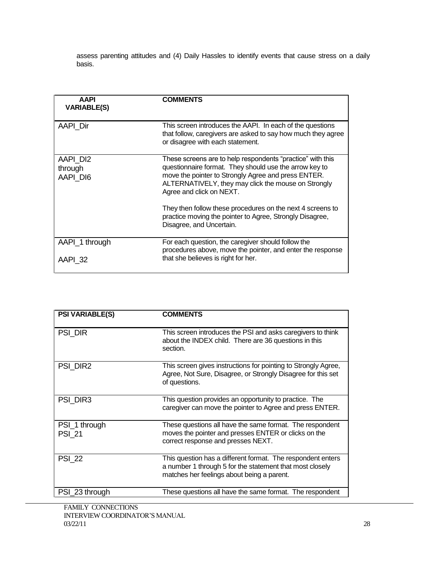assess parenting attitudes and (4) Daily Hassles to identify events that cause stress on a daily basis.

| <b>AAPI</b><br><b>VARIABLE(S)</b> | <b>COMMENTS</b>                                                                                                                                                                                                                                                |
|-----------------------------------|----------------------------------------------------------------------------------------------------------------------------------------------------------------------------------------------------------------------------------------------------------------|
| <b>AAPI Dir</b>                   | This screen introduces the AAPI. In each of the questions<br>that follow, caregivers are asked to say how much they agree<br>or disagree with each statement.                                                                                                  |
| AAPI DI2<br>through<br>AAPI DI6   | These screens are to help respondents "practice" with this<br>questionnaire format. They should use the arrow key to<br>move the pointer to Strongly Agree and press ENTER.<br>ALTERNATIVELY, they may click the mouse on Strongly<br>Agree and click on NEXT. |
|                                   | They then follow these procedures on the next 4 screens to<br>practice moving the pointer to Agree, Strongly Disagree,<br>Disagree, and Uncertain.                                                                                                             |
| AAPI_1 through<br>AAPI 32         | For each question, the caregiver should follow the<br>procedures above, move the pointer, and enter the response<br>that she believes is right for her.                                                                                                        |

| <b>PSI VARIABLE(S)</b>         | <b>COMMENTS</b>                                                                                                                                                       |
|--------------------------------|-----------------------------------------------------------------------------------------------------------------------------------------------------------------------|
| PSI DIR                        | This screen introduces the PSI and asks caregivers to think<br>about the INDEX child. There are 36 questions in this<br>section.                                      |
| PSI DIR2                       | This screen gives instructions for pointing to Strongly Agree,<br>Agree, Not Sure, Disagree, or Strongly Disagree for this set<br>of questions.                       |
| PSI DIR3                       | This question provides an opportunity to practice. The<br>caregiver can move the pointer to Agree and press ENTER.                                                    |
| PSI_1 through<br><b>PSI 21</b> | These questions all have the same format. The respondent<br>moves the pointer and presses ENTER or clicks on the<br>correct response and presses NEXT.                |
| <b>PSI 22</b>                  | This question has a different format. The respondent enters<br>a number 1 through 5 for the statement that most closely<br>matches her feelings about being a parent. |
| PSI_23 through                 | These questions all have the same format. The respondent                                                                                                              |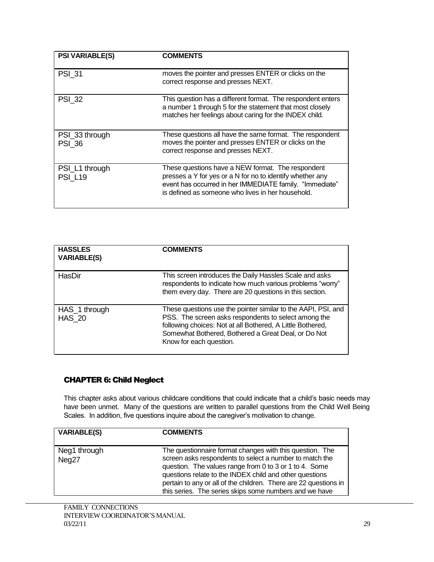| <b>PSI VARIABLE(S)</b>           | <b>COMMENTS</b>                                                                                                                                                                                                                |
|----------------------------------|--------------------------------------------------------------------------------------------------------------------------------------------------------------------------------------------------------------------------------|
| <b>PSI 31</b>                    | moves the pointer and presses ENTER or clicks on the<br>correct response and presses NEXT.                                                                                                                                     |
| <b>PSI 32</b>                    | This question has a different format. The respondent enters<br>a number 1 through 5 for the statement that most closely<br>matches her feelings about caring for the INDEX child.                                              |
| PSI_33 through<br><b>PSI 36</b>  | These questions all have the same format. The respondent<br>moves the pointer and presses ENTER or clicks on the<br>correct response and presses NEXT.                                                                         |
| PSI_L1 through<br><b>PSI_L19</b> | These questions have a NEW format. The respondent<br>presses a Y for yes or a N for no to identify whether any<br>event has occurred in her IMMEDIATE family. "Immediate"<br>is defined as someone who lives in her household. |

| <b>HASSLES</b><br><b>VARIABLE(S)</b> | <b>COMMENTS</b>                                                                                                                                                                                                                                                       |
|--------------------------------------|-----------------------------------------------------------------------------------------------------------------------------------------------------------------------------------------------------------------------------------------------------------------------|
| HasDir                               | This screen introduces the Daily Hassles Scale and asks<br>respondents to indicate how much various problems "worry"<br>them every day. There are 20 questions in this section.                                                                                       |
| HAS 1 through<br><b>HAS 20</b>       | These questions use the pointer similar to the AAPI, PSI, and<br>PSS. The screen asks respondents to select among the<br>following choices: Not at all Bothered, A Little Bothered,<br>Somewhat Bothered, Bothered a Great Deal, or Do Not<br>Know for each question. |

## CHAPTER 6: Child Neglect

This chapter asks about various childcare conditions that could indicate that a child's basic needs may have been unmet. Many of the questions are written to parallel questions from the Child Well Being Scales. In addition, five questions inquire about the caregiver's motivation to change.

| <b>VARIABLE(S)</b>    | <b>COMMENTS</b>                                                                                                                                                                                                                                                                                                                                                        |
|-----------------------|------------------------------------------------------------------------------------------------------------------------------------------------------------------------------------------------------------------------------------------------------------------------------------------------------------------------------------------------------------------------|
| Neg1 through<br>Neg27 | The questionnaire format changes with this question. The<br>screen asks respondents to select a number to match the<br>question. The values range from 0 to 3 or 1 to 4. Some<br>questions relate to the INDEX child and other questions<br>pertain to any or all of the children. There are 22 questions in<br>this series. The series skips some numbers and we have |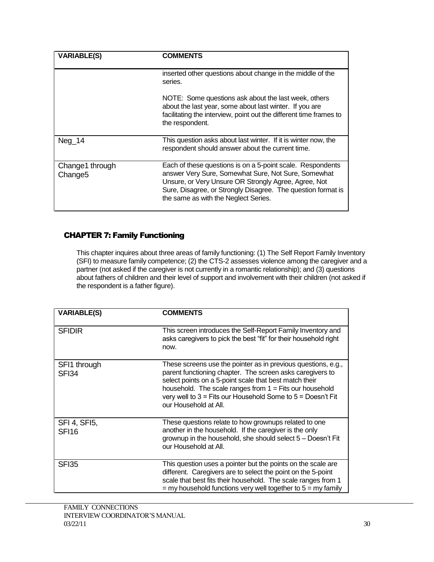| <b>VARIABLE(S)</b>                     | <b>COMMENTS</b>                                                                                                                                                                                                                                                                   |
|----------------------------------------|-----------------------------------------------------------------------------------------------------------------------------------------------------------------------------------------------------------------------------------------------------------------------------------|
|                                        | inserted other questions about change in the middle of the<br>series.                                                                                                                                                                                                             |
|                                        | NOTE: Some questions ask about the last week, others<br>about the last year, some about last winter. If you are<br>facilitating the interview, point out the different time frames to<br>the respondent.                                                                          |
| Neg 14                                 | This question asks about last winter. If it is winter now, the<br>respondent should answer about the current time.                                                                                                                                                                |
| Change1 through<br>Change <sub>5</sub> | Each of these questions is on a 5-point scale. Respondents<br>answer Very Sure, Somewhat Sure, Not Sure, Somewhat<br>Unsure, or Very Unsure OR Strongly Agree, Agree, Not<br>Sure, Disagree, or Strongly Disagree. The question format is<br>the same as with the Neglect Series. |

### CHAPTER 7: Family Functioning

This chapter inquires about three areas of family functioning: (1) The Self Report Family Inventory (SFI) to measure family competence; (2) the CTS-2 assesses violence among the caregiver and a partner (not asked if the caregiver is not currently in a romantic relationship); and (3) questions about fathers of children and their level of support and involvement with their children (not asked if the respondent is a father figure).

| <b>VARIABLE(S)</b>                | <b>COMMENTS</b>                                                                                                                                                                                                                                                                                                                               |
|-----------------------------------|-----------------------------------------------------------------------------------------------------------------------------------------------------------------------------------------------------------------------------------------------------------------------------------------------------------------------------------------------|
| <b>SFIDIR</b>                     | This screen introduces the Self-Report Family Inventory and<br>asks caregivers to pick the best "fit" for their household right<br>now.                                                                                                                                                                                                       |
| SFI1 through<br>SFI34             | These screens use the pointer as in previous questions, e.g.,<br>parent functioning chapter. The screen asks caregivers to<br>select points on a 5-point scale that best match their<br>household. The scale ranges from $1 =$ Fits our household<br>very well to $3 =$ Fits our Household Some to $5 =$ Doesn't Fit<br>our Household at All. |
| SFI 4, SFI5,<br>SFI <sub>16</sub> | These questions relate to how grownups related to one<br>another in the household. If the caregiver is the only<br>grownup in the household, she should select 5 - Doesn't Fit<br>our Household at All.                                                                                                                                       |
| <b>SFI35</b>                      | This question uses a pointer but the points on the scale are<br>different. Caregivers are to select the point on the 5-point<br>scale that best fits their household. The scale ranges from 1<br>$=$ my household functions very well together to $5 =$ my family                                                                             |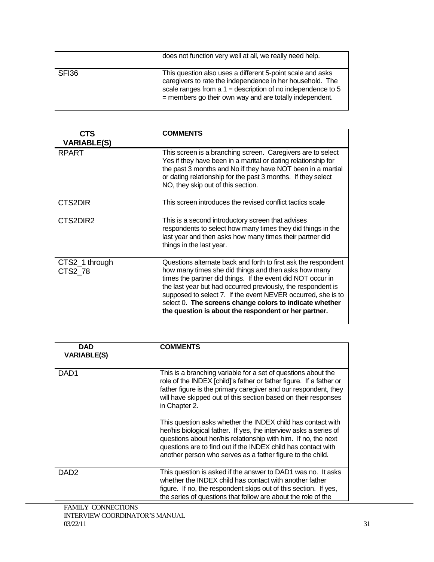|       | does not function very well at all, we really need help.                                                                                                                                                                                            |
|-------|-----------------------------------------------------------------------------------------------------------------------------------------------------------------------------------------------------------------------------------------------------|
| SFI36 | This question also uses a different 5-point scale and asks<br>caregivers to rate the independence in her household. The<br>scale ranges from a $1 =$ description of no independence to 5<br>= members go their own way and are totally independent. |

| CTS                       | <b>COMMENTS</b>                                                                                                                                                                                                                                                                                                                                                                                                                          |
|---------------------------|------------------------------------------------------------------------------------------------------------------------------------------------------------------------------------------------------------------------------------------------------------------------------------------------------------------------------------------------------------------------------------------------------------------------------------------|
| <b>VARIABLE(S)</b>        |                                                                                                                                                                                                                                                                                                                                                                                                                                          |
| <b>RPART</b>              | This screen is a branching screen. Caregivers are to select<br>Yes if they have been in a marital or dating relationship for<br>the past 3 months and No if they have NOT been in a martial<br>or dating relationship for the past 3 months. If they select<br>NO, they skip out of this section.                                                                                                                                        |
| CTS2DIR                   | This screen introduces the revised conflict tactics scale                                                                                                                                                                                                                                                                                                                                                                                |
| CTS2DIR2                  | This is a second introductory screen that advises<br>respondents to select how many times they did things in the<br>last year and then asks how many times their partner did<br>things in the last year.                                                                                                                                                                                                                                 |
| CTS2_1 through<br>CTS2 78 | Questions alternate back and forth to first ask the respondent<br>how many times she did things and then asks how many<br>times the partner did things. If the event did NOT occur in<br>the last year but had occurred previously, the respondent is<br>supposed to select 7. If the event NEVER occurred, she is to<br>select 0. The screens change colors to indicate whether<br>the question is about the respondent or her partner. |

| DAD<br><b>VARIABLE(S)</b> | <b>COMMENTS</b>                                                                                                                                                                                                                                                                                                                   |
|---------------------------|-----------------------------------------------------------------------------------------------------------------------------------------------------------------------------------------------------------------------------------------------------------------------------------------------------------------------------------|
| DAD1                      | This is a branching variable for a set of questions about the<br>role of the INDEX [child]'s father or father figure. If a father or<br>father figure is the primary caregiver and our respondent, they<br>will have skipped out of this section based on their responses<br>in Chapter 2.                                        |
|                           | This question asks whether the INDEX child has contact with<br>her/his biological father. If yes, the interview asks a series of<br>questions about her/his relationship with him. If no, the next<br>questions are to find out if the INDEX child has contact with<br>another person who serves as a father figure to the child. |
| DAD <sub>2</sub>          | This question is asked if the answer to DAD1 was no. It asks<br>whether the INDEX child has contact with another father<br>figure. If no, the respondent skips out of this section. If yes,<br>the series of questions that follow are about the role of the                                                                      |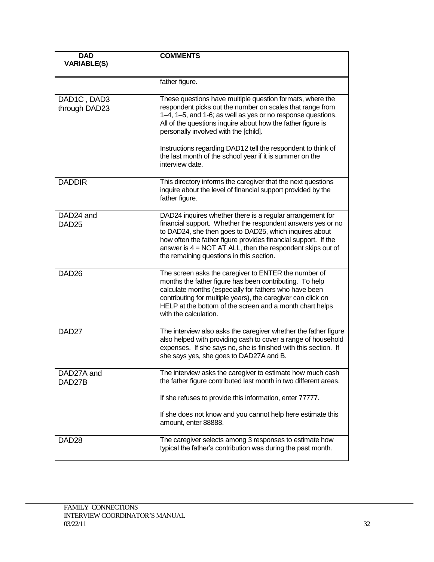| <b>DAD</b><br><b>VARIABLE(S)</b>           | <b>COMMENTS</b>                                                                                                                                                                                                                                                                                                                                                   |
|--------------------------------------------|-------------------------------------------------------------------------------------------------------------------------------------------------------------------------------------------------------------------------------------------------------------------------------------------------------------------------------------------------------------------|
|                                            | father figure.                                                                                                                                                                                                                                                                                                                                                    |
| DAD1C, DAD3<br>through DAD23               | These questions have multiple question formats, where the<br>respondent picks out the number on scales that range from<br>1-4, 1-5, and 1-6; as well as yes or no response questions.<br>All of the questions inquire about how the father figure is<br>personally involved with the [child].                                                                     |
|                                            | Instructions regarding DAD12 tell the respondent to think of<br>the last month of the school year if it is summer on the<br>interview date.                                                                                                                                                                                                                       |
| <b>DADDIR</b>                              | This directory informs the caregiver that the next questions<br>inquire about the level of financial support provided by the<br>father figure.                                                                                                                                                                                                                    |
| DAD <sub>24</sub> and<br>DAD <sub>25</sub> | DAD24 inquires whether there is a regular arrangement for<br>financial support. Whether the respondent answers yes or no<br>to DAD24, she then goes to DAD25, which inquires about<br>how often the father figure provides financial support. If the<br>answer is $4 = NOT AT ALL$ , then the respondent skips out of<br>the remaining questions in this section. |
| DAD <sub>26</sub>                          | The screen asks the caregiver to ENTER the number of<br>months the father figure has been contributing. To help<br>calculate months (especially for fathers who have been<br>contributing for multiple years), the caregiver can click on<br>HELP at the bottom of the screen and a month chart helps<br>with the calculation.                                    |
| DAD <sub>27</sub>                          | The interview also asks the caregiver whether the father figure<br>also helped with providing cash to cover a range of household<br>expenses. If she says no, she is finished with this section. If<br>she says yes, she goes to DAD27A and B.                                                                                                                    |
| DAD27A and<br>DAD27B                       | The interview asks the caregiver to estimate how much cash<br>the father figure contributed last month in two different areas.                                                                                                                                                                                                                                    |
|                                            | If she refuses to provide this information, enter 77777.                                                                                                                                                                                                                                                                                                          |
|                                            | If she does not know and you cannot help here estimate this<br>amount, enter 88888.                                                                                                                                                                                                                                                                               |
| DAD <sub>28</sub>                          | The caregiver selects among 3 responses to estimate how<br>typical the father's contribution was during the past month.                                                                                                                                                                                                                                           |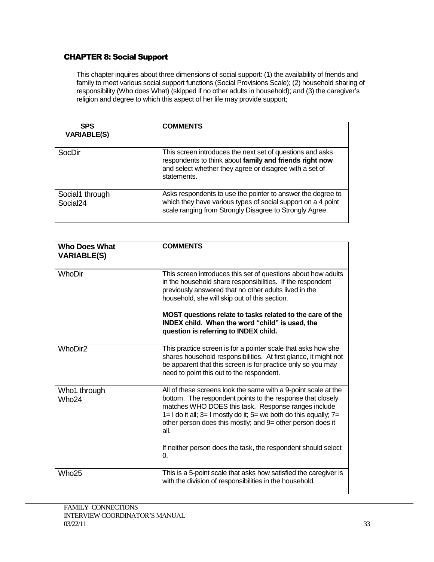## CHAPTER 8: Social Support

This chapter inquires about three dimensions of social support: (1) the availability of friends and family to meet various social support functions (Social Provisions Scale); (2) household sharing of responsibility (Who does What) (skipped if no other adults in household); and (3) the caregiver's religion and degree to which this aspect of her life may provide support;

| <b>SPS</b><br><b>VARIABLE(S)</b>        | <b>COMMENTS</b>                                                                                                                                                                                |
|-----------------------------------------|------------------------------------------------------------------------------------------------------------------------------------------------------------------------------------------------|
| SocDir                                  | This screen introduces the next set of questions and asks<br>respondents to think about family and friends right now<br>and select whether they agree or disagree with a set of<br>statements. |
| Social1 through<br>Social <sub>24</sub> | Asks respondents to use the pointer to answer the degree to<br>which they have various types of social support on a 4 point<br>scale ranging from Strongly Disagree to Strongly Agree.         |

| <b>Who Does What</b><br><b>VARIABLE(S)</b> | <b>COMMENTS</b>                                                                                                                                                                                                                                                                                                                              |
|--------------------------------------------|----------------------------------------------------------------------------------------------------------------------------------------------------------------------------------------------------------------------------------------------------------------------------------------------------------------------------------------------|
| WhoDir                                     | This screen introduces this set of questions about how adults<br>in the household share responsibilities. If the respondent<br>previously answered that no other adults lived in the<br>household, she will skip out of this section.                                                                                                        |
|                                            | MOST questions relate to tasks related to the care of the<br>INDEX child. When the word "child" is used, the<br>question is referring to INDEX child.                                                                                                                                                                                        |
| <b>WhoDir2</b>                             | This practice screen is for a pointer scale that asks how she<br>shares household responsibilities. At first glance, it might not<br>be apparent that this screen is for practice only so you may<br>need to point this out to the respondent.                                                                                               |
| Who1 through<br>Who <sub>24</sub>          | All of these screens look the same with a 9-point scale at the<br>bottom. The respondent points to the response that closely<br>matches WHO DOES this task. Response ranges include<br>$1 = 1$ do it all; $3 = 1$ mostly do it; $5 =$ we both do this equally; $7 = 1$<br>other person does this mostly; and 9= other person does it<br>all. |
|                                            | If neither person does the task, the respondent should select<br>0.                                                                                                                                                                                                                                                                          |
| Who <sub>25</sub>                          | This is a 5-point scale that asks how satisfied the caregiver is<br>with the division of responsibilities in the household.                                                                                                                                                                                                                  |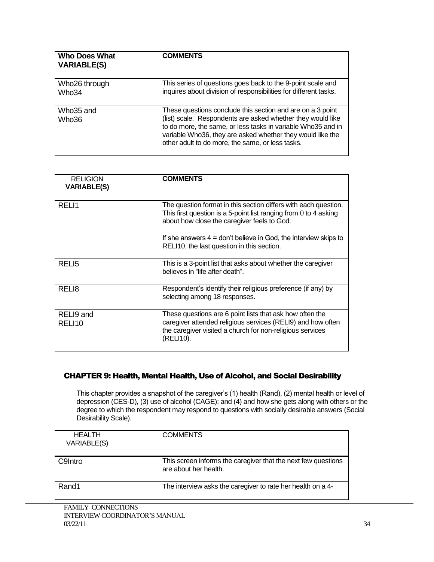| Who Does What<br><b>VARIABLE(S)</b> | <b>COMMENTS</b>                                                                                                                                                                                                                                                                                              |
|-------------------------------------|--------------------------------------------------------------------------------------------------------------------------------------------------------------------------------------------------------------------------------------------------------------------------------------------------------------|
| Who26 through<br>Who34              | This series of questions goes back to the 9-point scale and<br>inquires about division of responsibilities for different tasks.                                                                                                                                                                              |
| Who35 and<br>Who36                  | These questions conclude this section and are on a 3 point<br>(list) scale. Respondents are asked whether they would like<br>to do more, the same, or less tasks in variable Who 35 and in<br>variable Who36, they are asked whether they would like the<br>other adult to do more, the same, or less tasks. |

| <b>RELIGION</b><br><b>VARIABLE(S)</b> | <b>COMMENTS</b>                                                                                                                                                                                   |
|---------------------------------------|---------------------------------------------------------------------------------------------------------------------------------------------------------------------------------------------------|
| RELI1                                 | The question format in this section differs with each question.<br>This first question is a 5-point list ranging from 0 to 4 asking<br>about how close the caregiver feels to God.                |
|                                       | If she answers $4 =$ don't believe in God, the interview skips to<br>RELI10, the last question in this section.                                                                                   |
| RELI <sub>5</sub>                     | This is a 3-point list that asks about whether the caregiver<br>believes in "life after death".                                                                                                   |
| REL <sub>18</sub>                     | Respondent's identify their religious preference (if any) by<br>selecting among 18 responses.                                                                                                     |
| RELI9 and<br>RELI10                   | These questions are 6 point lists that ask how often the<br>caregiver attended religious services (RELI9) and how often<br>the caregiver visited a church for non-religious services<br>(RELI10). |

#### CHAPTER 9: Health, Mental Health, Use of Alcohol, and Social Desirability

This chapter provides a snapshot of the caregiver's (1) health (Rand), (2) mental health or level of depression (CES-D), (3) use of alcohol (CAGE); and (4) and how she gets along with others or the degree to which the respondent may respond to questions with socially desirable answers (Social Desirability Scale).

| <b>HEALTH</b><br>VARIABLE(S) | <b>COMMENTS</b>                                                                        |
|------------------------------|----------------------------------------------------------------------------------------|
| C9Intro                      | This screen informs the caregiver that the next few questions<br>are about her health. |
| Rand1                        | The interview asks the caregiver to rate her health on a 4-                            |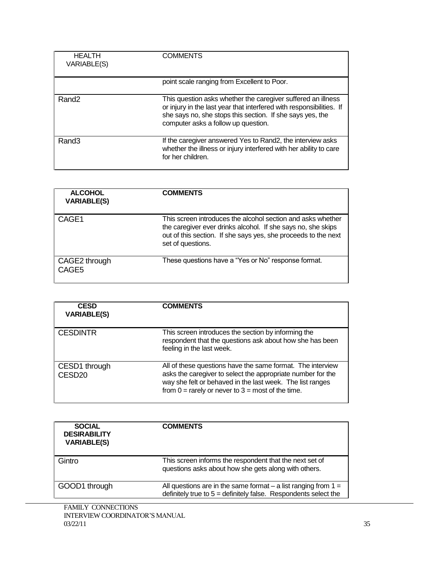| <b>HEALTH</b><br>VARIABLE(S) | <b>COMMENTS</b>                                                                                                                                                                                                                          |
|------------------------------|------------------------------------------------------------------------------------------------------------------------------------------------------------------------------------------------------------------------------------------|
|                              | point scale ranging from Excellent to Poor.                                                                                                                                                                                              |
| Rand <sub>2</sub>            | This question asks whether the caregiver suffered an illness<br>or injury in the last year that interfered with responsibilities. If<br>she says no, she stops this section. If she says yes, the<br>computer asks a follow up question. |
| Rand <sub>3</sub>            | If the caregiver answered Yes to Rand2, the interview asks<br>whether the illness or injury interfered with her ability to care<br>for her children.                                                                                     |

| <b>ALCOHOL</b><br><b>VARIABLE(S)</b> | <b>COMMENTS</b>                                                                                                                                                                                                    |
|--------------------------------------|--------------------------------------------------------------------------------------------------------------------------------------------------------------------------------------------------------------------|
| CAGE1                                | This screen introduces the alcohol section and asks whether<br>the caregiver ever drinks alcohol. If she says no, she skips<br>out of this section. If she says yes, she proceeds to the next<br>set of questions. |
| CAGE2 through<br>CAGE5               | These questions have a "Yes or No" response format.                                                                                                                                                                |

| <b>CESD</b><br><b>VARIABLE(S)</b>   | <b>COMMENTS</b>                                                                                                                                                                                                                                 |
|-------------------------------------|-------------------------------------------------------------------------------------------------------------------------------------------------------------------------------------------------------------------------------------------------|
| <b>CESDINTR</b>                     | This screen introduces the section by informing the<br>respondent that the questions ask about how she has been<br>feeling in the last week.                                                                                                    |
| CESD1 through<br>CESD <sub>20</sub> | All of these questions have the same format. The interview<br>asks the caregiver to select the appropriate number for the<br>way she felt or behaved in the last week. The list ranges<br>from $0 =$ rarely or never to $3 =$ most of the time. |

| <b>SOCIAL</b><br><b>DESIRABILITY</b><br><b>VARIABLE(S)</b> | COMMENTS                                                                                                                                |
|------------------------------------------------------------|-----------------------------------------------------------------------------------------------------------------------------------------|
| Gintro                                                     | This screen informs the respondent that the next set of<br>questions asks about how she gets along with others.                         |
| GOOD1 through                                              | All questions are in the same format $-$ a list ranging from $1 =$<br>definitely true to $5 =$ definitely false. Respondents select the |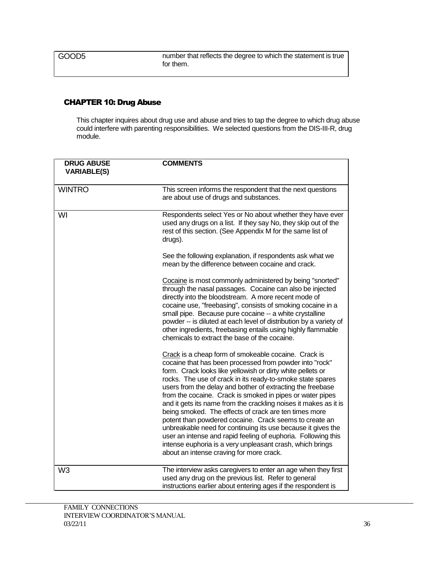## CHAPTER 10: Drug Abuse

This chapter inquires about drug use and abuse and tries to tap the degree to which drug abuse could interfere with parenting responsibilities. We selected questions from the DIS-III-R, drug module.

| <b>DRUG ABUSE</b><br><b>VARIABLE(S)</b> | <b>COMMENTS</b>                                                                                                                                                                                                                                                                                                                                                                                                                                                                                                                                                                                                                                                                                                                                                                                         |
|-----------------------------------------|---------------------------------------------------------------------------------------------------------------------------------------------------------------------------------------------------------------------------------------------------------------------------------------------------------------------------------------------------------------------------------------------------------------------------------------------------------------------------------------------------------------------------------------------------------------------------------------------------------------------------------------------------------------------------------------------------------------------------------------------------------------------------------------------------------|
| <b>WINTRO</b>                           | This screen informs the respondent that the next questions<br>are about use of drugs and substances.                                                                                                                                                                                                                                                                                                                                                                                                                                                                                                                                                                                                                                                                                                    |
| WI                                      | Respondents select Yes or No about whether they have ever<br>used any drugs on a list. If they say No, they skip out of the<br>rest of this section. (See Appendix M for the same list of<br>drugs).                                                                                                                                                                                                                                                                                                                                                                                                                                                                                                                                                                                                    |
|                                         | See the following explanation, if respondents ask what we<br>mean by the difference between cocaine and crack.                                                                                                                                                                                                                                                                                                                                                                                                                                                                                                                                                                                                                                                                                          |
|                                         | Cocaine is most commonly administered by being "snorted"<br>through the nasal passages. Cocaine can also be injected<br>directly into the bloodstream. A more recent mode of<br>cocaine use, "freebasing", consists of smoking cocaine in a<br>small pipe. Because pure cocaine -- a white crystalline<br>powder -- is diluted at each level of distribution by a variety of<br>other ingredients, freebasing entails using highly flammable<br>chemicals to extract the base of the cocaine.                                                                                                                                                                                                                                                                                                           |
|                                         | Crack is a cheap form of smokeable cocaine. Crack is<br>cocaine that has been processed from powder into "rock"<br>form. Crack looks like yellowish or dirty white pellets or<br>rocks. The use of crack in its ready-to-smoke state spares<br>users from the delay and bother of extracting the freebase<br>from the cocaine. Crack is smoked in pipes or water pipes<br>and it gets its name from the crackling noises it makes as it is<br>being smoked. The effects of crack are ten times more<br>potent than powdered cocaine. Crack seems to create an<br>unbreakable need for continuing its use because it gives the<br>user an intense and rapid feeling of euphoria. Following this<br>intense euphoria is a very unpleasant crash, which brings<br>about an intense craving for more crack. |
| W <sub>3</sub>                          | The interview asks caregivers to enter an age when they first<br>used any drug on the previous list. Refer to general<br>instructions earlier about entering ages if the respondent is                                                                                                                                                                                                                                                                                                                                                                                                                                                                                                                                                                                                                  |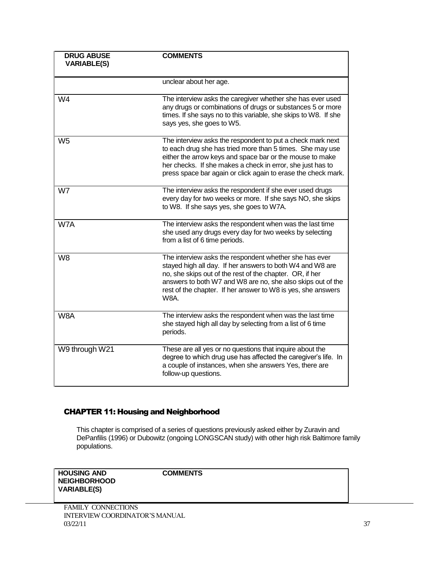| <b>DRUG ABUSE</b><br><b>VARIABLE(S)</b> | <b>COMMENTS</b>                                                                                                                                                                                                                                                                                                               |
|-----------------------------------------|-------------------------------------------------------------------------------------------------------------------------------------------------------------------------------------------------------------------------------------------------------------------------------------------------------------------------------|
|                                         | unclear about her age.                                                                                                                                                                                                                                                                                                        |
| W <sub>4</sub>                          | The interview asks the caregiver whether she has ever used<br>any drugs or combinations of drugs or substances 5 or more<br>times. If she says no to this variable, she skips to W8. If she<br>says yes, she goes to W5.                                                                                                      |
| W <sub>5</sub>                          | The interview asks the respondent to put a check mark next<br>to each drug she has tried more than 5 times. She may use<br>either the arrow keys and space bar or the mouse to make<br>her checks. If she makes a check in error, she just has to<br>press space bar again or click again to erase the check mark.            |
| W7                                      | The interview asks the respondent if she ever used drugs<br>every day for two weeks or more. If she says NO, she skips<br>to W8. If she says yes, she goes to W7A.                                                                                                                                                            |
| W7A                                     | The interview asks the respondent when was the last time<br>she used any drugs every day for two weeks by selecting<br>from a list of 6 time periods.                                                                                                                                                                         |
| W <sub>8</sub>                          | The interview asks the respondent whether she has ever<br>stayed high all day. If her answers to both W4 and W8 are<br>no, she skips out of the rest of the chapter. OR, if her<br>answers to both W7 and W8 are no, she also skips out of the<br>rest of the chapter. If her answer to W8 is yes, she answers<br><b>W8A.</b> |
| W8A                                     | The interview asks the respondent when was the last time<br>she stayed high all day by selecting from a list of 6 time<br>periods.                                                                                                                                                                                            |
| W9 through W21                          | These are all yes or no questions that inquire about the<br>degree to which drug use has affected the caregiver's life. In<br>a couple of instances, when she answers Yes, there are<br>follow-up questions.                                                                                                                  |

## CHAPTER 11: Housing and Neighborhood

This chapter is comprised of a series of questions previously asked either by Zuravin and DePanfilis (1996) or Dubowitz (ongoing LONGSCAN study) with other high risk Baltimore family populations.

**HOUSING AND NEIGHBORHOOD VARIABLE(S)**

**COMMENTS**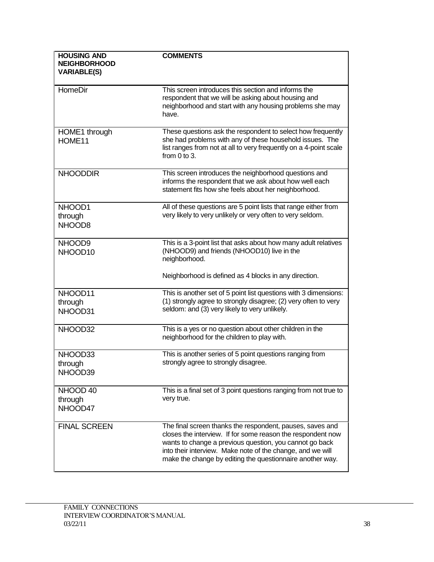| <b>HOUSING AND</b>                        | <b>COMMENTS</b>                                                                                                                                                                                                                                                                                                |
|-------------------------------------------|----------------------------------------------------------------------------------------------------------------------------------------------------------------------------------------------------------------------------------------------------------------------------------------------------------------|
| <b>NEIGHBORHOOD</b><br><b>VARIABLE(S)</b> |                                                                                                                                                                                                                                                                                                                |
| HomeDir                                   | This screen introduces this section and informs the<br>respondent that we will be asking about housing and<br>neighborhood and start with any housing problems she may<br>have.                                                                                                                                |
| HOME1 through<br>HOME11                   | These questions ask the respondent to select how frequently<br>she had problems with any of these household issues. The<br>list ranges from not at all to very frequently on a 4-point scale<br>from $0$ to $3$ .                                                                                              |
| <b>NHOODDIR</b>                           | This screen introduces the neighborhood questions and<br>informs the respondent that we ask about how well each<br>statement fits how she feels about her neighborhood.                                                                                                                                        |
| NHOOD1<br>through<br>NHOOD8               | All of these questions are 5 point lists that range either from<br>very likely to very unlikely or very often to very seldom.                                                                                                                                                                                  |
| NHOOD9<br>NHOOD10                         | This is a 3-point list that asks about how many adult relatives<br>(NHOOD9) and friends (NHOOD10) live in the<br>neighborhood.                                                                                                                                                                                 |
|                                           | Neighborhood is defined as 4 blocks in any direction.                                                                                                                                                                                                                                                          |
| NHOOD11<br>through<br>NHOOD31             | This is another set of 5 point list questions with 3 dimensions:<br>(1) strongly agree to strongly disagree; (2) very often to very<br>seldom: and (3) very likely to very unlikely.                                                                                                                           |
| NHOOD32                                   | This is a yes or no question about other children in the<br>neighborhood for the children to play with.                                                                                                                                                                                                        |
| NHOOD33<br>through<br>NHOOD39             | This is another series of 5 point questions ranging from<br>strongly agree to strongly disagree.                                                                                                                                                                                                               |
| NHOOD 40<br>through<br>NHOOD47            | This is a final set of 3 point questions ranging from not true to<br>very true.                                                                                                                                                                                                                                |
| <b>FINAL SCREEN</b>                       | The final screen thanks the respondent, pauses, saves and<br>closes the interview. If for some reason the respondent now<br>wants to change a previous question, you cannot go back<br>into their interview. Make note of the change, and we will<br>make the change by editing the questionnaire another way. |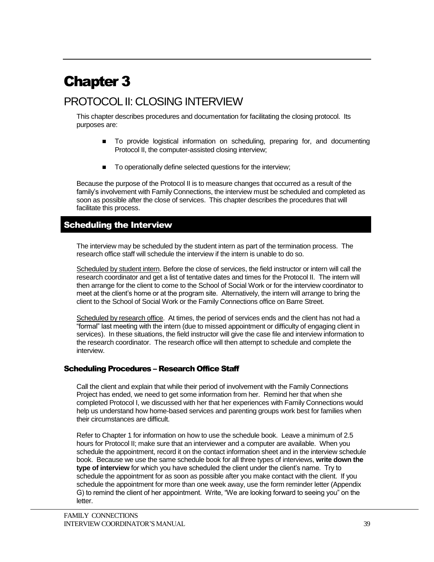# Chapter 3

## PROTOCOL II: CLOSING INTERVIEW

This chapter describes procedures and documentation for facilitating the closing protocol. Its purposes are:

- To provide logistical information on scheduling, preparing for, and documenting Protocol II, the computer-assisted closing interview;
- To operationally define selected questions for the interview;

Because the purpose of the Protocol II is to measure changes that occurred as a result of the family's involvement with Family Connections, the interview must be scheduled and completed as soon as possible after the close of services. This chapter describes the procedures that will facilitate this process.

## Scheduling the Interview

The interview may be scheduled by the student intern as part of the termination process. The research office staff will schedule the interview if the intern is unable to do so.

Scheduled by student intern. Before the close of services, the field instructor or intern will call the research coordinator and get a list of tentative dates and times for the Protocol II. The intern will then arrange for the client to come to the School of Social Work or for the interview coordinator to meet at the client's home or at the program site. Alternatively, the intern will arrange to bring the client to the School of Social Work or the Family Connections office on Barre Street.

Scheduled by research office. At times, the period of services ends and the client has not had a "formal" last meeting with the intern (due to missed appointment or difficulty of engaging client in services). In these situations, the field instructor will give the case file and interview information to the research coordinator. The research office will then attempt to schedule and complete the interview.

#### Scheduling Procedures – Research Office Staff

Call the client and explain that while their period of involvement with the Family Connections Project has ended, we need to get some information from her. Remind her that when she completed Protocol I, we discussed with her that her experiences with Family Connections would help us understand how home-based services and parenting groups work best for families when their circumstances are difficult.

Refer to Chapter 1 for information on how to use the schedule book. Leave a minimum of 2.5 hours for Protocol II; make sure that an interviewer and a computer are available. When you schedule the appointment, record it on the contact information sheet and in the interview schedule book. Because we use the same schedule book for all three types of interviews, **write down the type of interview** for which you have scheduled the client under the client's name. Try to schedule the appointment for as soon as possible after you make contact with the client. If you schedule the appointment for more than one week away, use the form reminder letter (Appendix G) to remind the client of her appointment. Write, "We are looking forward to seeing you" on the letter.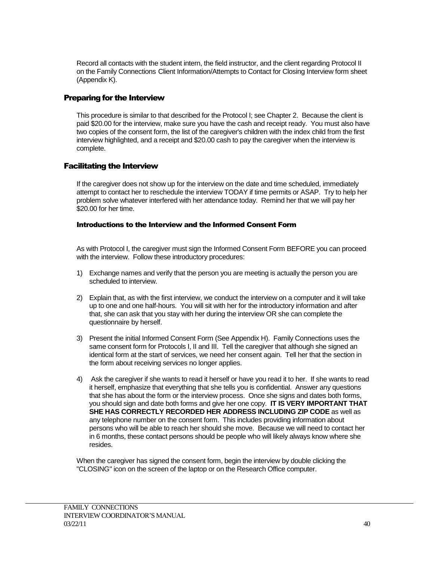Record all contacts with the student intern, the field instructor, and the client regarding Protocol II on the Family Connections Client Information/Attempts to Contact for Closing Interview form sheet (Appendix K).

#### Preparing for the Interview

This procedure is similar to that described for the Protocol I; see Chapter 2. Because the client is paid \$20.00 for the interview, make sure you have the cash and receipt ready. You must also have two copies of the consent form, the list of the caregiver's children with the index child from the first interview highlighted, and a receipt and \$20.00 cash to pay the caregiver when the interview is complete.

#### Facilitating the Interview

If the caregiver does not show up for the interview on the date and time scheduled, immediately attempt to contact her to reschedule the interview TODAY if time permits or ASAP. Try to help her problem solve whatever interfered with her attendance today. Remind her that we will pay her \$20.00 for her time.

#### Introductions to the Interview and the Informed Consent Form

As with Protocol I, the caregiver must sign the Informed Consent Form BEFORE you can proceed with the interview. Follow these introductory procedures:

- 1) Exchange names and verify that the person you are meeting is actually the person you are scheduled to interview.
- 2) Explain that, as with the first interview, we conduct the interview on a computer and it will take up to one and one half-hours. You will sit with her for the introductory information and after that, she can ask that you stay with her during the interview OR she can complete the questionnaire by herself.
- 3) Present the initial Informed Consent Form (See Appendix H). Family Connections uses the same consent form for Protocols I, II and III. Tell the caregiver that although she signed an identical form at the start of services, we need her consent again. Tell her that the section in the form about receiving services no longer applies.
- 4) Ask the caregiver if she wants to read it herself or have you read it to her. If she wants to read it herself, emphasize that everything that she tells you is confidential. Answer any questions that she has about the form or the interview process. Once she signs and dates both forms, you should sign and date both forms and give her one copy. **IT IS VERY IMPORTANT THAT SHE HAS CORRECTLY RECORDED HER ADDRESS INCLUDING ZIP CODE** as well as any telephone number on the consent form. This includes providing information about persons who will be able to reach her should she move. Because we will need to contact her in 6 months, these contact persons should be people who will likely always know where she resides.

When the caregiver has signed the consent form, begin the interview by double clicking the "CLOSING" icon on the screen of the laptop or on the Research Office computer.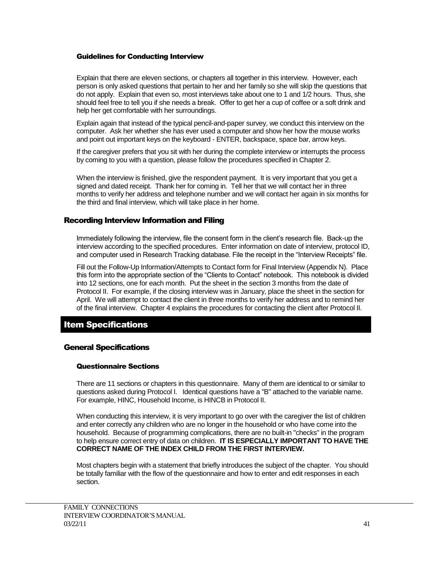#### Guidelines for Conducting Interview

Explain that there are eleven sections, or chapters all together in this interview. However, each person is only asked questions that pertain to her and her family so she will skip the questions that do not apply. Explain that even so, most interviews take about one to 1 and 1/2 hours. Thus, she should feel free to tell you if she needs a break. Offer to get her a cup of coffee or a soft drink and help her get comfortable with her surroundings.

Explain again that instead of the typical pencil-and-paper survey, we conduct this interview on the computer. Ask her whether she has ever used a computer and show her how the mouse works and point out important keys on the keyboard - ENTER, backspace, space bar, arrow keys.

If the caregiver prefers that you sit with her during the complete interview or interrupts the process by coming to you with a question, please follow the procedures specified in Chapter 2.

When the interview is finished, give the respondent payment. It is very important that you get a signed and dated receipt. Thank her for coming in. Tell her that we will contact her in three months to verify her address and telephone number and we will contact her again in six months for the third and final interview, which will take place in her home.

#### Recording Interview Information and Filing

Immediately following the interview, file the consent form in the client's research file. Back-up the interview according to the specified procedures. Enter information on date of interview, protocol ID, and computer used in Research Tracking database. File the receipt in the "Interview Receipts" file.

Fill out the Follow-Up Information/Attempts to Contact form for Final Interview (Appendix N). Place this form into the appropriate section of the "Clients to Contact" notebook. This notebook is divided into 12 sections, one for each month. Put the sheet in the section 3 months from the date of Protocol II. For example, if the closing interview was in January, place the sheet in the section for April. We will attempt to contact the client in three months to verify her address and to remind her of the final interview. Chapter 4 explains the procedures for contacting the client after Protocol II.

## Item Specifications

#### General Specifications

#### Questionnaire Sections

There are 11 sections or chapters in this questionnaire. Many of them are identical to or similar to questions asked during Protocol I. Identical questions have a "B" attached to the variable name. For example, HINC, Household Income, is HINCB in Protocol II.

When conducting this interview, it is very important to go over with the caregiver the list of children and enter correctly any children who are no longer in the household or who have come into the household. Because of programming complications, there are no built-in "checks" in the program to help ensure correct entry of data on children. **IT IS ESPECIALLY IMPORTANT TO HAVE THE CORRECT NAME OF THE INDEX CHILD FROM THE FIRST INTERVIEW.**

Most chapters begin with a statement that briefly introduces the subject of the chapter. You should be totally familiar with the flow of the questionnaire and how to enter and edit responses in each section.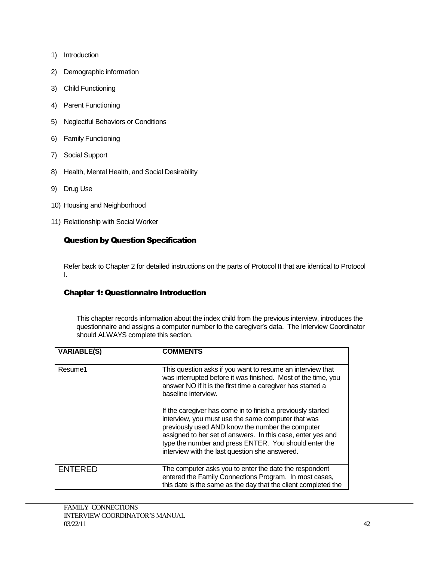- 1) Introduction
- 2) Demographic information
- 3) Child Functioning
- 4) Parent Functioning
- 5) Neglectful Behaviors or Conditions
- 6) Family Functioning
- 7) Social Support
- 8) Health, Mental Health, and Social Desirability
- 9) Drug Use
- 10) Housing and Neighborhood
- 11) Relationship with Social Worker

## Question by Question Specification

Refer back to Chapter 2 for detailed instructions on the parts of Protocol II that are identical to Protocol I.

## Chapter 1: Questionnaire Introduction

This chapter records information about the index child from the previous interview, introduces the questionnaire and assigns a computer number to the caregiver's data. The Interview Coordinator should ALWAYS complete this section.

| <b>VARIABLE(S)</b> | <b>COMMENTS</b>                                                                                                                                                                                                                                                                                                                                 |
|--------------------|-------------------------------------------------------------------------------------------------------------------------------------------------------------------------------------------------------------------------------------------------------------------------------------------------------------------------------------------------|
| Resume1            | This question asks if you want to resume an interview that<br>was interrupted before it was finished. Most of the time, you<br>answer NO if it is the first time a caregiver has started a<br>baseline interview.                                                                                                                               |
|                    | If the caregiver has come in to finish a previously started<br>interview, you must use the same computer that was<br>previously used AND know the number the computer<br>assigned to her set of answers. In this case, enter yes and<br>type the number and press ENTER. You should enter the<br>interview with the last question she answered. |
| <b>ENTERED</b>     | The computer asks you to enter the date the respondent<br>entered the Family Connections Program. In most cases,<br>this date is the same as the day that the client completed the                                                                                                                                                              |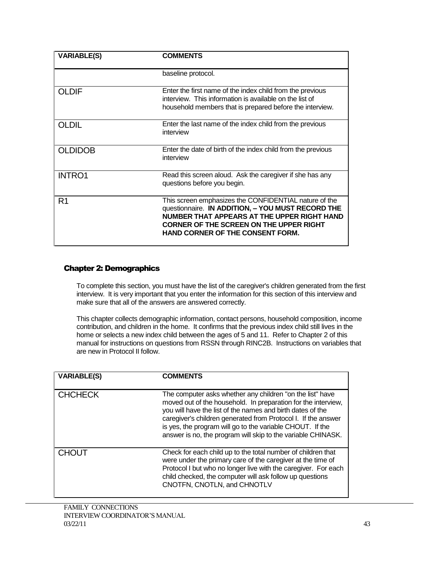| <b>VARIABLE(S)</b> | <b>COMMENTS</b>                                                                                                                                                                                                                                        |
|--------------------|--------------------------------------------------------------------------------------------------------------------------------------------------------------------------------------------------------------------------------------------------------|
|                    | baseline protocol.                                                                                                                                                                                                                                     |
| OLDIF              | Enter the first name of the index child from the previous<br>interview. This information is available on the list of<br>household members that is prepared before the interview.                                                                       |
| <b>OLDIL</b>       | Enter the last name of the index child from the previous<br>interview                                                                                                                                                                                  |
| <b>OLDIDOB</b>     | Enter the date of birth of the index child from the previous<br>interview                                                                                                                                                                              |
| <b>INTRO1</b>      | Read this screen aloud. Ask the caregiver if she has any<br>questions before you begin.                                                                                                                                                                |
| R <sub>1</sub>     | This screen emphasizes the CONFIDENTIAL nature of the<br>questionnaire. IN ADDITION, - YOU MUST RECORD THE<br>NUMBER THAT APPEARS AT THE UPPER RIGHT HAND<br><b>CORNER OF THE SCREEN ON THE UPPER RIGHT</b><br><b>HAND CORNER OF THE CONSENT FORM.</b> |

#### Chapter 2: Demographics

To complete this section, you must have the list of the caregiver's children generated from the first interview. It is very important that you enter the information for this section of this interview and make sure that all of the answers are answered correctly.

This chapter collects demographic information, contact persons, household composition, income contribution, and children in the home. It confirms that the previous index child still lives in the home or selects a new index child between the ages of 5 and 11. Refer to Chapter 2 of this manual for instructions on questions from RSSN through RINC2B. Instructions on variables that are new in Protocol II follow.

| <b>VARIABLE(S)</b> | <b>COMMENTS</b>                                                                                                                                                                                                                                                                                                                                                                        |
|--------------------|----------------------------------------------------------------------------------------------------------------------------------------------------------------------------------------------------------------------------------------------------------------------------------------------------------------------------------------------------------------------------------------|
| <b>CHCHECK</b>     | The computer asks whether any children "on the list" have<br>moved out of the household. In preparation for the interview,<br>you will have the list of the names and birth dates of the<br>caregiver's children generated from Protocol I. If the answer<br>is yes, the program will go to the variable CHOUT. If the<br>answer is no, the program will skip to the variable CHINASK. |
| <b>CHOUT</b>       | Check for each child up to the total number of children that<br>were under the primary care of the caregiver at the time of<br>Protocol I but who no longer live with the caregiver. For each<br>child checked, the computer will ask follow up questions<br>CNOTFN, CNOTLN, and CHNOTLV                                                                                               |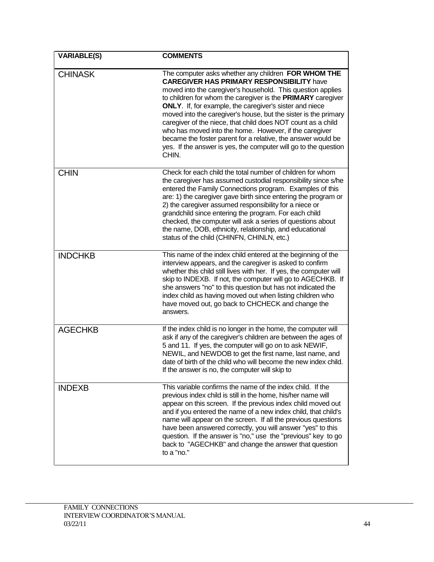| <b>VARIABLE(S)</b> | <b>COMMENTS</b>                                                                                                                                                                                                                                                                                                                                                                                                                                                                                                                                                                                                                                   |
|--------------------|---------------------------------------------------------------------------------------------------------------------------------------------------------------------------------------------------------------------------------------------------------------------------------------------------------------------------------------------------------------------------------------------------------------------------------------------------------------------------------------------------------------------------------------------------------------------------------------------------------------------------------------------------|
| <b>CHINASK</b>     | The computer asks whether any children FOR WHOM THE<br><b>CAREGIVER HAS PRIMARY RESPONSIBILITY have</b><br>moved into the caregiver's household. This question applies<br>to children for whom the caregiver is the PRIMARY caregiver<br><b>ONLY</b> . If, for example, the caregiver's sister and niece<br>moved into the caregiver's house, but the sister is the primary<br>caregiver of the niece, that child does NOT count as a child<br>who has moved into the home. However, if the caregiver<br>became the foster parent for a relative, the answer would be<br>yes. If the answer is yes, the computer will go to the question<br>CHIN. |
| <b>CHIN</b>        | Check for each child the total number of children for whom<br>the caregiver has assumed custodial responsibility since s/he<br>entered the Family Connections program. Examples of this<br>are: 1) the caregiver gave birth since entering the program or<br>2) the caregiver assumed responsibility for a niece or<br>grandchild since entering the program. For each child<br>checked, the computer will ask a series of questions about<br>the name, DOB, ethnicity, relationship, and educational<br>status of the child (CHINFN, CHINLN, etc.)                                                                                               |
| <b>INDCHKB</b>     | This name of the index child entered at the beginning of the<br>interview appears, and the caregiver is asked to confirm<br>whether this child still lives with her. If yes, the computer will<br>skip to INDEXB. If not, the computer will go to AGECHKB. If<br>she answers "no" to this question but has not indicated the<br>index child as having moved out when listing children who<br>have moved out, go back to CHCHECK and change the<br>answers.                                                                                                                                                                                        |
| <b>AGECHKB</b>     | If the index child is no longer in the home, the computer will<br>ask if any of the caregiver's children are between the ages of<br>5 and 11. If yes, the computer will go on to ask NEWIF,<br>NEWIL, and NEWDOB to get the first name, last name, and<br>date of birth of the child who will become the new index child.<br>If the answer is no, the computer will skip to                                                                                                                                                                                                                                                                       |
| <b>INDEXB</b>      | This variable confirms the name of the index child. If the<br>previous index child is still in the home, his/her name will<br>appear on this screen. If the previous index child moved out<br>and if you entered the name of a new index child, that child's<br>name will appear on the screen. If all the previous questions<br>have been answered correctly, you will answer "yes" to this<br>question. If the answer is "no," use the "previous" key to go<br>back to "AGECHKB" and change the answer that question<br>to a "no."                                                                                                              |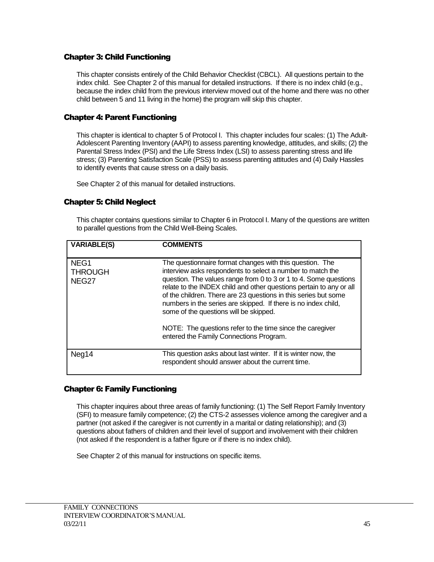#### Chapter 3: Child Functioning

This chapter consists entirely of the Child Behavior Checklist (CBCL). All questions pertain to the index child. See Chapter 2 of this manual for detailed instructions. If there is no index child (e.g., because the index child from the previous interview moved out of the home and there was no other child between 5 and 11 living in the home) the program will skip this chapter.

### Chapter 4: Parent Functioning

This chapter is identical to chapter 5 of Protocol I. This chapter includes four scales: (1) The Adult-Adolescent Parenting Inventory (AAPI) to assess parenting knowledge, attitudes, and skills; (2) the Parental Stress Index (PSI) and the Life Stress Index (LSI) to assess parenting stress and life stress; (3) Parenting Satisfaction Scale (PSS) to assess parenting attitudes and (4) Daily Hassles to identify events that cause stress on a daily basis.

See Chapter 2 of this manual for detailed instructions.

#### Chapter 5: Child Neglect

This chapter contains questions similar to Chapter 6 in Protocol I. Many of the questions are written to parallel questions from the Child Well-Being Scales.

| <b>VARIABLE(S)</b>                          | <b>COMMENTS</b>                                                                                                                                                                                                                                                                                                                                                                                                                                  |
|---------------------------------------------|--------------------------------------------------------------------------------------------------------------------------------------------------------------------------------------------------------------------------------------------------------------------------------------------------------------------------------------------------------------------------------------------------------------------------------------------------|
| NEG <sub>1</sub><br><b>THROUGH</b><br>NEG27 | The questionnaire format changes with this question. The<br>interview asks respondents to select a number to match the<br>question. The values range from 0 to 3 or 1 to 4. Some questions<br>relate to the INDEX child and other questions pertain to any or all<br>of the children. There are 23 questions in this series but some<br>numbers in the series are skipped. If there is no index child,<br>some of the questions will be skipped. |
|                                             | NOTE: The questions refer to the time since the caregiver<br>entered the Family Connections Program.                                                                                                                                                                                                                                                                                                                                             |
| Neg14                                       | This question asks about last winter. If it is winter now, the<br>respondent should answer about the current time.                                                                                                                                                                                                                                                                                                                               |

#### Chapter 6: Family Functioning

This chapter inquires about three areas of family functioning: (1) The Self Report Family Inventory (SFI) to measure family competence; (2) the CTS-2 assesses violence among the caregiver and a partner (not asked if the caregiver is not currently in a marital or dating relationship); and (3) questions about fathers of children and their level of support and involvement with their children (not asked if the respondent is a father figure or if there is no index child).

See Chapter 2 of this manual for instructions on specific items.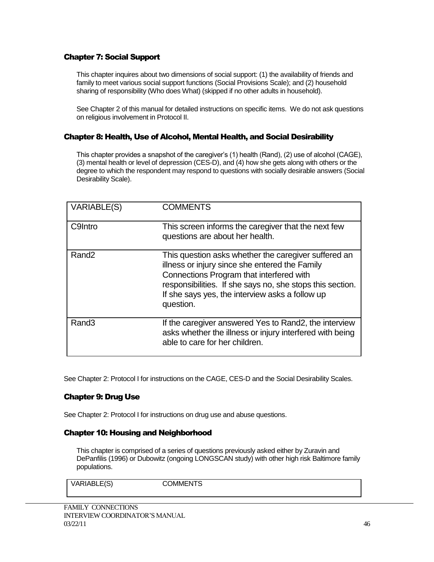## Chapter 7: Social Support

This chapter inquires about two dimensions of social support: (1) the availability of friends and family to meet various social support functions (Social Provisions Scale); and (2) household sharing of responsibility (Who does What) (skipped if no other adults in household).

See Chapter 2 of this manual for detailed instructions on specific items. We do not ask questions on religious involvement in Protocol II.

#### Chapter 8: Health, Use of Alcohol, Mental Health, and Social Desirability

This chapter provides a snapshot of the caregiver's (1) health (Rand), (2) use of alcohol (CAGE), (3) mental health or level of depression (CES-D), and (4) how she gets along with others or the degree to which the respondent may respond to questions with socially desirable answers (Social Desirability Scale).

| VARIABLE(S)       | <b>COMMENTS</b>                                                                                                                                                                                                                                                                 |
|-------------------|---------------------------------------------------------------------------------------------------------------------------------------------------------------------------------------------------------------------------------------------------------------------------------|
| C9Intro           | This screen informs the caregiver that the next few<br>questions are about her health.                                                                                                                                                                                          |
| Rand <sub>2</sub> | This question asks whether the caregiver suffered an<br>illness or injury since she entered the Family<br>Connections Program that interfered with<br>responsibilities. If she says no, she stops this section.<br>If she says yes, the interview asks a follow up<br>question. |
| Rand <sub>3</sub> | If the caregiver answered Yes to Rand2, the interview<br>asks whether the illness or injury interfered with being<br>able to care for her children.                                                                                                                             |

See Chapter 2: Protocol I for instructions on the CAGE, CES-D and the Social Desirability Scales.

#### Chapter 9: Drug Use

See Chapter 2: Protocol I for instructions on drug use and abuse questions.

#### Chapter 10: Housing and Neighborhood

This chapter is comprised of a series of questions previously asked either by Zuravin and DePanfilis (1996) or Dubowitz (ongoing LONGSCAN study) with other high risk Baltimore family populations.

VARIABLE(S) COMMENTS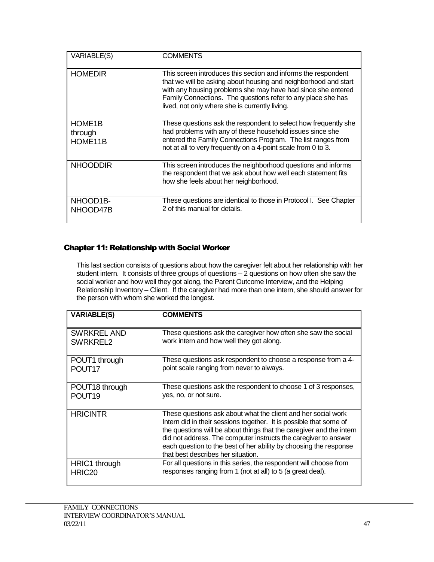| VARIABLE(S)                               | COMMENTS                                                                                                                                                                                                                                                                                                            |
|-------------------------------------------|---------------------------------------------------------------------------------------------------------------------------------------------------------------------------------------------------------------------------------------------------------------------------------------------------------------------|
| <b>HOMEDIR</b>                            | This screen introduces this section and informs the respondent<br>that we will be asking about housing and neighborhood and start<br>with any housing problems she may have had since she entered<br>Family Connections. The questions refer to any place she has<br>lived, not only where she is currently living. |
| HOME <sub>1</sub> B<br>through<br>HOME11B | These questions ask the respondent to select how frequently she<br>had problems with any of these household issues since she<br>entered the Family Connections Program. The list ranges from<br>not at all to very frequently on a 4-point scale from 0 to 3.                                                       |
| <b>NHOODDIR</b>                           | This screen introduces the neighborhood questions and informs<br>the respondent that we ask about how well each statement fits<br>how she feels about her neighborhood.                                                                                                                                             |
| NHOOD1B-<br>NHOOD47B                      | These questions are identical to those in Protocol I. See Chapter<br>2 of this manual for details.                                                                                                                                                                                                                  |

## Chapter 11: Relationship with Social Worker

This last section consists of questions about how the caregiver felt about her relationship with her student intern. It consists of three groups of questions – 2 questions on how often she saw the social worker and how well they got along, the Parent Outcome Interview, and the Helping Relationship Inventory – Client. If the caregiver had more than one intern, she should answer for the person with whom she worked the longest.

| <b>VARIABLE(S)</b> | <b>COMMENTS</b>                                                                                                                                                                                                                                                                                                                                                                           |
|--------------------|-------------------------------------------------------------------------------------------------------------------------------------------------------------------------------------------------------------------------------------------------------------------------------------------------------------------------------------------------------------------------------------------|
| SWRKREL AND        | These questions ask the caregiver how often she saw the social                                                                                                                                                                                                                                                                                                                            |
| SWRKREL2           | work intern and how well they got along.                                                                                                                                                                                                                                                                                                                                                  |
| POUT1 through      | These questions ask respondent to choose a response from a 4-                                                                                                                                                                                                                                                                                                                             |
| POUT <sub>17</sub> | point scale ranging from never to always.                                                                                                                                                                                                                                                                                                                                                 |
| POUT18 through     | These questions ask the respondent to choose 1 of 3 responses,                                                                                                                                                                                                                                                                                                                            |
| POUT <sub>19</sub> | yes, no, or not sure.                                                                                                                                                                                                                                                                                                                                                                     |
| <b>HRICINTR</b>    | These questions ask about what the client and her social work<br>Intern did in their sessions together. It is possible that some of<br>the questions will be about things that the caregiver and the intern<br>did not address. The computer instructs the caregiver to answer<br>each question to the best of her ability by choosing the response<br>that best describes her situation. |
| HRIC1 through      | For all questions in this series, the respondent will choose from                                                                                                                                                                                                                                                                                                                         |
| HRIC <sub>20</sub> | responses ranging from 1 (not at all) to 5 (a great deal).                                                                                                                                                                                                                                                                                                                                |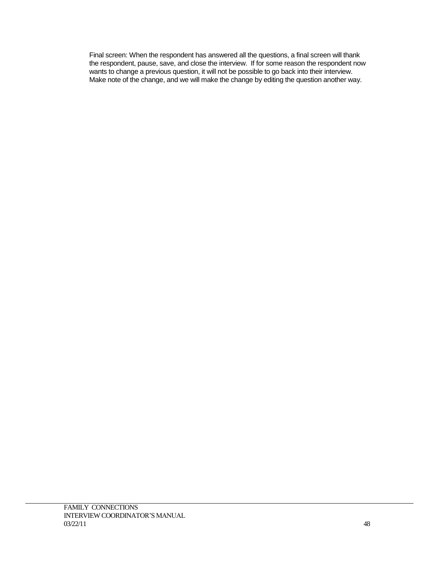Final screen: When the respondent has answered all the questions, a final screen will thank the respondent, pause, save, and close the interview. If for some reason the respondent now wants to change a previous question, it will not be possible to go back into their interview. Make note of the change, and we will make the change by editing the question another way.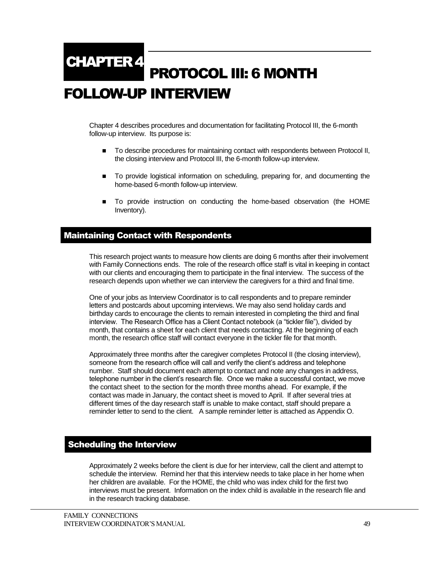## PROTOCOL III: 6 MONTH FOLLOW-UP INTERVIEW CHAPTER 4

Chapter 4 describes procedures and documentation for facilitating Protocol III, the 6-month follow-up interview. Its purpose is:

- To describe procedures for maintaining contact with respondents between Protocol II, the closing interview and Protocol III, the 6-month follow-up interview.
- To provide logistical information on scheduling, preparing for, and documenting the home-based 6-month follow-up interview.
- To provide instruction on conducting the home-based observation (the HOME Inventory).

## Maintaining Contact with Respondents

This research project wants to measure how clients are doing 6 months after their involvement with Family Connections ends. The role of the research office staff is vital in keeping in contact with our clients and encouraging them to participate in the final interview. The success of the research depends upon whether we can interview the caregivers for a third and final time.

One of your jobs as Interview Coordinator is to call respondents and to prepare reminder letters and postcards about upcoming interviews. We may also send holiday cards and birthday cards to encourage the clients to remain interested in completing the third and final interview. The Research Office has a Client Contact notebook (a "tickler file"), divided by month, that contains a sheet for each client that needs contacting. At the beginning of each month, the research office staff will contact everyone in the tickler file for that month.

Approximately three months after the caregiver completes Protocol II (the closing interview), someone from the research office will call and verify the client's address and telephone number. Staff should document each attempt to contact and note any changes in address, telephone number in the client's research file. Once we make a successful contact, we move the contact sheet to the section for the month three months ahead. For example, if the contact was made in January, the contact sheet is moved to April. If after several tries at different times of the day research staff is unable to make contact, staff should prepare a reminder letter to send to the client. A sample reminder letter is attached as Appendix O.

## Scheduling the Interview

Approximately 2 weeks before the client is due for her interview, call the client and attempt to schedule the interview. Remind her that this interview needs to take place in her home when her children are available. For the HOME, the child who was index child for the first two interviews must be present. Information on the index child is available in the research file and in the research tracking database.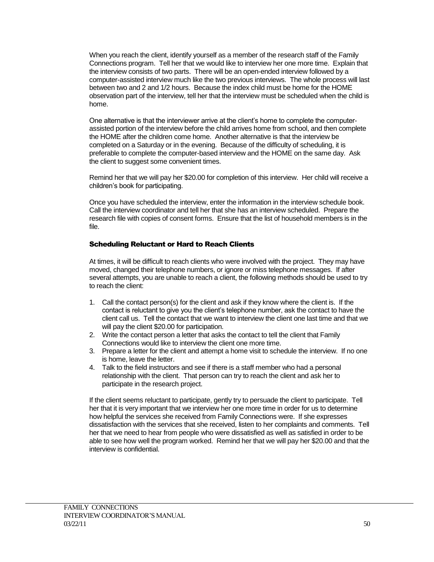When you reach the client, identify yourself as a member of the research staff of the Family Connections program. Tell her that we would like to interview her one more time. Explain that the interview consists of two parts. There will be an open-ended interview followed by a computer-assisted interview much like the two previous interviews. The whole process will last between two and 2 and 1/2 hours. Because the index child must be home for the HOME observation part of the interview, tell her that the interview must be scheduled when the child is home.

One alternative is that the interviewer arrive at the client's home to complete the computerassisted portion of the interview before the child arrives home from school, and then complete the HOME after the children come home. Another alternative is that the interview be completed on a Saturday or in the evening. Because of the difficulty of scheduling, it is preferable to complete the computer-based interview and the HOME on the same day. Ask the client to suggest some convenient times.

Remind her that we will pay her \$20.00 for completion of this interview. Her child will receive a children's book for participating.

Once you have scheduled the interview, enter the information in the interview schedule book. Call the interview coordinator and tell her that she has an interview scheduled. Prepare the research file with copies of consent forms. Ensure that the list of household members is in the file.

#### Scheduling Reluctant or Hard to Reach Clients

At times, it will be difficult to reach clients who were involved with the project. They may have moved, changed their telephone numbers, or ignore or miss telephone messages. If after several attempts, you are unable to reach a client, the following methods should be used to try to reach the client:

- 1. Call the contact person(s) for the client and ask if they know where the client is. If the contact is reluctant to give you the client's telephone number, ask the contact to have the client call us. Tell the contact that we want to interview the client one last time and that we will pay the client \$20.00 for participation.
- 2. Write the contact person a letter that asks the contact to tell the client that Family Connections would like to interview the client one more time.
- 3. Prepare a letter for the client and attempt a home visit to schedule the interview. If no one is home, leave the letter.
- 4. Talk to the field instructors and see if there is a staff member who had a personal relationship with the client. That person can try to reach the client and ask her to participate in the research project.

If the client seems reluctant to participate, gently try to persuade the client to participate. Tell her that it is very important that we interview her one more time in order for us to determine how helpful the services she received from Family Connections were. If she expresses dissatisfaction with the services that she received, listen to her complaints and comments. Tell her that we need to hear from people who were dissatisfied as well as satisfied in order to be able to see how well the program worked. Remind her that we will pay her \$20.00 and that the interview is confidential.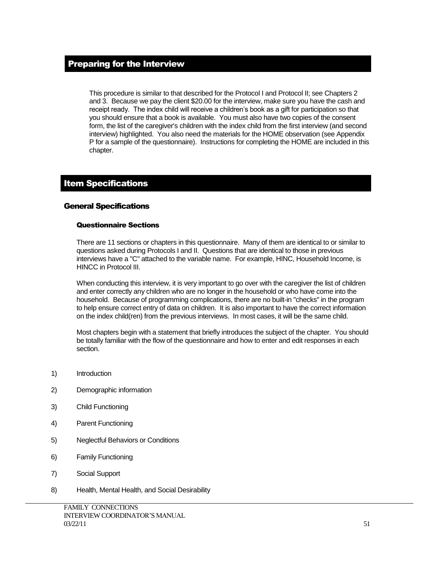## Preparing for the Interview

This procedure is similar to that described for the Protocol I and Protocol II; see Chapters 2 and 3. Because we pay the client \$20.00 for the interview, make sure you have the cash and receipt ready. The index child will receive a children's book as a gift for participation so that you should ensure that a book is available. You must also have two copies of the consent form, the list of the caregiver's children with the index child from the first interview (and second interview) highlighted. You also need the materials for the HOME observation (see Appendix P for a sample of the questionnaire). Instructions for completing the HOME are included in this chapter.

## Item Specifications

#### General Specifications

#### Questionnaire Sections

There are 11 sections or chapters in this questionnaire. Many of them are identical to or similar to questions asked during Protocols I and II. Questions that are identical to those in previous interviews have a "C" attached to the variable name. For example, HINC, Household Income, is HINCC in Protocol III.

When conducting this interview, it is very important to go over with the caregiver the list of children and enter correctly any children who are no longer in the household or who have come into the household. Because of programming complications, there are no built-in "checks" in the program to help ensure correct entry of data on children. It is also important to have the correct information on the index child(ren) from the previous interviews. In most cases, it will be the same child.

Most chapters begin with a statement that briefly introduces the subject of the chapter. You should be totally familiar with the flow of the questionnaire and how to enter and edit responses in each section.

- 1) Introduction
- 2) Demographic information
- 3) Child Functioning
- 4) Parent Functioning
- 5) Neglectful Behaviors or Conditions
- 6) Family Functioning
- 7) Social Support
- 8) Health, Mental Health, and Social Desirability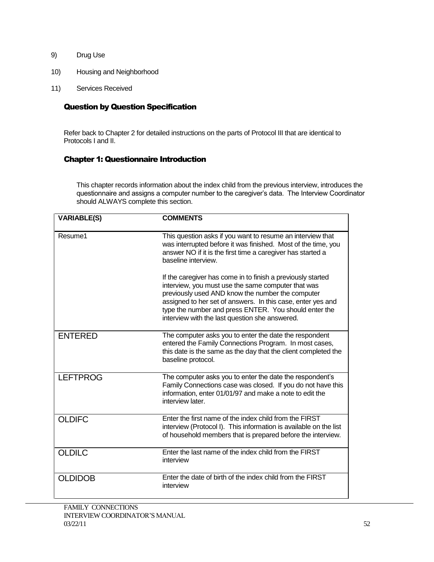- 9) Drug Use
- 10) Housing and Neighborhood
- 11) Services Received

#### Question by Question Specification

Refer back to Chapter 2 for detailed instructions on the parts of Protocol III that are identical to Protocols I and II.

#### Chapter 1: Questionnaire Introduction

This chapter records information about the index child from the previous interview, introduces the questionnaire and assigns a computer number to the caregiver's data. The Interview Coordinator should ALWAYS complete this section.

| <b>VARIABLE(S)</b> | <b>COMMENTS</b>                                                                                                                                                                                                                                                                                                                                 |
|--------------------|-------------------------------------------------------------------------------------------------------------------------------------------------------------------------------------------------------------------------------------------------------------------------------------------------------------------------------------------------|
| Resume1            | This question asks if you want to resume an interview that<br>was interrupted before it was finished. Most of the time, you<br>answer NO if it is the first time a caregiver has started a<br>baseline interview.                                                                                                                               |
|                    | If the caregiver has come in to finish a previously started<br>interview, you must use the same computer that was<br>previously used AND know the number the computer<br>assigned to her set of answers. In this case, enter yes and<br>type the number and press ENTER. You should enter the<br>interview with the last question she answered. |
| <b>ENTERED</b>     | The computer asks you to enter the date the respondent<br>entered the Family Connections Program. In most cases,<br>this date is the same as the day that the client completed the<br>baseline protocol.                                                                                                                                        |
| <b>LEFTPROG</b>    | The computer asks you to enter the date the respondent's<br>Family Connections case was closed. If you do not have this<br>information, enter 01/01/97 and make a note to edit the<br>interview later.                                                                                                                                          |
| <b>OLDIFC</b>      | Enter the first name of the index child from the FIRST<br>interview (Protocol I). This information is available on the list<br>of household members that is prepared before the interview.                                                                                                                                                      |
| <b>OLDILC</b>      | Enter the last name of the index child from the FIRST<br>interview                                                                                                                                                                                                                                                                              |
| <b>OLDIDOB</b>     | Enter the date of birth of the index child from the FIRST<br>interview                                                                                                                                                                                                                                                                          |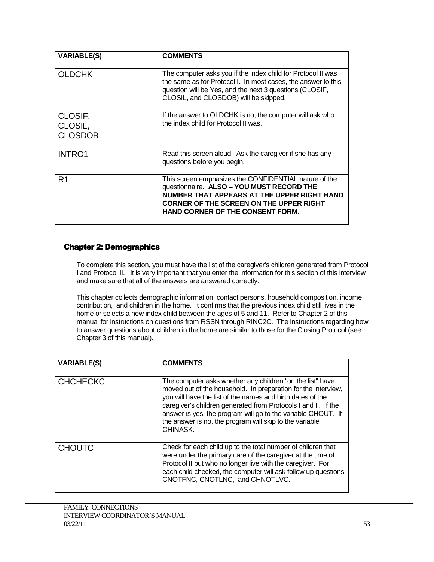| <b>VARIABLE(S)</b>                   | <b>COMMENTS</b>                                                                                                                                                                                                                         |
|--------------------------------------|-----------------------------------------------------------------------------------------------------------------------------------------------------------------------------------------------------------------------------------------|
| <b>OLDCHK</b>                        | The computer asks you if the index child for Protocol II was<br>the same as for Protocol I. In most cases, the answer to this<br>question will be Yes, and the next 3 questions (CLOSIF,<br>CLOSIL, and CLOSDOB) will be skipped.       |
| CLOSIF,<br>CLOSIL,<br><b>CLOSDOB</b> | If the answer to OLDCHK is no, the computer will ask who<br>the index child for Protocol II was.                                                                                                                                        |
| <b>INTRO1</b>                        | Read this screen aloud. Ask the caregiver if she has any<br>questions before you begin.                                                                                                                                                 |
| R1                                   | This screen emphasizes the CONFIDENTIAL nature of the<br>questionnaire. ALSO - YOU MUST RECORD THE<br>NUMBER THAT APPEARS AT THE UPPER RIGHT HAND<br>CORNER OF THE SCREEN ON THE UPPER RIGHT<br><b>HAND CORNER OF THE CONSENT FORM.</b> |

#### Chapter 2: Demographics

To complete this section, you must have the list of the caregiver's children generated from Protocol I and Protocol II. It is very important that you enter the information for this section of this interview and make sure that all of the answers are answered correctly.

This chapter collects demographic information, contact persons, household composition, income contribution, and children in the home. It confirms that the previous index child still lives in the home or selects a new index child between the ages of 5 and 11. Refer to Chapter 2 of this manual for instructions on questions from RSSN through RINC2C. The instructions regarding how to answer questions about children in the home are similar to those for the Closing Protocol (see Chapter 3 of this manual).

| <b>VARIABLE(S)</b> | <b>COMMENTS</b>                                                                                                                                                                                                                                                                                                                                                                                   |
|--------------------|---------------------------------------------------------------------------------------------------------------------------------------------------------------------------------------------------------------------------------------------------------------------------------------------------------------------------------------------------------------------------------------------------|
| <b>CHCHECKC</b>    | The computer asks whether any children "on the list" have<br>moved out of the household. In preparation for the interview,<br>you will have the list of the names and birth dates of the<br>caregiver's children generated from Protocols I and II. If the<br>answer is yes, the program will go to the variable CHOUT. If<br>the answer is no, the program will skip to the variable<br>CHINASK. |
| <b>CHOUTC</b>      | Check for each child up to the total number of children that<br>were under the primary care of the caregiver at the time of<br>Protocol II but who no longer live with the caregiver. For<br>each child checked, the computer will ask follow up questions<br>CNOTFNC, CNOTLNC, and CHNOTLVC.                                                                                                     |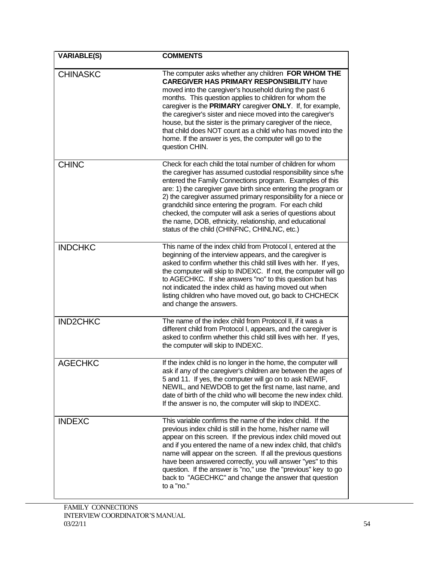| <b>VARIABLE(S)</b> | <b>COMMENTS</b>                                                                                                                                                                                                                                                                                                                                                                                                                                                                                                                                                     |
|--------------------|---------------------------------------------------------------------------------------------------------------------------------------------------------------------------------------------------------------------------------------------------------------------------------------------------------------------------------------------------------------------------------------------------------------------------------------------------------------------------------------------------------------------------------------------------------------------|
| <b>CHINASKC</b>    | The computer asks whether any children FOR WHOM THE<br><b>CAREGIVER HAS PRIMARY RESPONSIBILITY have</b><br>moved into the caregiver's household during the past 6<br>months. This question applies to children for whom the<br>caregiver is the PRIMARY caregiver ONLY. If, for example,<br>the caregiver's sister and niece moved into the caregiver's<br>house, but the sister is the primary caregiver of the niece,<br>that child does NOT count as a child who has moved into the<br>home. If the answer is yes, the computer will go to the<br>question CHIN. |
| <b>CHINC</b>       | Check for each child the total number of children for whom<br>the caregiver has assumed custodial responsibility since s/he<br>entered the Family Connections program. Examples of this<br>are: 1) the caregiver gave birth since entering the program or<br>2) the caregiver assumed primary responsibility for a niece or<br>grandchild since entering the program. For each child<br>checked, the computer will ask a series of questions about<br>the name, DOB, ethnicity, relationship, and educational<br>status of the child (CHINFNC, CHINLNC, etc.)       |
| <b>INDCHKC</b>     | This name of the index child from Protocol I, entered at the<br>beginning of the interview appears, and the caregiver is<br>asked to confirm whether this child still lives with her. If yes,<br>the computer will skip to INDEXC. If not, the computer will go<br>to AGECHKC. If she answers "no" to this question but has<br>not indicated the index child as having moved out when<br>listing children who have moved out, go back to CHCHECK<br>and change the answers.                                                                                         |
| <b>IND2CHKC</b>    | The name of the index child from Protocol II, if it was a<br>different child from Protocol I, appears, and the caregiver is<br>asked to confirm whether this child still lives with her. If yes,<br>the computer will skip to INDEXC.                                                                                                                                                                                                                                                                                                                               |
| <b>AGECHKC</b>     | If the index child is no longer in the home, the computer will<br>ask if any of the caregiver's children are between the ages of<br>5 and 11. If yes, the computer will go on to ask NEWIF,<br>NEWIL, and NEWDOB to get the first name, last name, and<br>date of birth of the child who will become the new index child.<br>If the answer is no, the computer will skip to INDEXC.                                                                                                                                                                                 |
| <b>INDEXC</b>      | This variable confirms the name of the index child. If the<br>previous index child is still in the home, his/her name will<br>appear on this screen. If the previous index child moved out<br>and if you entered the name of a new index child, that child's<br>name will appear on the screen. If all the previous questions<br>have been answered correctly, you will answer "yes" to this<br>question. If the answer is "no," use the "previous" key to go<br>back to "AGECHKC" and change the answer that question<br>to a "no."                                |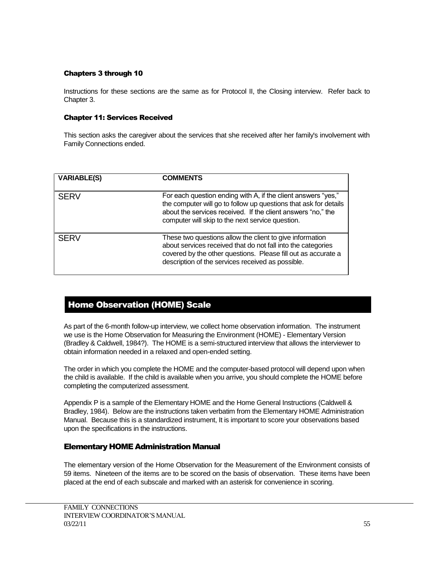#### Chapters 3 through 10

Instructions for these sections are the same as for Protocol II, the Closing interview. Refer back to Chapter 3.

#### Chapter 11: Services Received

This section asks the caregiver about the services that she received after her family's involvement with Family Connections ended.

| <b>VARIABLE(S)</b> | <b>COMMENTS</b>                                                                                                                                                                                                                                       |
|--------------------|-------------------------------------------------------------------------------------------------------------------------------------------------------------------------------------------------------------------------------------------------------|
| <b>SERV</b>        | For each question ending with A, if the client answers "yes,"<br>the computer will go to follow up questions that ask for details<br>about the services received. If the client answers "no," the<br>computer will skip to the next service question. |
| <b>SERV</b>        | These two questions allow the client to give information<br>about services received that do not fall into the categories<br>covered by the other questions. Please fill out as accurate a<br>description of the services received as possible.        |

## Home Observation (HOME) Scale

As part of the 6-month follow-up interview, we collect home observation information. The instrument we use is the Home Observation for Measuring the Environment (HOME) - Elementary Version (Bradley & Caldwell, 1984?). The HOME is a semi-structured interview that allows the interviewer to obtain information needed in a relaxed and open-ended setting.

The order in which you complete the HOME and the computer-based protocol will depend upon when the child is available. If the child is available when you arrive, you should complete the HOME before completing the computerized assessment.

Appendix P is a sample of the Elementary HOME and the Home General Instructions (Caldwell & Bradley, 1984). Below are the instructions taken verbatim from the Elementary HOME Administration Manual. Because this is a standardized instrument, It is important to score your observations based upon the specifications in the instructions.

#### Elementary HOME Administration Manual

The elementary version of the Home Observation for the Measurement of the Environment consists of 59 items. Nineteen of the items are to be scored on the basis of observation. These items have been placed at the end of each subscale and marked with an asterisk for convenience in scoring.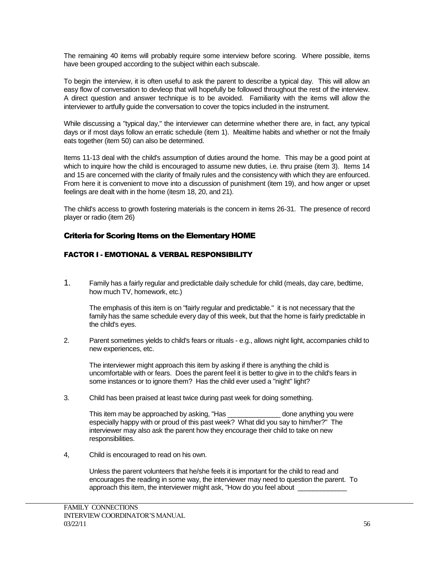The remaining 40 items will probably require some interview before scoring. Where possible, items have been grouped according to the subject within each subscale.

To begin the interview, it is often useful to ask the parent to describe a typical day. This will allow an easy flow of conversation to devleop that will hopefully be followed throughout the rest of the interview. A direct question and answer technique is to be avoided. Familiarity with the items will allow the interviewer to artfully guide the conversation to cover the topics included in the instrument.

While discussing a "typical day," the interviewer can determine whether there are, in fact, any typical days or if most days follow an erratic schedule (item 1). Mealtime habits and whether or not the fmaily eats together (item 50) can also be determined.

Items 11-13 deal with the child's assumption of duties around the home. This may be a good point at which to inquire how the child is encouraged to assume new duties, i.e. thru praise (item 3). Items 14 and 15 are concerned with the clarity of fmaily rules and the consistency with which they are enfourced. From here it is convenient to move into a discussion of punishment (item 19), and how anger or upset feelings are dealt with in the home (itesm 18, 20, and 21).

The child's access to growth fostering materials is the concern in items 26-31. The presence of record player or radio (item 26)

#### Criteria for Scoring Items on the Elementary HOME

#### FACTOR I - EMOTIONAL & VERBAL RESPONSIBILITY

1. Family has a fairly regular and predictable daily schedule for child (meals, day care, bedtime, how much TV, homework, etc.)

The emphasis of this item is on "fairly regular and predictable." it is not necessary that the family has the same schedule every day of this week, but that the home is fairly predictable in the child's eyes.

2. Parent sometimes yields to child's fears or rituals - e.g., allows night light, accompanies child to new experiences, etc.

The interviewer might approach this item by asking if there is anything the child is uncomfortable with or fears. Does the parent feel it is better to give in to the child's fears in some instances or to ignore them? Has the child ever used a "night" light?

3. Child has been praised at least twice during past week for doing something.

This item may be approached by asking, "Has \_\_\_\_\_\_\_\_\_\_\_\_\_\_ done anything you were especially happy with or proud of this past week? What did you say to him/her?" The interviewer may also ask the parent how they encourage their child to take on new responsibilities.

4, Child is encouraged to read on his own.

Unless the parent volunteers that he/she feels it is important for the child to read and encourages the reading in some way, the interviewer may need to question the parent. To approach this item, the interviewer might ask, "How do you feel about \_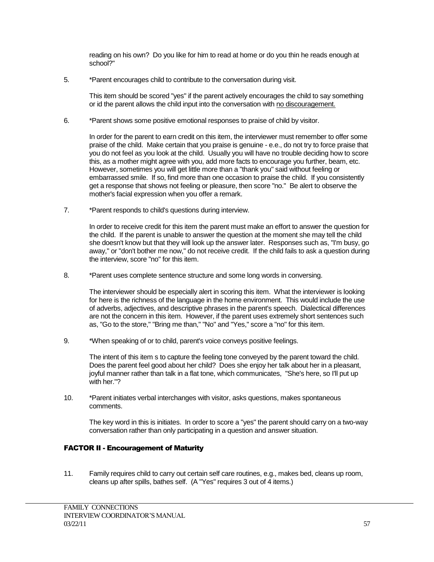reading on his own? Do you like for him to read at home or do you thin he reads enough at school?"

5. \*Parent encourages child to contribute to the conversation during visit.

This item should be scored "yes" if the parent actively encourages the child to say something or id the parent allows the child input into the conversation with no discouragement.

6. \*Parent shows some positive emotional responses to praise of child by visitor.

In order for the parent to earn credit on this item, the interviewer must remember to offer some praise of the child. Make certain that you praise is genuine - e.e., do not try to force praise that you do not feel as you look at the child. Usually you will have no trouble deciding how to score this, as a mother might agree with you, add more facts to encourage you further, beam, etc. However, sometimes you will get little more than a "thank you" said without feeling or embarrassed smile. If so, find more than one occasion to praise the child. If you consistently get a response that shows not feeling or pleasure, then score "no." Be alert to observe the mother's facial expression when you offer a remark.

7. \*Parent responds to child's questions during interview.

In order to receive credit for this item the parent must make an effort to answer the question for the child. If the parent is unable to answer the question at the moment she may tell the child she doesn't know but that they will look up the answer later. Responses such as, "I'm busy, go away," or "don't bother me now," do not receive credit. If the child fails to ask a question during the interview, score "no" for this item.

8. \*Parent uses complete sentence structure and some long words in conversing.

The interviewer should be especially alert in scoring this item. What the interviewer is looking for here is the richness of the language in the home environment. This would include the use of adverbs, adjectives, and descriptive phrases in the parent's speech. Dialectical differences are not the concern in this item. However, if the parent uses extremely short sentences such as, "Go to the store," "Bring me than," "No" and "Yes," score a "no" for this item.

9. \*When speaking of or to child, parent's voice conveys positive feelings.

The intent of this item s to capture the feeling tone conveyed by the parent toward the child. Does the parent feel good about her child? Does she enjoy her talk about her in a pleasant, joyful manner rather than talk in a flat tone, which communicates, "She's here, so I'll put up with her."?

10. \*Parent initiates verbal interchanges with visitor, asks questions, makes spontaneous comments.

The key word in this is initiates. In order to score a "yes" the parent should carry on a two-way conversation rather than only participating in a question and answer situation.

## FACTOR II - Encouragement of Maturity

11. Family requires child to carry out certain self care routines, e.g., makes bed, cleans up room, cleans up after spills, bathes self. (A "Yes" requires 3 out of 4 items.)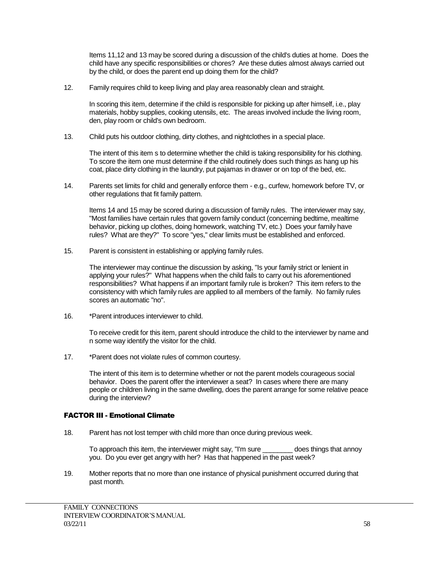Items 11,12 and 13 may be scored during a discussion of the child's duties at home. Does the child have any specific responsibilities or chores? Are these duties almost always carried out by the child, or does the parent end up doing them for the child?

12. Family requires child to keep living and play area reasonably clean and straight.

In scoring this item, determine if the child is responsible for picking up after himself, i.e., play materials, hobby supplies, cooking utensils, etc. The areas involved include the living room, den, play room or child's own bedroom.

13. Child puts his outdoor clothing, dirty clothes, and nightclothes in a special place.

The intent of this item s to determine whether the child is taking responsibility for his clothing. To score the item one must determine if the child routinely does such things as hang up his coat, place dirty clothing in the laundry, put pajamas in drawer or on top of the bed, etc.

14. Parents set limits for child and generally enforce them - e.g., curfew, homework before TV, or other regulations that fit family pattern.

Items 14 and 15 may be scored during a discussion of family rules. The interviewer may say, "Most families have certain rules that govern family conduct (concerning bedtime, mealtime behavior, picking up clothes, doing homework, watching TV, etc.) Does your family have rules? What are they?" To score "yes," clear limits must be established and enforced.

15. Parent is consistent in establishing or applying family rules.

The interviewer may continue the discussion by asking, "Is your family strict or lenient in applying your rules?" What happens when the child fails to carry out his aforementioned responsibilities? What happens if an important family rule is broken? This item refers to the consistency with which family rules are applied to all members of the family. No family rules scores an automatic "no".

16. \*Parent introduces interviewer to child.

To receive credit for this item, parent should introduce the child to the interviewer by name and n some way identify the visitor for the child.

17. \*Parent does not violate rules of common courtesy.

The intent of this item is to determine whether or not the parent models courageous social behavior. Does the parent offer the interviewer a seat? In cases where there are many people or children living in the same dwelling, does the parent arrange for some relative peace during the interview?

#### FACTOR III - Emotional Climate

18. Parent has not lost temper with child more than once during previous week.

To approach this item, the interviewer might say, "I'm sure \_\_\_\_\_\_\_\_ does things that annoy you. Do you ever get angry with her? Has that happened in the past week?

19. Mother reports that no more than one instance of physical punishment occurred during that past month.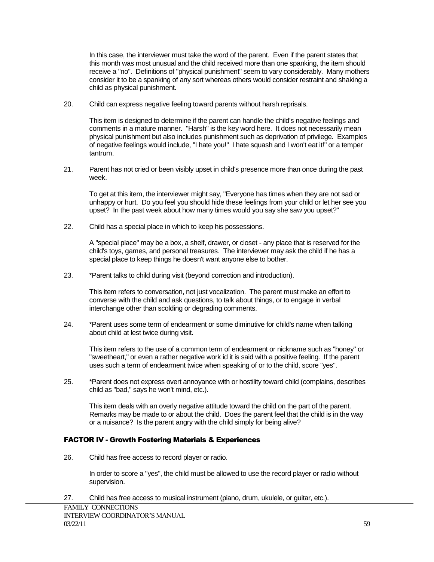In this case, the interviewer must take the word of the parent. Even if the parent states that this month was most unusual and the child received more than one spanking, the item should receive a "no". Definitions of "physical punishment" seem to vary considerably. Many mothers consider it to be a spanking of any sort whereas others would consider restraint and shaking a child as physical punishment.

20. Child can express negative feeling toward parents without harsh reprisals.

This item is designed to determine if the parent can handle the child's negative feelings and comments in a mature manner. "Harsh" is the key word here. It does not necessarily mean physical punishment but also includes punishment such as deprivation of privilege. Examples of negative feelings would include, "I hate you!" I hate squash and I won't eat it!" or a temper tantrum.

21. Parent has not cried or been visibly upset in child's presence more than once during the past week.

To get at this item, the interviewer might say, "Everyone has times when they are not sad or unhappy or hurt. Do you feel you should hide these feelings from your child or let her see you upset? In the past week about how many times would you say she saw you upset?"

22. Child has a special place in which to keep his possessions.

A "special place" may be a box, a shelf, drawer, or closet - any place that is reserved for the child's toys, games, and personal treasures. The interviewer may ask the child if he has a special place to keep things he doesn't want anyone else to bother.

23. \*Parent talks to child during visit (beyond correction and introduction).

This item refers to conversation, not just vocalization. The parent must make an effort to converse with the child and ask questions, to talk about things, or to engage in verbal interchange other than scolding or degrading comments.

24. \*Parent uses some term of endearment or some diminutive for child's name when talking about child at lest twice during visit.

This item refers to the use of a common term of endearment or nickname such as "honey" or "sweetheart," or even a rather negative work id it is said with a positive feeling. If the parent uses such a term of endearment twice when speaking of or to the child, score "yes".

25. \*Parent does not express overt annoyance with or hostility toward child (complains, describes child as "bad," says he won't mind, etc.).

This item deals with an overly negative attitude toward the child on the part of the parent. Remarks may be made to or about the child. Does the parent feel that the child is in the way or a nuisance? Is the parent angry with the child simply for being alive?

#### FACTOR IV - Growth Fostering Materials & Experiences

26. Child has free access to record player or radio.

In order to score a "yes", the child must be allowed to use the record player or radio without supervision.

27. Child has free access to musical instrument (piano, drum, ukulele, or guitar, etc.).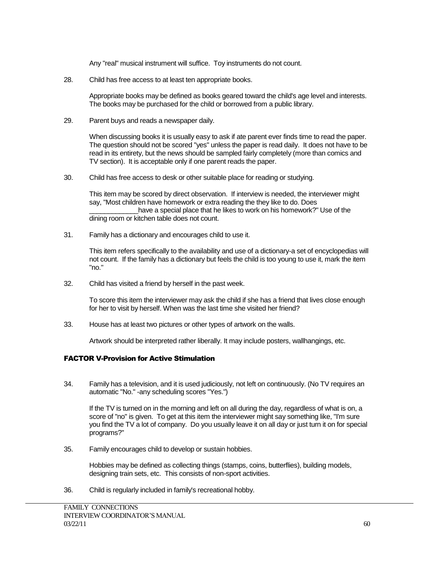Any "real" musical instrument will suffice. Toy instruments do not count.

28. Child has free access to at least ten appropriate books.

Appropriate books may be defined as books geared toward the child's age level and interests. The books may be purchased for the child or borrowed from a public library.

29. Parent buys and reads a newspaper daily.

When discussing books it is usually easy to ask if ate parent ever finds time to read the paper. The question should not be scored "yes" unless the paper is read daily. It does not have to be read in its entirety, but the news should be sampled fairly completely (more than comics and TV section). It is acceptable only if one parent reads the paper.

30. Child has free access to desk or other suitable place for reading or studying.

This item may be scored by direct observation. If interview is needed, the interviewer might say, "Most children have homework or extra reading the they like to do. Does have a special place that he likes to work on his homework?" Use of the dining room or kitchen table does not count.

31. Family has a dictionary and encourages child to use it.

This item refers specifically to the availability and use of a dictionary-a set of encyclopedias will not count. If the family has a dictionary but feels the child is too young to use it, mark the item "no."

32. Child has visited a friend by herself in the past week.

To score this item the interviewer may ask the child if she has a friend that lives close enough for her to visit by herself. When was the last time she visited her friend?

33. House has at least two pictures or other types of artwork on the walls.

Artwork should be interpreted rather liberally. It may include posters, wallhangings, etc.

#### FACTOR V-Provision for Active Stimulation

34. Family has a television, and it is used judiciously, not left on continuously. (No TV requires an automatic "No." -any scheduling scores "Yes.")

If the TV is turned on in the morning and left on all during the day, regardless of what is on, a score of "no" is given. To get at this item the interviewer might say something like, "I'm sure you find the TV a lot of company. Do you usually leave it on all day or just turn it on for special programs?"

35. Family encourages child to develop or sustain hobbies.

Hobbies may be defined as collecting things (stamps, coins, butterflies), building models, designing train sets, etc. This consists of non-sport activities.

36. Child is regularly included in family's recreational hobby.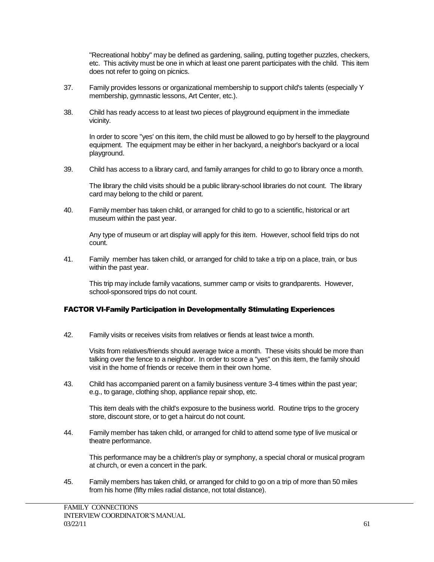"Recreational hobby" may be defined as gardening, sailing, putting together puzzles, checkers, etc. This activity must be one in which at least one parent participates with the child. This item does not refer to going on picnics.

- 37. Family provides lessons or organizational membership to support child's talents (especially Y membership, gymnastic lessons, Art Center, etc.).
- 38. Child has ready access to at least two pieces of playground equipment in the immediate vicinity.

In order to score "yes' on this item, the child must be allowed to go by herself to the playground equipment. The equipment may be either in her backyard, a neighbor's backyard or a local playground.

39. Child has access to a library card, and family arranges for child to go to library once a month.

The library the child visits should be a public library-school libraries do not count. The library card may belong to the child or parent.

40. Family member has taken child, or arranged for child to go to a scientific, historical or art museum within the past year.

Any type of museum or art display will apply for this item. However, school field trips do not count.

41. Family member has taken child, or arranged for child to take a trip on a place, train, or bus within the past year.

This trip may include family vacations, summer camp or visits to grandparents. However, school-sponsored trips do not count.

#### FACTOR VI-Family Participation in Developmentally Stimulating Experiences

42. Family visits or receives visits from relatives or fiends at least twice a month.

Visits from relatives/friends should average twice a month. These visits should be more than talking over the fence to a neighbor. In order to score a "yes" on this item, the family should visit in the home of friends or receive them in their own home.

43. Child has accompanied parent on a family business venture 3-4 times within the past year; e.g., to garage, clothing shop, appliance repair shop, etc.

This item deals with the child's exposure to the business world. Routine trips to the grocery store, discount store, or to get a haircut do not count.

44. Family member has taken child, or arranged for child to attend some type of live musical or theatre performance.

This performance may be a children's play or symphony, a special choral or musical program at church, or even a concert in the park.

45. Family members has taken child, or arranged for child to go on a trip of more than 50 miles from his home (fifty miles radial distance, not total distance).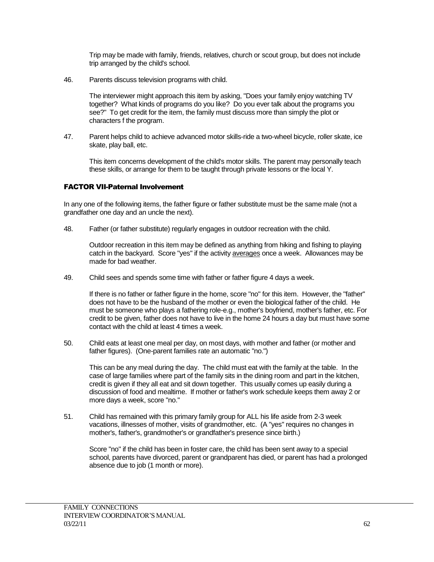Trip may be made with family, friends, relatives, church or scout group, but does not include trip arranged by the child's school.

46. Parents discuss television programs with child.

The interviewer might approach this item by asking, "Does your family enjoy watching TV together? What kinds of programs do you like? Do you ever talk about the programs you see?" To get credit for the item, the family must discuss more than simply the plot or characters f the program.

47. Parent helps child to achieve advanced motor skills-ride a two-wheel bicycle, roller skate, ice skate, play ball, etc.

This item concerns development of the child's motor skills. The parent may personally teach these skills, or arrange for them to be taught through private lessons or the local Y.

#### FACTOR VII-Paternal Involvement

In any one of the following items, the father figure or father substitute must be the same male (not a grandfather one day and an uncle the next).

48. Father (or father substitute) regularly engages in outdoor recreation with the child.

Outdoor recreation in this item may be defined as anything from hiking and fishing to playing catch in the backyard. Score "yes" if the activity averages once a week. Allowances may be made for bad weather.

49. Child sees and spends some time with father or father figure 4 days a week.

If there is no father or father figure in the home, score "no" for this item. However, the "father" does not have to be the husband of the mother or even the biological father of the child. He must be someone who plays a fathering role-e.g., mother's boyfriend, mother's father, etc. For credit to be given, father does not have to live in the home 24 hours a day but must have some contact with the child at least 4 times a week.

50. Child eats at least one meal per day, on most days, with mother and father (or mother and father figures). (One-parent families rate an automatic "no.")

This can be any meal during the day. The child must eat with the family at the table. In the case of large families where part of the family sits in the dining room and part in the kitchen, credit is given if they all eat and sit down together. This usually comes up easily during a discussion of food and mealtime. If mother or father's work schedule keeps them away 2 or more days a week, score "no."

51. Child has remained with this primary family group for ALL his life aside from 2-3 week vacations, illnesses of mother, visits of grandmother, etc. (A "yes" requires no changes in mother's, father's, grandmother's or grandfather's presence since birth.)

Score "no" if the child has been in foster care, the child has been sent away to a special school, parents have divorced, parent or grandparent has died, or parent has had a prolonged absence due to job (1 month or more).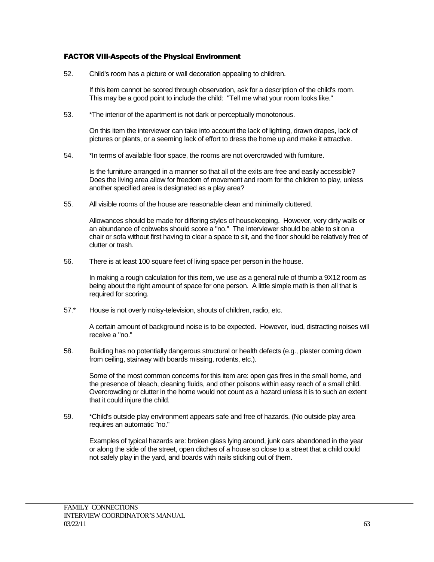#### FACTOR VIII-Aspects of the Physical Environment

52. Child's room has a picture or wall decoration appealing to children.

If this item cannot be scored through observation, ask for a description of the child's room. This may be a good point to include the child: "Tell me what your room looks like."

53. \*The interior of the apartment is not dark or perceptually monotonous.

On this item the interviewer can take into account the lack of lighting, drawn drapes, lack of pictures or plants, or a seeming lack of effort to dress the home up and make it attractive.

54. \*In terms of available floor space, the rooms are not overcrowded with furniture.

Is the furniture arranged in a manner so that all of the exits are free and easily accessible? Does the living area allow for freedom of movement and room for the children to play, unless another specified area is designated as a play area?

55. All visible rooms of the house are reasonable clean and minimally cluttered.

Allowances should be made for differing styles of housekeeping. However, very dirty walls or an abundance of cobwebs should score a "no." The interviewer should be able to sit on a chair or sofa without first having to clear a space to sit, and the floor should be relatively free of clutter or trash.

56. There is at least 100 square feet of living space per person in the house.

In making a rough calculation for this item, we use as a general rule of thumb a 9X12 room as being about the right amount of space for one person. A little simple math is then all that is required for scoring.

57.\* House is not overly noisy-television, shouts of children, radio, etc.

A certain amount of background noise is to be expected. However, loud, distracting noises will receive a "no."

58. Building has no potentially dangerous structural or health defects (e.g., plaster coming down from ceiling, stairway with boards missing, rodents, etc.).

Some of the most common concerns for this item are: open gas fires in the small home, and the presence of bleach, cleaning fluids, and other poisons within easy reach of a small child. Overcrowding or clutter in the home would not count as a hazard unless it is to such an extent that it could injure the child.

59. \*Child's outside play environment appears safe and free of hazards. (No outside play area requires an automatic "no."

Examples of typical hazards are: broken glass lying around, junk cars abandoned in the year or along the side of the street, open ditches of a house so close to a street that a child could not safely play in the yard, and boards with nails sticking out of them.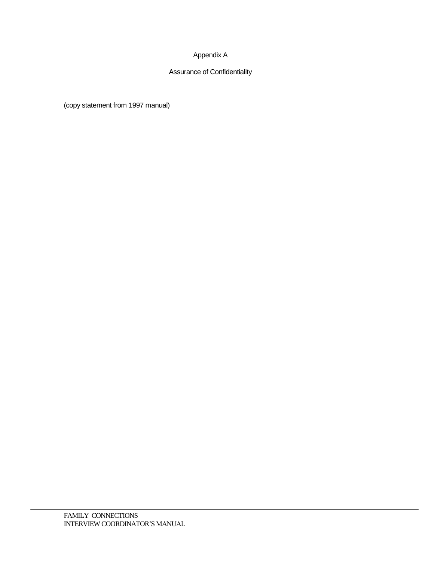## Appendix A

## Assurance of Confidentiality

(copy statement from 1997 manual)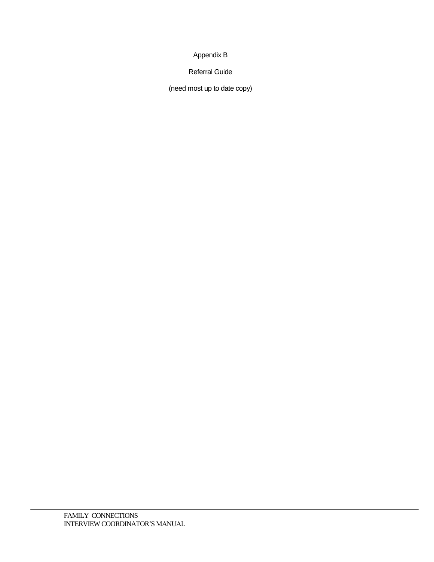## Appendix B

Referral Guide

(need most up to date copy)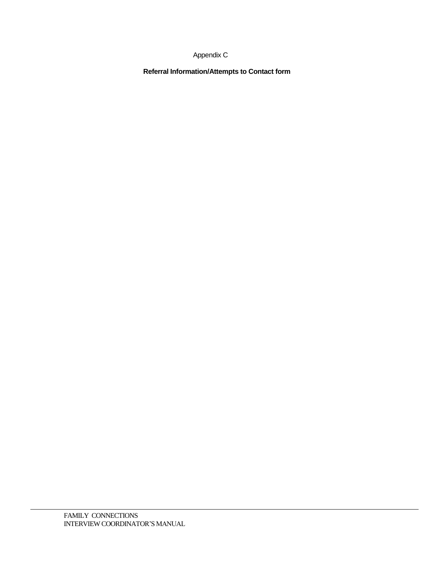## Appendix C

**Referral Information/Attempts to Contact form**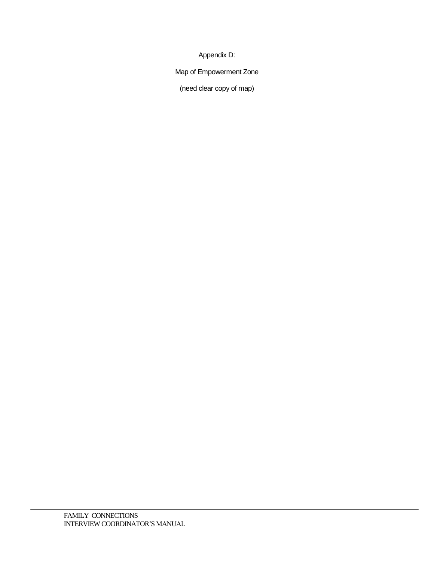Appendix D:

Map of Empowerment Zone

(need clear copy of map)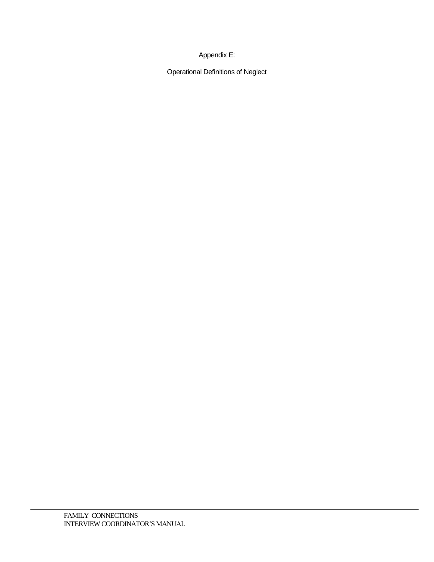## Appendix E:

Operational Definitions of Neglect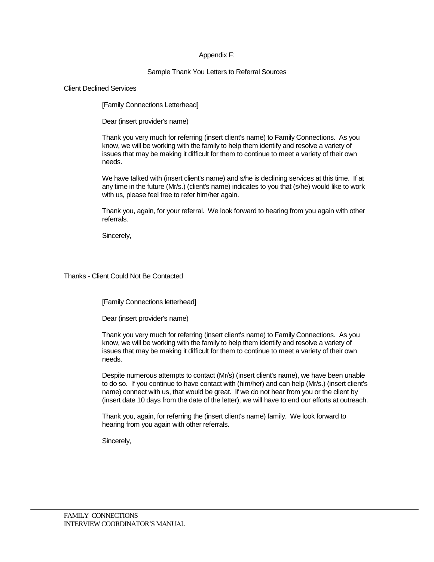### Appendix F:

### Sample Thank You Letters to Referral Sources

#### Client Declined Services

[Family Connections Letterhead]

Dear (insert provider's name)

Thank you very much for referring (insert client's name) to Family Connections. As you know, we will be working with the family to help them identify and resolve a variety of issues that may be making it difficult for them to continue to meet a variety of their own needs.

We have talked with (insert client's name) and s/he is declining services at this time. If at any time in the future (Mr/s.) (client's name) indicates to you that (s/he) would like to work with us, please feel free to refer him/her again.

Thank you, again, for your referral. We look forward to hearing from you again with other referrals.

Sincerely,

### Thanks - Client Could Not Be Contacted

[Family Connections letterhead]

Dear (insert provider's name)

Thank you very much for referring (insert client's name) to Family Connections. As you know, we will be working with the family to help them identify and resolve a variety of issues that may be making it difficult for them to continue to meet a variety of their own needs.

Despite numerous attempts to contact (Mr/s) (insert client's name), we have been unable to do so. If you continue to have contact with (him/her) and can help (Mr/s.) (insert client's name) connect with us, that would be great. If we do not hear from you or the client by (insert date 10 days from the date of the letter), we will have to end our efforts at outreach.

Thank you, again, for referring the (insert client's name) family. We look forward to hearing from you again with other referrals.

Sincerely,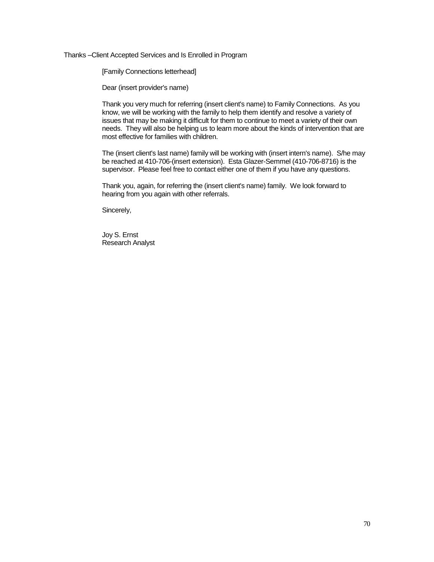Thanks –Client Accepted Services and Is Enrolled in Program

[Family Connections letterhead]

Dear (insert provider's name)

Thank you very much for referring (insert client's name) to Family Connections. As you know, we will be working with the family to help them identify and resolve a variety of issues that may be making it difficult for them to continue to meet a variety of their own needs. They will also be helping us to learn more about the kinds of intervention that are most effective for families with children.

The (insert client's last name) family will be working with (insert intern's name). S/he may be reached at 410-706-(insert extension). Esta Glazer-Semmel (410-706-8716) is the supervisor. Please feel free to contact either one of them if you have any questions.

Thank you, again, for referring the (insert client's name) family. We look forward to hearing from you again with other referrals.

Sincerely,

Joy S. Ernst Research Analyst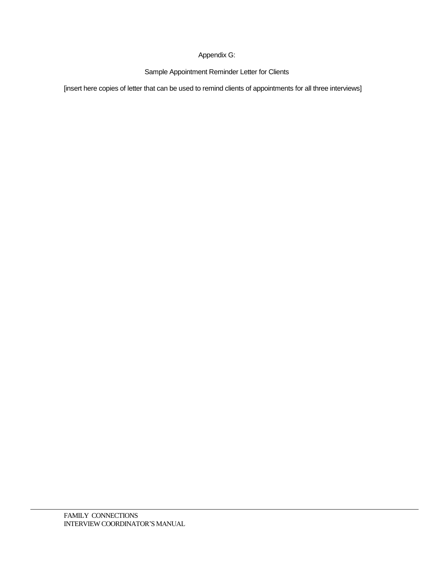### Appendix G:

Sample Appointment Reminder Letter for Clients

[insert here copies of letter that can be used to remind clients of appointments for all three interviews]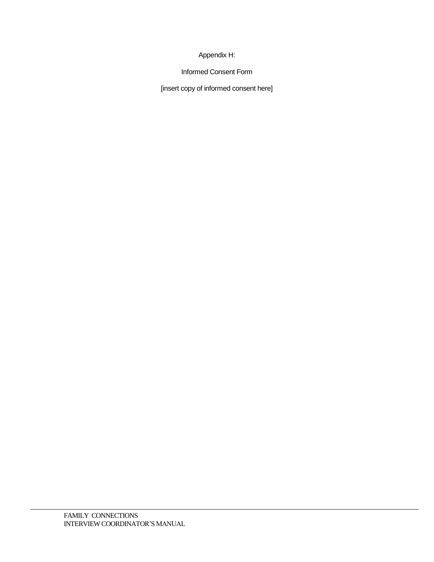### Appendix H:

Informed Consent Form

[insert copy of informed consent here]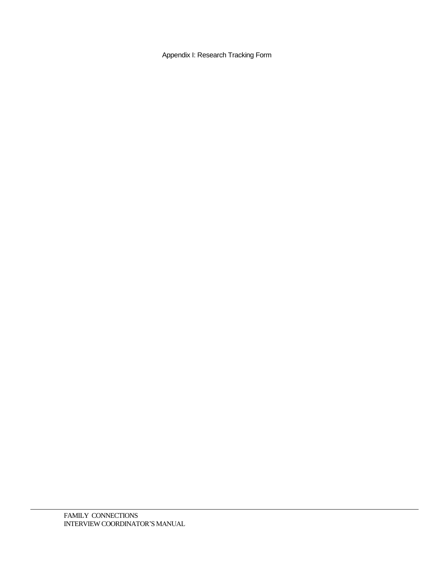Appendix I: Research Tracking Form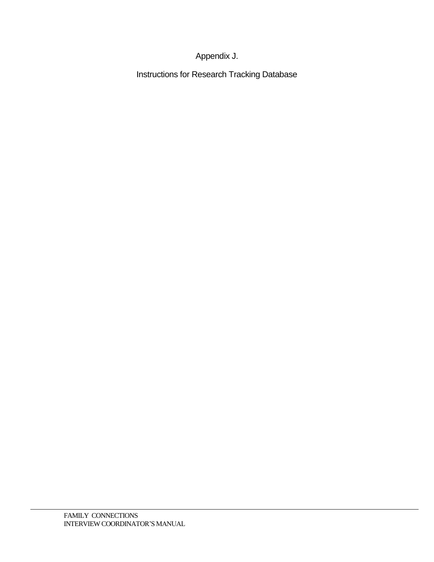## Appendix J.

Instructions for Research Tracking Database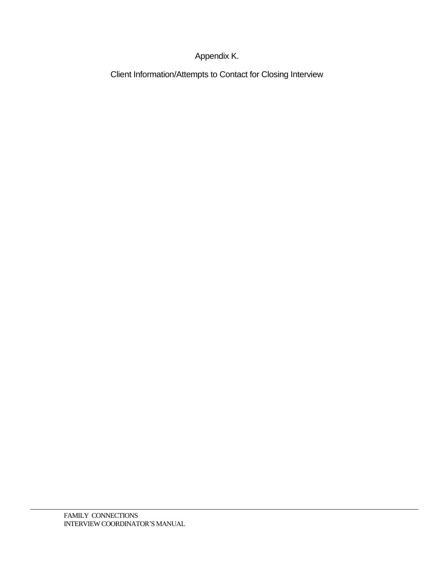## Appendix K.

Client Information/Attempts to Contact for Closing Interview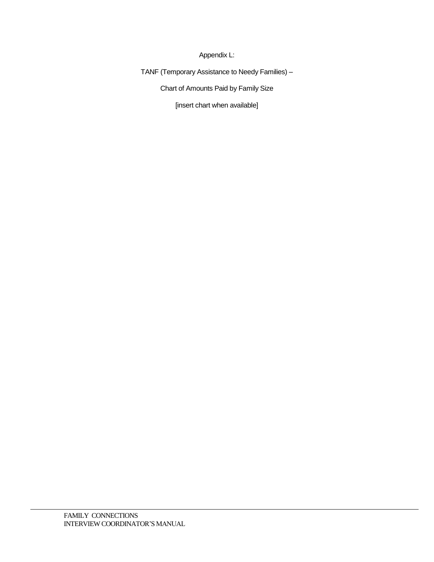Appendix L:

TANF (Temporary Assistance to Needy Families) –

Chart of Amounts Paid by Family Size

[insert chart when available]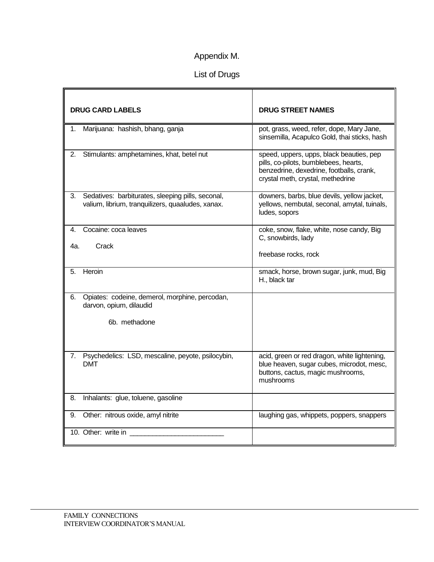# Appendix M.

## List of Drugs

| <b>DRUG CARD LABELS</b>                                                                                      | <b>DRUG STREET NAMES</b>                                                                                                                                           |
|--------------------------------------------------------------------------------------------------------------|--------------------------------------------------------------------------------------------------------------------------------------------------------------------|
| Marijuana: hashish, bhang, ganja<br>1.                                                                       | pot, grass, weed, refer, dope, Mary Jane,<br>sinsemilla, Acapulco Gold, thai sticks, hash                                                                          |
| 2.<br>Stimulants: amphetamines, khat, betel nut                                                              | speed, uppers, upps, black beauties, pep<br>pills, co-pilots, bumblebees, hearts,<br>benzedrine, dexedrine, footballs, crank,<br>crystal meth, crystal, methedrine |
| 3.<br>Sedatives: barbiturates, sleeping pills, seconal,<br>valium, librium, tranquilizers, quaaludes, xanax. | downers, barbs, blue devils, yellow jacket,<br>yellows, nembutal, seconal, amytal, tuinals,<br>ludes, sopors                                                       |
| Cocaine: coca leaves<br>4.                                                                                   | coke, snow, flake, white, nose candy, Big<br>C, snowbirds, lady                                                                                                    |
| Crack<br>4a.                                                                                                 | freebase rocks, rock                                                                                                                                               |
| Heroin<br>5.                                                                                                 | smack, horse, brown sugar, junk, mud, Big<br>H., black tar                                                                                                         |
| Opiates: codeine, demerol, morphine, percodan,<br>6.<br>darvon, opium, dilaudid                              |                                                                                                                                                                    |
| 6b. methadone                                                                                                |                                                                                                                                                                    |
| 7.<br>Psychedelics: LSD, mescaline, peyote, psilocybin,<br><b>DMT</b>                                        | acid, green or red dragon, white lightening,<br>blue heaven, sugar cubes, microdot, mesc,<br>buttons, cactus, magic mushrooms,<br>mushrooms                        |
| Inhalants: glue, toluene, gasoline<br>8.                                                                     |                                                                                                                                                                    |
| Other: nitrous oxide, amyl nitrite<br>9.                                                                     | laughing gas, whippets, poppers, snappers                                                                                                                          |
| 10. Other: write in                                                                                          |                                                                                                                                                                    |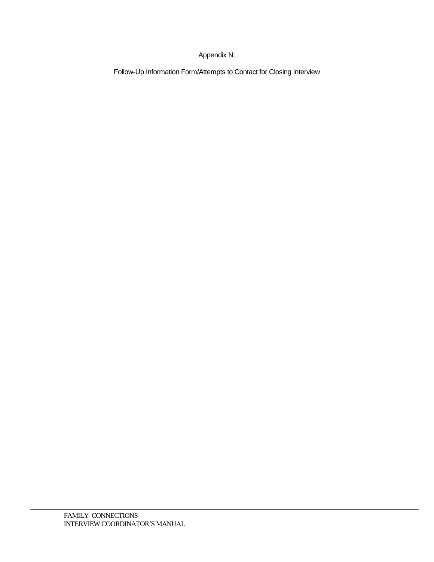### Appendix N:

Follow-Up Information Form/Attempts to Contact for Closing Interview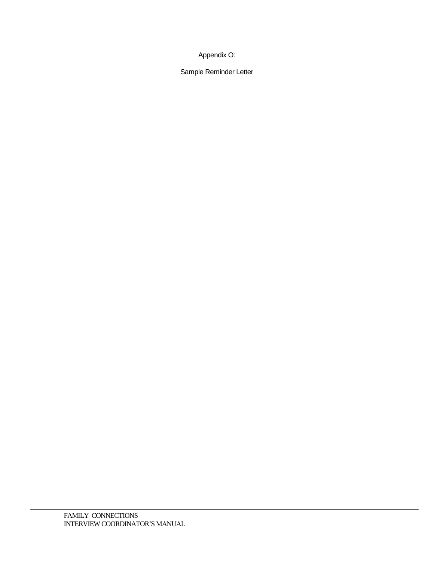Appendix O:

Sample Reminder Letter